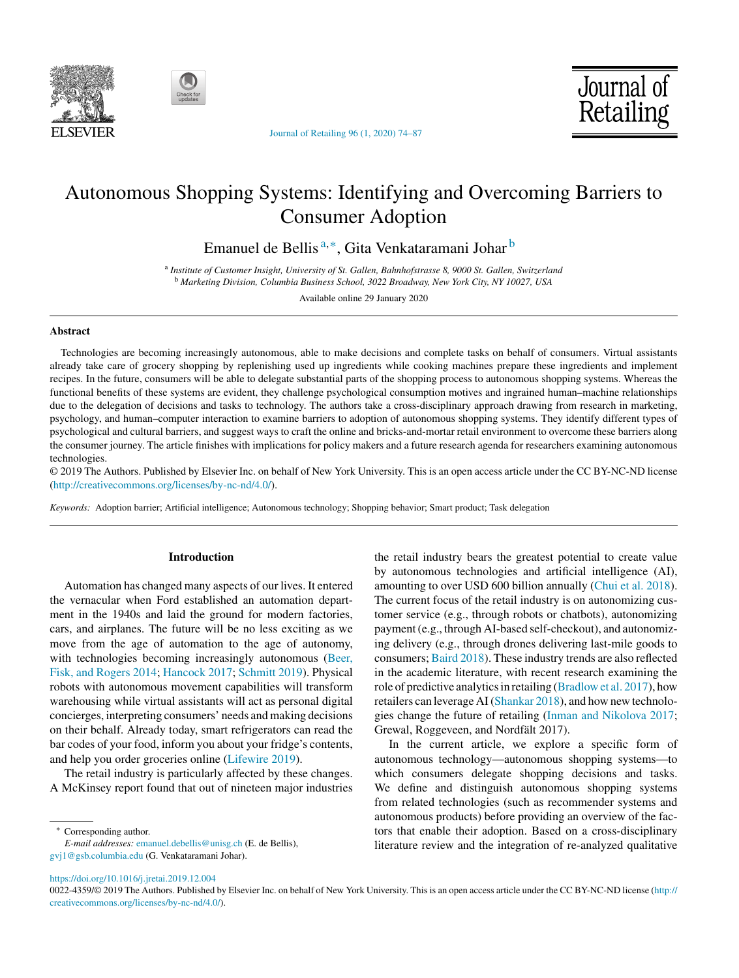



Journal of [Retailing](https://doi.org/10.1016/j.jretai.2019.12.004) 96 (1, 2020) 74–87



# Autonomous Shopping Systems: Identifying and Overcoming Barriers to Consumer Adoption

Emanuel de Bellis <sup>a</sup>,∗, Gita Venkataramani Johar <sup>b</sup>

<sup>a</sup> *Institute of Customer Insight, University of St. Gallen, Bahnhofstrasse 8, 9000 St. Gallen, Switzerland* <sup>b</sup> *Marketing Division, Columbia Business School, 3022 Broadway, New York City, NY 10027, USA*

Available online 29 January 2020

#### **Abstract**

Technologies are becoming increasingly autonomous, able to make decisions and complete tasks on behalf of consumers. Virtual assistants already take care of grocery shopping by replenishing used up ingredients while cooking machines prepare these ingredients and implement recipes. In the future, consumers will be able to delegate substantial parts of the shopping process to autonomous shopping systems. Whereas the functional benefits of these systems are evident, they challenge psychological consumption motives and ingrained human–machine relationships due to the delegation of decisions and tasks to technology. The authors take a cross-disciplinary approach drawing from research in marketing, psychology, and human–computer interaction to examine barriers to adoption of autonomous shopping systems. They identify different types of psychological and cultural barriers, and suggest ways to craft the online and bricks-and-mortar retail environment to overcome these barriers along the consumer journey. The article finishes with implications for policy makers and a future research agenda for researchers examining autonomous technologies.

© 2019 The Authors. Published by Elsevier Inc. on behalf of New York University. This is an open access article under the CC BY-NC-ND license (<http://creativecommons.org/licenses/by-nc-nd/4.0/>).

*Keywords:* Adoption barrier; Artificial intelligence; Autonomous technology; Shopping behavior; Smart product; Task delegation

## **Introduction**

Automation has changed many aspects of our lives. It entered the vernacular when Ford established an automation department in the 1940s and laid the ground for modern factories, cars, and airplanes. The future will be no less exciting as we move from the age of automation to the age of autonomy, with technologies becoming increasingly autonomous ([Beer,](#page-10-0) [Fisk,](#page-10-0) [and](#page-10-0) [Rogers](#page-10-0) [2014;](#page-10-0) [Hancock](#page-11-0) [2017;](#page-11-0) [Schmitt](#page-12-0) [2019\).](#page-12-0) Physical robots with autonomous movement capabilities will transform warehousing while virtual assistants will act as personal digital concierges, interpreting consumers' needs and making decisions on their behalf. Already today, smart refrigerators can read the bar codes of your food, inform you about your fridge's contents, and help you order groceries online [\(Lifewire](#page-12-0) [2019\).](#page-12-0)

The retail industry is particularly affected by these changes. A McKinsey report found that out of nineteen major industries

∗ Corresponding author.

the retail industry bears the greatest potential to create value by autonomous technologies and artificial intelligence (AI), amounting to over USD 600 billion annually [\(Chui](#page-11-0) et [al.](#page-11-0) [2018\).](#page-11-0) The current focus of the retail industry is on autonomizing customer service (e.g., through robots or chatbots), autonomizing payment(e.g., through AI-based self-checkout), and autonomizing delivery (e.g., through drones delivering last-mile goods to consumers; [Baird](#page-10-0) [2018\).](#page-10-0) These industry trends are also reflected in the academic literature, with recent research examining the role of predictive analytics in retailing [\(Bradlow](#page-10-0) et [al.](#page-10-0) [2017\),](#page-10-0) how retailers can leverage AI[\(Shankar](#page-12-0) [2018\),](#page-12-0) and how new technologies change the future of retailing ([Inman](#page-11-0) [and](#page-11-0) [Nikolova](#page-11-0) [2017;](#page-11-0) Grewal, Roggeveen, and Nordfält 2017).

In the current article, we explore a specific form of autonomous technology—autonomous shopping systems—to which consumers delegate shopping decisions and tasks. We define and distinguish autonomous shopping systems from related technologies (such as recommender systems and autonomous products) before providing an overview of the factors that enable their adoption. Based on a cross-disciplinary literature review and the integration of re-analyzed qualitative

<https://doi.org/10.1016/j.jretai.2019.12.004>

*E-mail addresses:* [emanuel.debellis@unisg.ch](mailto:emanuel.debellis@unisg.ch) (E. de Bellis), [gvj1@gsb.columbia.edu](mailto:gvj1@gsb.columbia.edu) (G. Venkataramani Johar).

<sup>0022-4359/©</sup> 2019 The Authors. Published by Elsevier Inc. on behalf of New York University. This is an open access article under the CC BY-NC-ND license ([http://](http://creativecommons.org/licenses/by-nc-nd/4.0/) [creativecommons.org/licenses/by-nc-nd/4.0/](http://creativecommons.org/licenses/by-nc-nd/4.0/)).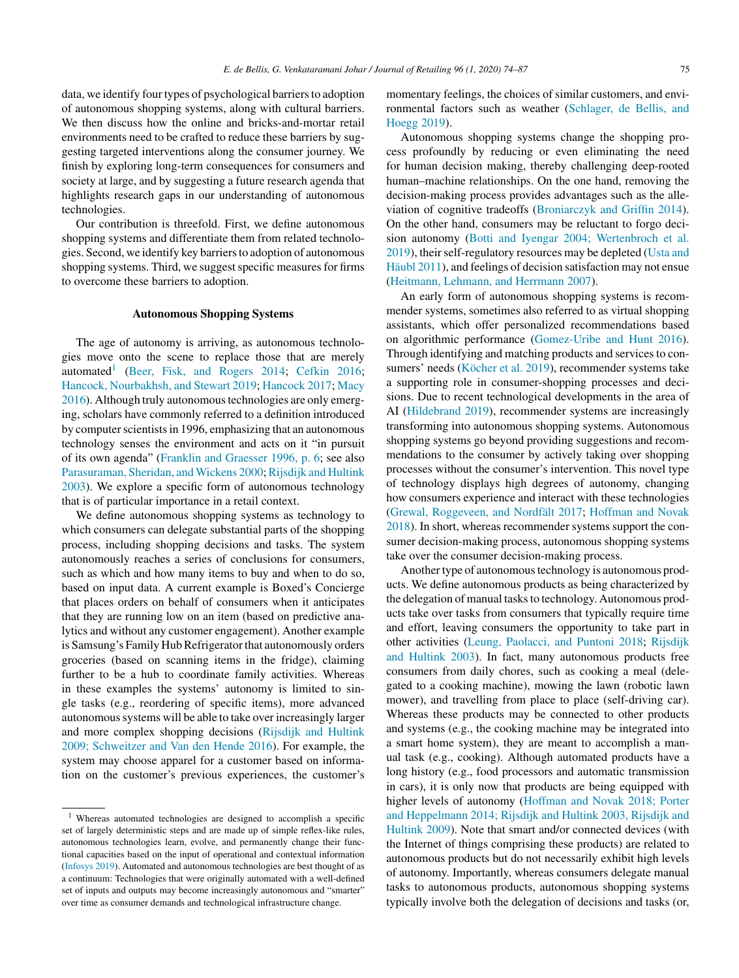data, we identify four types of psychological barriers to adoption of autonomous shopping systems, along with cultural barriers. We then discuss how the online and bricks-and-mortar retail environments need to be crafted to reduce these barriers by suggesting targeted interventions along the consumer journey. We finish by exploring long-term consequences for consumers and society at large, and by suggesting a future research agenda that highlights research gaps in our understanding of autonomous technologies.

Our contribution is threefold. First, we define autonomous shopping systems and differentiate them from related technologies. Second, we identify key barriersto adoption of autonomous shopping systems. Third, we suggest specific measures for firms to overcome these barriers to adoption.

# **Autonomous Shopping Systems**

The age of autonomy is arriving, as autonomous technologies move onto the scene to replace those that are merely automated<sup>1</sup> [\(Beer,](#page-10-0) [Fisk,](#page-10-0) [and](#page-10-0) [Rogers](#page-10-0) [2014;](#page-10-0) [Cefkin](#page-10-0) [2016;](#page-10-0) [Hancock,](#page-11-0) [Nourbakhsh,](#page-11-0) [and](#page-11-0) [Stewart](#page-11-0) [2019;](#page-11-0) [Hancock](#page-11-0) [2017;](#page-11-0) [Macy](#page-12-0) [2016\).](#page-12-0) Although truly autonomoustechnologies are only emerging, scholars have commonly referred to a definition introduced by computer scientists in 1996, emphasizing that an autonomous technology senses the environment and acts on it "in pursuit of its own agenda" ([Franklin](#page-11-0) [and](#page-11-0) [Graesser](#page-11-0) [1996,](#page-11-0) [p.](#page-11-0) [6;](#page-11-0) see also [Parasuraman,](#page-12-0) [Sheridan,](#page-12-0) [and](#page-12-0) [Wickens](#page-12-0) 2000; Rijsdijk and [Hultink](#page-12-0) [2003\).](#page-12-0) We explore a specific form of autonomous technology that is of particular importance in a retail context.

We define autonomous shopping systems as technology to which consumers can delegate substantial parts of the shopping process, including shopping decisions and tasks. The system autonomously reaches a series of conclusions for consumers, such as which and how many items to buy and when to do so, based on input data. A current example is Boxed's Concierge that places orders on behalf of consumers when it anticipates that they are running low on an item (based on predictive analytics and without any customer engagement). Another example is Samsung's Family Hub Refrigerator that autonomously orders groceries (based on scanning items in the fridge), claiming further to be a hub to coordinate family activities. Whereas in these examples the systems' autonomy is limited to single tasks (e.g., reordering of specific items), more advanced autonomoussystems will be able to take over increasingly larger and more complex shopping decisions [\(Rijsdijk](#page-12-0) [and](#page-12-0) [Hultink](#page-12-0) [2009;](#page-12-0) [Schweitzer](#page-12-0) [and](#page-12-0) [Van](#page-12-0) [den](#page-12-0) [Hende](#page-12-0) [2016\).](#page-12-0) For example, the system may choose apparel for a customer based on information on the customer's previous experiences, the customer's momentary feelings, the choices of similar customers, and environmental factors such as weather ([Schlager,](#page-12-0) [de](#page-12-0) [Bellis,](#page-12-0) [and](#page-12-0) [Hoegg](#page-12-0) [2019\).](#page-12-0)

Autonomous shopping systems change the shopping process profoundly by reducing or even eliminating the need for human decision making, thereby challenging deep-rooted human–machine relationships. On the one hand, removing the decision-making process provides advantages such as the alleviation of cognitive tradeoffs [\(Broniarczyk](#page-10-0) [and](#page-10-0) [Griffin](#page-10-0) [2014\).](#page-10-0) On the other hand, consumers may be reluctant to forgo decision autonomy [\(Botti](#page-10-0) [and](#page-10-0) [Iyengar](#page-10-0) [2004;](#page-10-0) [Wertenbroch](#page-10-0) et [al.](#page-10-0) [2019\),](#page-10-0) their self-regulatory resources may be depleted [\(Usta](#page-13-0) [and](#page-13-0) [Häubl](#page-13-0) [2011\),](#page-13-0) and feelings of decision satisfaction may not ensue ([Heitmann,](#page-11-0) [Lehmann,](#page-11-0) [and](#page-11-0) [Herrmann](#page-11-0) [2007\).](#page-11-0)

An early form of autonomous shopping systems is recommender systems, sometimes also referred to as virtual shopping assistants, which offer personalized recommendations based on algorithmic performance ([Gomez-Uribe](#page-11-0) [and](#page-11-0) [Hunt](#page-11-0) [2016\).](#page-11-0) Through identifying and matching products and services to consumers' needs ([Köcher](#page-12-0) et [al.](#page-12-0) [2019\),](#page-12-0) recommender systems take a supporting role in consumer-shopping processes and decisions. Due to recent technological developments in the area of AI ([Hildebrand](#page-11-0) [2019\),](#page-11-0) recommender systems are increasingly transforming into autonomous shopping systems. Autonomous shopping systems go beyond providing suggestions and recommendations to the consumer by actively taking over shopping processes without the consumer's intervention. This novel type of technology displays high degrees of autonomy, changing how consumers experience and interact with these technologies ([Grewal,](#page-11-0) [Roggeveen,](#page-11-0) [and](#page-11-0) [Nordfält](#page-11-0) [2017;](#page-11-0) [Hoffman](#page-11-0) [and](#page-11-0) [Novak](#page-11-0) [2018\).](#page-11-0) In short, whereas recommender systems support the consumer decision-making process, autonomous shopping systems take over the consumer decision-making process.

Another type of autonomous technology is autonomous products. We define autonomous products as being characterized by the delegation of manual tasks to technology. Autonomous products take over tasks from consumers that typically require time and effort, leaving consumers the opportunity to take part in other activities [\(Leung,](#page-12-0) [Paolacci,](#page-12-0) [and](#page-12-0) [Puntoni](#page-12-0) [2018;](#page-12-0) [Rijsdijk](#page-12-0) [and](#page-12-0) [Hultink](#page-12-0) [2003\).](#page-12-0) In fact, many autonomous products free consumers from daily chores, such as cooking a meal (delegated to a cooking machine), mowing the lawn (robotic lawn mower), and travelling from place to place (self-driving car). Whereas these products may be connected to other products and systems (e.g., the cooking machine may be integrated into a smart home system), they are meant to accomplish a manual task (e.g., cooking). Although automated products have a long history (e.g., food processors and automatic transmission in cars), it is only now that products are being equipped with higher levels of autonomy [\(Hoffman](#page-11-0) [and](#page-11-0) [Novak](#page-11-0) [2018;](#page-11-0) [Porter](#page-11-0) [and](#page-11-0) [Heppelmann](#page-11-0) [2014;](#page-11-0) [Rijsdijk](#page-11-0) [and](#page-11-0) [Hultink](#page-11-0) [2003,](#page-11-0) [Rijsdijk](#page-11-0) [and](#page-11-0) [Hultink](#page-11-0) [2009\).](#page-11-0) Note that smart and/or connected devices (with the Internet of things comprising these products) are related to autonomous products but do not necessarily exhibit high levels of autonomy. Importantly, whereas consumers delegate manual tasks to autonomous products, autonomous shopping systems typically involve both the delegation of decisions and tasks (or,

<sup>1</sup> Whereas automated technologies are designed to accomplish a specific set of largely deterministic steps and are made up of simple reflex-like rules, autonomous technologies learn, evolve, and permanently change their functional capacities based on the input of operational and contextual information [\(Infosys](#page-11-0) [2019\).](#page-11-0) Automated and autonomous technologies are best thought of as a continuum: Technologies that were originally automated with a well-defined set of inputs and outputs may become increasingly autonomous and "smarter" over time as consumer demands and technological infrastructure change.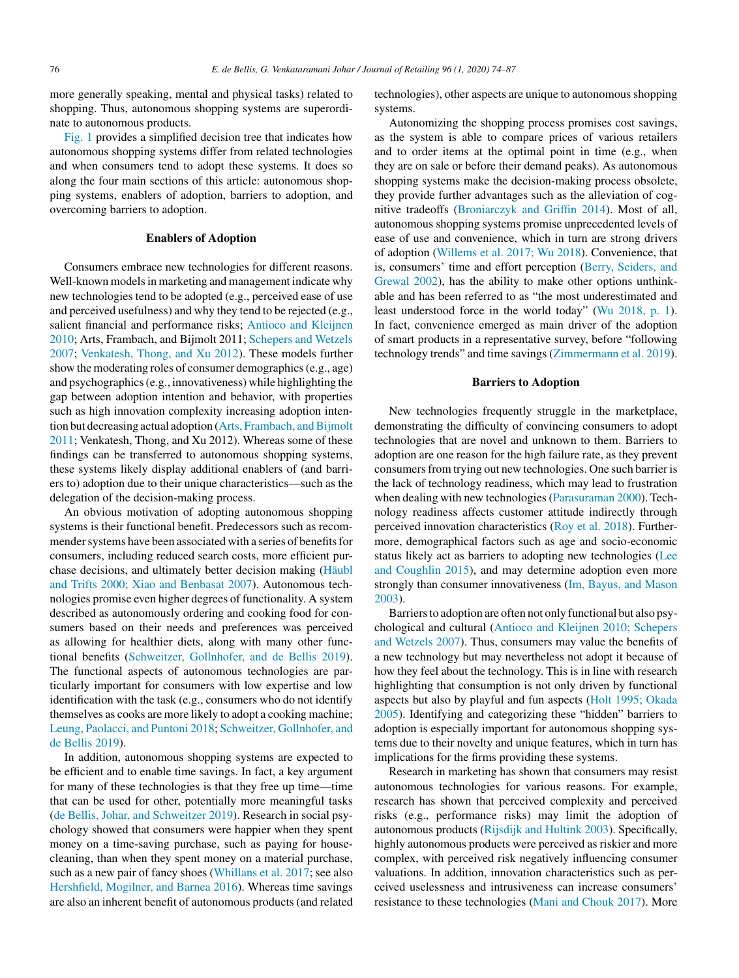more generally speaking, mental and physical tasks) related to shopping. Thus, autonomous shopping systems are superordinate to autonomous products.

[Fig.](#page-3-0) 1 provides a simplified decision tree that indicates how autonomous shopping systems differ from related technologies and when consumers tend to adopt these systems. It does so along the four main sections of this article: autonomous shopping systems, enablers of adoption, barriers to adoption, and overcoming barriers to adoption.

## **Enablers of Adoption**

Consumers embrace new technologies for different reasons. Well-known models in marketing and management indicate why new technologies tend to be adopted (e.g., perceived ease of use and perceived usefulness) and why they tend to be rejected (e.g., salient financial and performance risks; [Antioco](#page-10-0) [and](#page-10-0) [Kleijnen](#page-10-0) [2010;](#page-10-0) Arts, Frambach, and Bijmolt 2011; [Schepers](#page-12-0) [and](#page-12-0) [Wetzels](#page-12-0) [2007;](#page-12-0) [Venkatesh,](#page-13-0) [Thong,](#page-13-0) [and](#page-13-0) [Xu](#page-13-0) [2012\).](#page-13-0) These models further show the moderating roles of consumer demographics(e.g., age) and psychographics(e.g., innovativeness) while highlighting the gap between adoption intention and behavior, with properties such as high innovation complexity increasing adoption inten-tion but decreasing actual adoption ([Arts,](#page-10-0) [Frambach,](#page-10-0) and Bijmolt [2011;](#page-10-0) Venkatesh, Thong, and Xu 2012). Whereas some of these findings can be transferred to autonomous shopping systems, these systems likely display additional enablers of (and barriers to) adoption due to their unique characteristics—such as the delegation of the decision-making process.

An obvious motivation of adopting autonomous shopping systems is their functional benefit. Predecessors such as recommender systems have been associated with a series of benefits for consumers, including reduced search costs, more efficient purchase decisions, and ultimately better decision making ([Häubl](#page-11-0) [and](#page-11-0) [Trifts](#page-11-0) [2000;](#page-11-0) [Xiao](#page-11-0) [and](#page-11-0) [Benbasat](#page-11-0) [2007\).](#page-11-0) Autonomous technologies promise even higher degrees of functionality. A system described as autonomously ordering and cooking food for consumers based on their needs and preferences was perceived as allowing for healthier diets, along with many other functional benefits [\(Schweitzer,](#page-12-0) [Gollnhofer,](#page-12-0) [and](#page-12-0) [de](#page-12-0) [Bellis](#page-12-0) [2019\).](#page-12-0) The functional aspects of autonomous technologies are particularly important for consumers with low expertise and low identification with the task (e.g., consumers who do not identify themselves as cooks are more likely to adopt a cooking machine; [Leung,](#page-12-0) [Paolacci,](#page-12-0) [and](#page-12-0) [Puntoni](#page-12-0) [2018;](#page-12-0) [Schweitzer,](#page-12-0) [Gollnhofer,](#page-12-0) [and](#page-12-0) [de](#page-12-0) [Bellis](#page-12-0) [2019\).](#page-12-0)

In addition, autonomous shopping systems are expected to be efficient and to enable time savings. In fact, a key argument for many of these technologies is that they free up time—time that can be used for other, potentially more meaningful tasks [\(de](#page-11-0) [Bellis,](#page-11-0) [Johar,](#page-11-0) [and](#page-11-0) [Schweitzer](#page-11-0) [2019\).](#page-11-0) Research in social psychology showed that consumers were happier when they spent money on a time-saving purchase, such as paying for housecleaning, than when they spent money on a material purchase, such as a new pair of fancy shoes ([Whillans](#page-13-0) et [al.](#page-13-0) [2017;](#page-13-0) see also [Hershfield,](#page-11-0) [Mogilner,](#page-11-0) [and](#page-11-0) [Barnea](#page-11-0) [2016\).](#page-11-0) Whereas time savings are also an inherent benefit of autonomous products (and related technologies), other aspects are unique to autonomousshopping systems.

Autonomizing the shopping process promises cost savings, as the system is able to compare prices of various retailers and to order items at the optimal point in time (e.g., when they are on sale or before their demand peaks). As autonomous shopping systems make the decision-making process obsolete, they provide further advantages such as the alleviation of cognitive tradeoffs ([Broniarczyk](#page-10-0) [and](#page-10-0) [Griffin](#page-10-0) [2014\).](#page-10-0) Most of all, autonomous shopping systems promise unprecedented levels of ease of use and convenience, which in turn are strong drivers of adoption [\(Willems](#page-13-0) et [al.](#page-13-0) [2017;](#page-13-0) [Wu](#page-13-0) [2018\).](#page-13-0) Convenience, that is, consumers' time and effort perception ([Berry,](#page-10-0) [Seiders,](#page-10-0) [and](#page-10-0) [Grewal](#page-10-0) [2002\),](#page-10-0) has the ability to make other options unthinkable and has been referred to as "the most underestimated and least understood force in the world today" [\(Wu](#page-13-0) [2018,](#page-13-0) [p.](#page-13-0) [1\).](#page-13-0) In fact, convenience emerged as main driver of the adoption of smart products in a representative survey, before "following technology trends" and time savings [\(Zimmermann](#page-13-0) et [al.](#page-13-0) [2019\).](#page-13-0)

# **Barriers to Adoption**

New technologies frequently struggle in the marketplace, demonstrating the difficulty of convincing consumers to adopt technologies that are novel and unknown to them. Barriers to adoption are one reason for the high failure rate, as they prevent consumers from trying out new technologies. One such barrier is the lack of technology readiness, which may lead to frustration when dealing with new technologies([Parasuraman](#page-12-0) [2000\).](#page-12-0) Technology readiness affects customer attitude indirectly through perceived innovation characteristics ([Roy](#page-12-0) et [al.](#page-12-0) [2018\).](#page-12-0) Furthermore, demographical factors such as age and socio-economic status likely act as barriers to adopting new technologies ([Lee](#page-12-0) [and](#page-12-0) [Coughlin](#page-12-0) [2015\),](#page-12-0) and may determine adoption even more strongly than consumer innovativeness ([Im,](#page-11-0) [Bayus,](#page-11-0) [and](#page-11-0) [Mason](#page-11-0) [2003\).](#page-11-0)

Barriers to adoption are often not only functional but also psychological and cultural ([Antioco](#page-10-0) [and](#page-10-0) [Kleijnen](#page-10-0) [2010;](#page-10-0) [Schepers](#page-10-0) [and](#page-10-0) [Wetzels](#page-10-0) [2007\).](#page-10-0) Thus, consumers may value the benefits of a new technology but may nevertheless not adopt it because of how they feel about the technology. This is in line with research highlighting that consumption is not only driven by functional aspects but also by playful and fun aspects ([Holt](#page-11-0) [1995;](#page-11-0) [Okada](#page-11-0) [2005\).](#page-11-0) Identifying and categorizing these "hidden" barriers to adoption is especially important for autonomous shopping systems due to their novelty and unique features, which in turn has implications for the firms providing these systems.

Research in marketing has shown that consumers may resist autonomous technologies for various reasons. For example, research has shown that perceived complexity and perceived risks (e.g., performance risks) may limit the adoption of autonomous products ([Rijsdijk](#page-12-0) [and](#page-12-0) [Hultink](#page-12-0) [2003\).](#page-12-0) Specifically, highly autonomous products were perceived as riskier and more complex, with perceived risk negatively influencing consumer valuations. In addition, innovation characteristics such as perceived uselessness and intrusiveness can increase consumers' resistance to these technologies [\(Mani](#page-12-0) [and](#page-12-0) [Chouk](#page-12-0) [2017\).](#page-12-0) More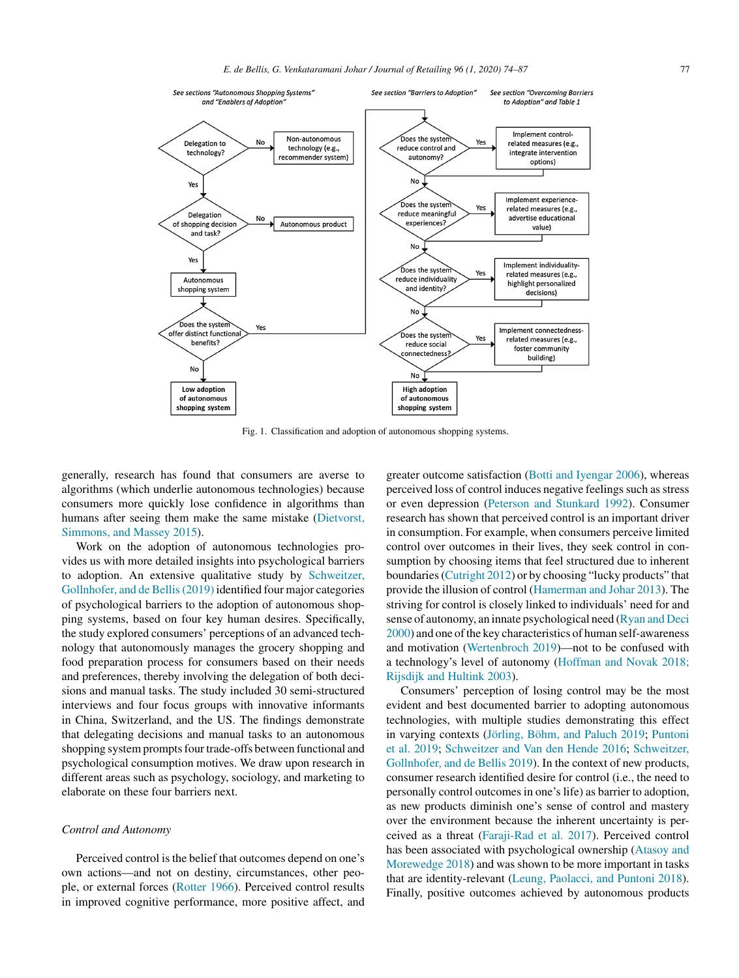<span id="page-3-0"></span>

Fig. 1. Classification and adoption of autonomous shopping systems.

generally, research has found that consumers are averse to algorithms (which underlie autonomous technologies) because consumers more quickly lose confidence in algorithms than humans after seeing them make the same mistake [\(Dietvorst,](#page-11-0) [Simmons,](#page-11-0) [and](#page-11-0) [Massey](#page-11-0) [2015\).](#page-11-0)

Work on the adoption of autonomous technologies provides us with more detailed insights into psychological barriers to adoption. An extensive qualitative study by [Schweitzer,](#page-12-0) [Gollnhofer,](#page-12-0) [and](#page-12-0) [de](#page-12-0) [Bellis\(2019\)](#page-12-0) identified four major categories of psychological barriers to the adoption of autonomous shopping systems, based on four key human desires. Specifically, the study explored consumers' perceptions of an advanced technology that autonomously manages the grocery shopping and food preparation process for consumers based on their needs and preferences, thereby involving the delegation of both decisions and manual tasks. The study included 30 semi-structured interviews and four focus groups with innovative informants in China, Switzerland, and the US. The findings demonstrate that delegating decisions and manual tasks to an autonomous shopping system prompts four trade-offs between functional and psychological consumption motives. We draw upon research in different areas such as psychology, sociology, and marketing to elaborate on these four barriers next.

# *Control and Autonomy*

Perceived control is the belief that outcomes depend on one's own actions—and not on destiny, circumstances, other people, or external forces ([Rotter](#page-12-0) [1966\).](#page-12-0) Perceived control results in improved cognitive performance, more positive affect, and

greater outcome satisfaction ([Botti](#page-10-0) [and](#page-10-0) [Iyengar](#page-10-0) [2006\),](#page-10-0) whereas perceived loss of control induces negative feelings such as stress or even depression ([Peterson](#page-12-0) [and](#page-12-0) [Stunkard](#page-12-0) [1992\).](#page-12-0) Consumer research has shown that perceived control is an important driver in consumption. For example, when consumers perceive limited control over outcomes in their lives, they seek control in consumption by choosing items that feel structured due to inherent boundaries[\(Cutright](#page-11-0) [2012\)](#page-11-0) or by choosing "lucky products" that provide the illusion of control [\(Hamerman](#page-11-0) [and](#page-11-0) [Johar](#page-11-0) [2013\).](#page-11-0) The striving for control is closely linked to individuals' need for and sense of autonomy, an innate psychological need [\(Ryan](#page-12-0) [and](#page-12-0) [Deci](#page-12-0) [2000\)](#page-12-0) and one of the key characteristics of human self-awareness and motivation [\(Wertenbroch](#page-13-0) [2019\)—](#page-13-0)not to be confused with a technology's level of autonomy ([Hoffman](#page-11-0) [and](#page-11-0) [Novak](#page-11-0) [2018;](#page-11-0) [Rijsdijk](#page-11-0) [and](#page-11-0) [Hultink](#page-11-0) [2003\).](#page-11-0)

Consumers' perception of losing control may be the most evident and best documented barrier to adopting autonomous technologies, with multiple studies demonstrating this effect in varying contexts [\(Jörling,](#page-11-0) [Böhm,](#page-11-0) [and](#page-11-0) [Paluch](#page-11-0) [2019;](#page-11-0) [Puntoni](#page-12-0) et [al.](#page-12-0) [2019;](#page-12-0) [Schweitzer](#page-12-0) [and](#page-12-0) [Van](#page-12-0) [den](#page-12-0) [Hende](#page-12-0) [2016;](#page-12-0) [Schweitzer,](#page-12-0) [Gollnhofer,](#page-12-0) [and](#page-12-0) [de](#page-12-0) [Bellis](#page-12-0) [2019\).](#page-12-0) In the context of new products, consumer research identified desire for control (i.e., the need to personally control outcomes in one's life) as barrier to adoption, as new products diminish one's sense of control and mastery over the environment because the inherent uncertainty is perceived as a threat [\(Faraji-Rad](#page-11-0) et [al.](#page-11-0) [2017\).](#page-11-0) Perceived control has been associated with psychological ownership ([Atasoy](#page-10-0) [and](#page-10-0) [Morewedge](#page-10-0) [2018\)](#page-10-0) and was shown to be more important in tasks that are identity-relevant [\(Leung,](#page-12-0) [Paolacci,](#page-12-0) [and](#page-12-0) [Puntoni](#page-12-0) [2018\).](#page-12-0) Finally, positive outcomes achieved by autonomous products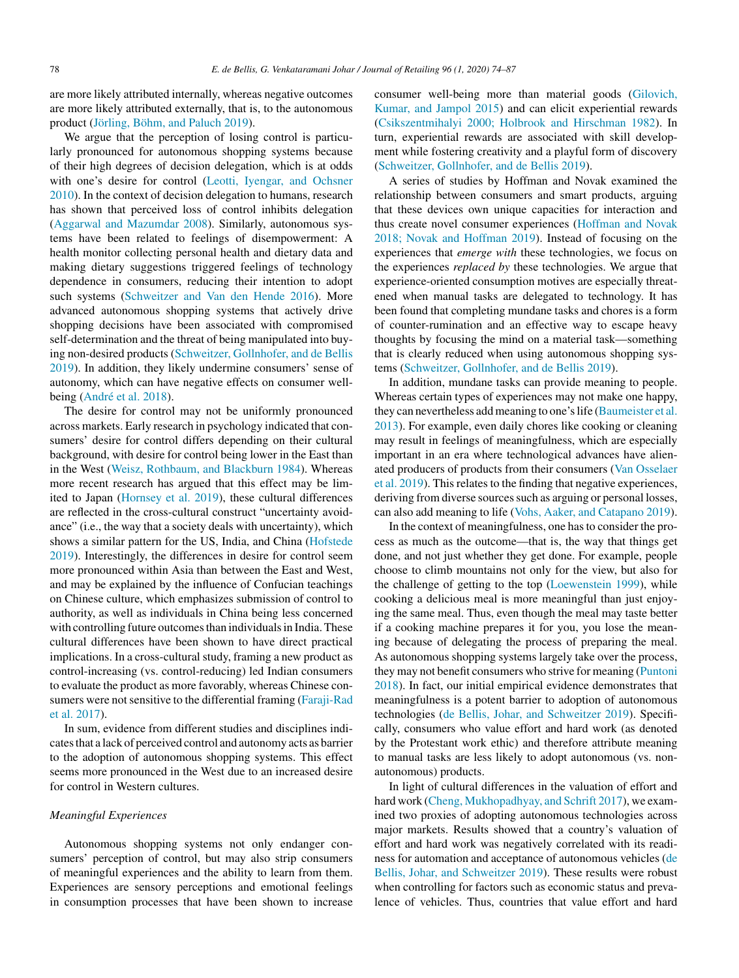are more likely attributed internally, whereas negative outcomes are more likely attributed externally, that is, to the autonomous product [\(Jörling,](#page-11-0) [Böhm,](#page-11-0) [and](#page-11-0) [Paluch](#page-11-0) [2019\).](#page-11-0)

We argue that the perception of losing control is particularly pronounced for autonomous shopping systems because of their high degrees of decision delegation, which is at odds with one's desire for control ([Leotti,](#page-12-0) [Iyengar,](#page-12-0) [and](#page-12-0) [Ochsner](#page-12-0) [2010\).](#page-12-0) In the context of decision delegation to humans, research has shown that perceived loss of control inhibits delegation [\(Aggarwal](#page-10-0) [and](#page-10-0) [Mazumdar](#page-10-0) [2008\).](#page-10-0) Similarly, autonomous systems have been related to feelings of disempowerment: A health monitor collecting personal health and dietary data and making dietary suggestions triggered feelings of technology dependence in consumers, reducing their intention to adopt such systems ([Schweitzer](#page-12-0) [and](#page-12-0) [Van](#page-12-0) [den](#page-12-0) [Hende](#page-12-0) [2016\).](#page-12-0) More advanced autonomous shopping systems that actively drive shopping decisions have been associated with compromised self-determination and the threat of being manipulated into buying non-desired products [\(Schweitzer,](#page-12-0) [Gollnhofer,](#page-12-0) [and](#page-12-0) [de](#page-12-0) [Bellis](#page-12-0) [2019\).](#page-12-0) In addition, they likely undermine consumers' sense of autonomy, which can have negative effects on consumer wellbeing ([André](#page-10-0) et [al.](#page-10-0) [2018\).](#page-10-0)

The desire for control may not be uniformly pronounced across markets. Early research in psychology indicated that consumers' desire for control differs depending on their cultural background, with desire for control being lower in the East than in the West ([Weisz,](#page-13-0) [Rothbaum,](#page-13-0) [and](#page-13-0) [Blackburn](#page-13-0) [1984\).](#page-13-0) Whereas more recent research has argued that this effect may be limited to Japan ([Hornsey](#page-11-0) et [al.](#page-11-0) [2019\),](#page-11-0) these cultural differences are reflected in the cross-cultural construct "uncertainty avoidance" (i.e., the way that a society deals with uncertainty), which shows a similar pattern for the US, India, and China ([Hofstede](#page-11-0) [2019\).](#page-11-0) Interestingly, the differences in desire for control seem more pronounced within Asia than between the East and West, and may be explained by the influence of Confucian teachings on Chinese culture, which emphasizes submission of control to authority, as well as individuals in China being less concerned with controlling future outcomes than individuals in India. These cultural differences have been shown to have direct practical implications. In a cross-cultural study, framing a new product as control-increasing (vs. control-reducing) led Indian consumers to evaluate the product as more favorably, whereas Chinese con-sumers were not sensitive to the differential framing [\(Faraji-Rad](#page-11-0)) et [al.](#page-11-0) [2017\).](#page-11-0)

In sum, evidence from different studies and disciplines indicatesthat a lack of perceived control and autonomy acts as barrier to the adoption of autonomous shopping systems. This effect seems more pronounced in the West due to an increased desire for control in Western cultures.

#### *Meaningful Experiences*

Autonomous shopping systems not only endanger consumers' perception of control, but may also strip consumers of meaningful experiences and the ability to learn from them. Experiences are sensory perceptions and emotional feelings in consumption processes that have been shown to increase consumer well-being more than material goods ([Gilovich,](#page-11-0) [Kumar,](#page-11-0) [and](#page-11-0) [Jampol](#page-11-0) [2015\)](#page-11-0) and can elicit experiential rewards [\(Csikszentmihalyi](#page-11-0) [2000;](#page-11-0) [Holbrook](#page-11-0) [and](#page-11-0) [Hirschman](#page-11-0) [1982\).](#page-11-0) In turn, experiential rewards are associated with skill development while fostering creativity and a playful form of discovery [\(Schweitzer,](#page-12-0) [Gollnhofer,](#page-12-0) [and](#page-12-0) [de](#page-12-0) [Bellis](#page-12-0) [2019\).](#page-12-0)

A series of studies by Hoffman and Novak examined the relationship between consumers and smart products, arguing that these devices own unique capacities for interaction and thus create novel consumer experiences ([Hoffman](#page-11-0) [and](#page-11-0) [Novak](#page-11-0) [2018;](#page-11-0) [Novak](#page-11-0) [and](#page-11-0) [Hoffman](#page-11-0) [2019\).](#page-11-0) Instead of focusing on the experiences that *emerge with* these technologies, we focus on the experiences *replaced by* these technologies. We argue that experience-oriented consumption motives are especially threatened when manual tasks are delegated to technology. It has been found that completing mundane tasks and chores is a form of counter-rumination and an effective way to escape heavy thoughts by focusing the mind on a material task—something that is clearly reduced when using autonomous shopping systems [\(Schweitzer,](#page-12-0) [Gollnhofer,](#page-12-0) [and](#page-12-0) [de](#page-12-0) [Bellis](#page-12-0) [2019\).](#page-12-0)

In addition, mundane tasks can provide meaning to people. Whereas certain types of experiences may not make one happy, they can nevertheless add meaning to one's life ([Baumeister](#page-10-0) et [al.](#page-10-0) [2013\).](#page-10-0) For example, even daily chores like cooking or cleaning may result in feelings of meaningfulness, which are especially important in an era where technological advances have alienated producers of products from their consumers ([Van](#page-13-0) [Osselaer](#page-13-0) et [al.](#page-13-0) [2019\).](#page-13-0) This relates to the finding that negative experiences, deriving from diverse sources such as arguing or personal losses, can also add meaning to life ([Vohs,](#page-13-0) [Aaker,](#page-13-0) [and](#page-13-0) [Catapano](#page-13-0) [2019\).](#page-13-0)

In the context of meaningfulness, one hasto consider the process as much as the outcome—that is, the way that things get done, and not just whether they get done. For example, people choose to climb mountains not only for the view, but also for the challenge of getting to the top ([Loewenstein](#page-12-0) [1999\),](#page-12-0) while cooking a delicious meal is more meaningful than just enjoying the same meal. Thus, even though the meal may taste better if a cooking machine prepares it for you, you lose the meaning because of delegating the process of preparing the meal. As autonomous shopping systems largely take over the process, they may not benefit consumers who strive for meaning ([Puntoni](#page-12-0) [2018\).](#page-12-0) In fact, our initial empirical evidence demonstrates that meaningfulness is a potent barrier to adoption of autonomous technologies ([de](#page-11-0) [Bellis,](#page-11-0) [Johar,](#page-11-0) [and](#page-11-0) [Schweitzer](#page-11-0) [2019\).](#page-11-0) Specifically, consumers who value effort and hard work (as denoted by the Protestant work ethic) and therefore attribute meaning to manual tasks are less likely to adopt autonomous (vs. nonautonomous) products.

In light of cultural differences in the valuation of effort and hard work ([Cheng,](#page-11-0) [Mukhopadhyay,](#page-11-0) [and](#page-11-0) [Schrift](#page-11-0) [2017\),](#page-11-0) we examined two proxies of adopting autonomous technologies across major markets. Results showed that a country's valuation of effort and hard work was negatively correlated with its readiness for automation and acceptance of autonomous vehicles [\(de](#page-11-0) [Bellis,](#page-11-0) [Johar,](#page-11-0) [and](#page-11-0) [Schweitzer](#page-11-0) [2019\).](#page-11-0) These results were robust when controlling for factors such as economic status and prevalence of vehicles. Thus, countries that value effort and hard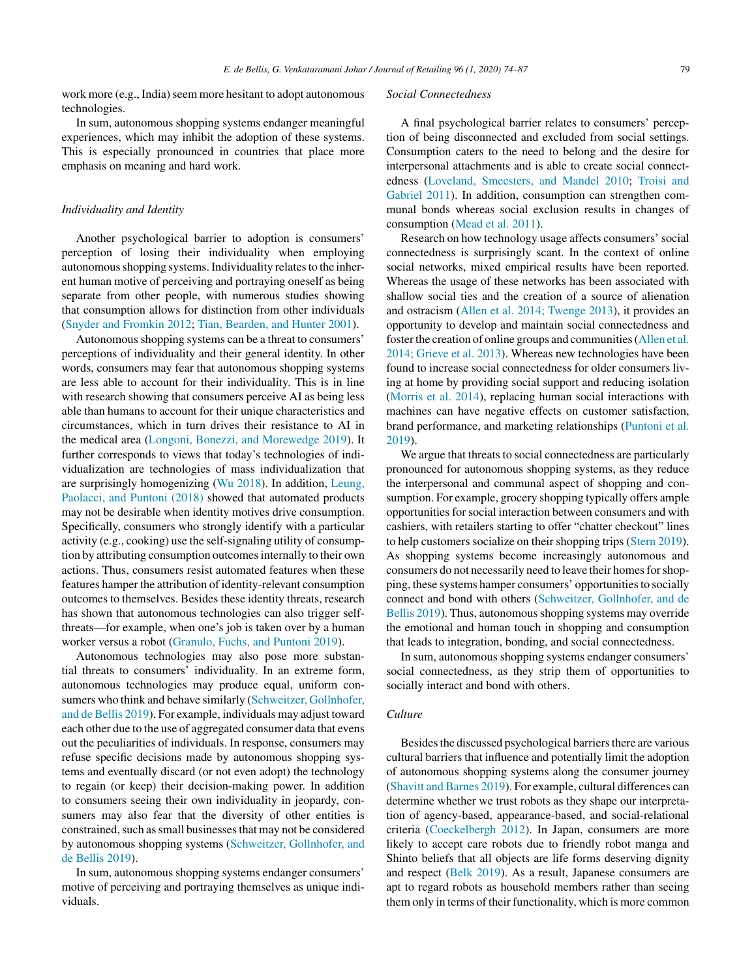work more (e.g., India) seem more hesitant to adopt autonomous technologies.

In sum, autonomous shopping systems endanger meaningful experiences, which may inhibit the adoption of these systems. This is especially pronounced in countries that place more emphasis on meaning and hard work.

#### *Individuality and Identity*

Another psychological barrier to adoption is consumers' perception of losing their individuality when employing autonomous shopping systems. Individuality relates to the inherent human motive of perceiving and portraying oneself as being separate from other people, with numerous studies showing that consumption allows for distinction from other individuals ([Snyder](#page-12-0) [and](#page-12-0) [Fromkin](#page-12-0) [2012;](#page-12-0) [Tian,](#page-13-0) [Bearden,](#page-13-0) [and](#page-13-0) [Hunter](#page-13-0) [2001\).](#page-13-0)

Autonomous shopping systems can be a threat to consumers' perceptions of individuality and their general identity. In other words, consumers may fear that autonomous shopping systems are less able to account for their individuality. This is in line with research showing that consumers perceive AI as being less able than humans to account for their unique characteristics and circumstances, which in turn drives their resistance to AI in the medical area ([Longoni,](#page-12-0) [Bonezzi,](#page-12-0) [and](#page-12-0) [Morewedge](#page-12-0) [2019\).](#page-12-0) It further corresponds to views that today's technologies of individualization are technologies of mass individualization that are surprisingly homogenizing [\(Wu](#page-13-0) [2018\).](#page-13-0) In addition, [Leung,](#page-12-0) [Paolacci,](#page-12-0) [and](#page-12-0) [Puntoni](#page-12-0) [\(2018\)](#page-12-0) showed that automated products may not be desirable when identity motives drive consumption. Specifically, consumers who strongly identify with a particular activity (e.g., cooking) use the self-signaling utility of consumption by attributing consumption outcomesinternally to their own actions. Thus, consumers resist automated features when these features hamper the attribution of identity-relevant consumption outcomes to themselves. Besides these identity threats, research has shown that autonomous technologies can also trigger selfthreats—for example, when one's job is taken over by a human worker versus a robot ([Granulo,](#page-11-0) [Fuchs,](#page-11-0) [and](#page-11-0) [Puntoni](#page-11-0) [2019\).](#page-11-0)

Autonomous technologies may also pose more substantial threats to consumers' individuality. In an extreme form, autonomous technologies may produce equal, uniform consumers who think and behave similarly ([Schweitzer,](#page-12-0) [Gollnhofer,](#page-12-0) [and](#page-12-0) [de](#page-12-0) [Bellis](#page-12-0) [2019\).](#page-12-0) For example, individuals may adjust toward each other due to the use of aggregated consumer data that evens out the peculiarities of individuals. In response, consumers may refuse specific decisions made by autonomous shopping systems and eventually discard (or not even adopt) the technology to regain (or keep) their decision-making power. In addition to consumers seeing their own individuality in jeopardy, consumers may also fear that the diversity of other entities is constrained, such as small businesses that may not be considered by autonomous shopping systems [\(Schweitzer,](#page-12-0) [Gollnhofer,](#page-12-0) [and](#page-12-0) [de](#page-12-0) [Bellis](#page-12-0) [2019\).](#page-12-0)

In sum, autonomous shopping systems endanger consumers' motive of perceiving and portraying themselves as unique individuals.

#### *Social Connectedness*

A final psychological barrier relates to consumers' perception of being disconnected and excluded from social settings. Consumption caters to the need to belong and the desire for interpersonal attachments and is able to create social connectedness [\(Loveland,](#page-12-0) [Smeesters,](#page-12-0) [and](#page-12-0) [Mandel](#page-12-0) [2010;](#page-12-0) [Troisi](#page-13-0) [and](#page-13-0) [Gabriel](#page-13-0) [2011\).](#page-13-0) In addition, consumption can strengthen communal bonds whereas social exclusion results in changes of consumption ([Mead](#page-12-0) et [al.](#page-12-0) [2011\).](#page-12-0)

Research on how technology usage affects consumers'social connectedness is surprisingly scant. In the context of online social networks, mixed empirical results have been reported. Whereas the usage of these networks has been associated with shallow social ties and the creation of a source of alienation and ostracism ([Allen](#page-10-0) et [al.](#page-10-0) [2014;](#page-10-0) [Twenge](#page-10-0) [2013\),](#page-10-0) it provides an opportunity to develop and maintain social connectedness and foster the creation of online groups and communities ([Allen](#page-10-0) et [al.](#page-10-0) [2014;](#page-10-0) [Grieve](#page-10-0) et [al.](#page-10-0) [2013\).](#page-10-0) Whereas new technologies have been found to increase social connectedness for older consumers living at home by providing social support and reducing isolation ([Morris](#page-12-0) et [al.](#page-12-0) [2014\),](#page-12-0) replacing human social interactions with machines can have negative effects on customer satisfaction, brand performance, and marketing relationships [\(Puntoni](#page-12-0) et [al.](#page-12-0) [2019\).](#page-12-0)

We argue that threats to social connectedness are particularly pronounced for autonomous shopping systems, as they reduce the interpersonal and communal aspect of shopping and consumption. For example, grocery shopping typically offers ample opportunities for social interaction between consumers and with cashiers, with retailers starting to offer "chatter checkout" lines to help customers socialize on their shopping trips ([Stern](#page-12-0) [2019\).](#page-12-0) As shopping systems become increasingly autonomous and consumers do not necessarily need to leave their homes for shopping, these systems hamper consumers' opportunities to socially connect and bond with others ([Schweitzer,](#page-12-0) [Gollnhofer,](#page-12-0) [and](#page-12-0) [de](#page-12-0) [Bellis](#page-12-0) [2019\).](#page-12-0) Thus, autonomous shopping systems may override the emotional and human touch in shopping and consumption that leads to integration, bonding, and social connectedness.

In sum, autonomous shopping systems endanger consumers' social connectedness, as they strip them of opportunities to socially interact and bond with others.

## *Culture*

Besides the discussed psychological barriers there are various cultural barriers that influence and potentially limit the adoption of autonomous shopping systems along the consumer journey ([Shavitt](#page-13-0) [and](#page-13-0) [Barnes](#page-13-0) [2019\).](#page-13-0) For example, cultural differences can determine whether we trust robots as they shape our interpretation of agency-based, appearance-based, and social-relational criteria [\(Coeckelbergh](#page-11-0) [2012\).](#page-11-0) In Japan, consumers are more likely to accept care robots due to friendly robot manga and Shinto beliefs that all objects are life forms deserving dignity and respect [\(Belk](#page-10-0) [2019\).](#page-10-0) As a result, Japanese consumers are apt to regard robots as household members rather than seeing them only in terms of their functionality, which is more common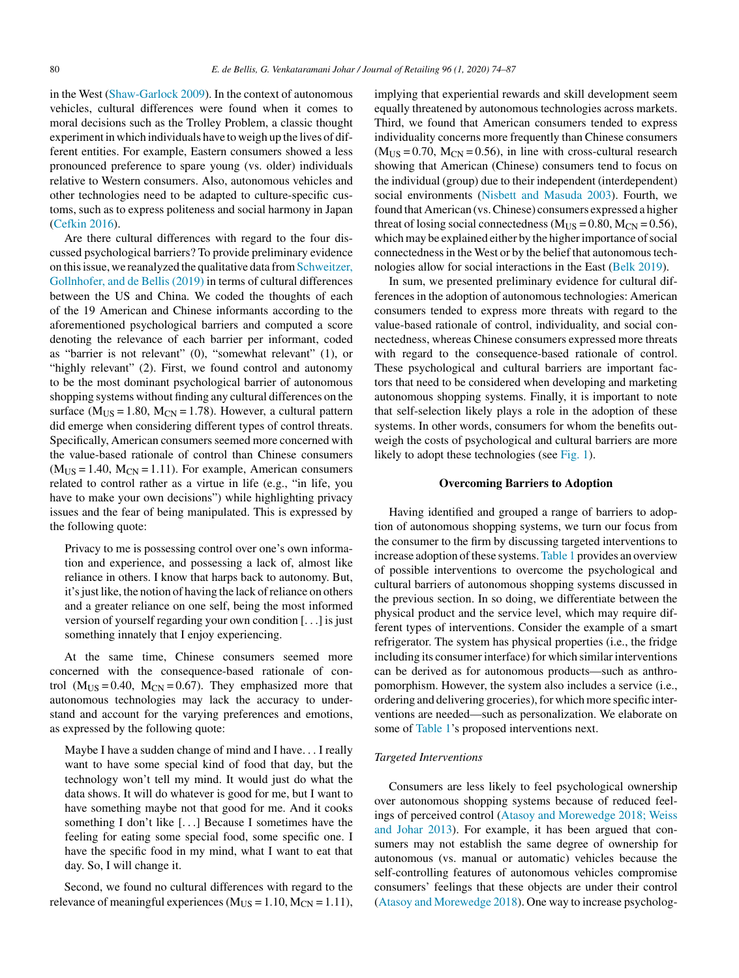in the West ([Shaw-Garlock](#page-12-0) [2009\).](#page-12-0) In the context of autonomous vehicles, cultural differences were found when it comes to moral decisions such as the Trolley Problem, a classic thought experiment in which individuals have to weigh up the lives of different entities. For example, Eastern consumers showed a less pronounced preference to spare young (vs. older) individuals relative to Western consumers. Also, autonomous vehicles and other technologies need to be adapted to culture-specific customs, such as to express politeness and social harmony in Japan [\(Cefkin](#page-10-0) [2016\).](#page-10-0)

Are there cultural differences with regard to the four discussed psychological barriers? To provide preliminary evidence on this issue, we reanalyzed the qualitative data from [Schweitzer,](#page-12-0) [Gollnhofer,](#page-12-0) [and](#page-12-0) [de](#page-12-0) [Bellis](#page-12-0) [\(2019\)](#page-12-0) in terms of cultural differences between the US and China. We coded the thoughts of each of the 19 American and Chinese informants according to the aforementioned psychological barriers and computed a score denoting the relevance of each barrier per informant, coded as "barrier is not relevant" (0), "somewhat relevant" (1), or "highly relevant" (2). First, we found control and autonomy to be the most dominant psychological barrier of autonomous shopping systems without finding any cultural differences on the surface ( $M_{US} = 1.80$ ,  $M_{CN} = 1.78$ ). However, a cultural pattern did emerge when considering different types of control threats. Specifically, American consumers seemed more concerned with the value-based rationale of control than Chinese consumers  $(M<sub>US</sub> = 1.40, M<sub>CN</sub> = 1.11)$ . For example, American consumers related to control rather as a virtue in life (e.g., "in life, you have to make your own decisions") while highlighting privacy issues and the fear of being manipulated. This is expressed by the following quote:

Privacy to me is possessing control over one's own information and experience, and possessing a lack of, almost like reliance in others. I know that harps back to autonomy. But, it's just like, the notion of having the lack of reliance on others and a greater reliance on one self, being the most informed version of yourself regarding your own condition [. . .] is just something innately that I enjoy experiencing.

At the same time, Chinese consumers seemed more concerned with the consequence-based rationale of control ( $M_{US} = 0.40$ ,  $M_{CN} = 0.67$ ). They emphasized more that autonomous technologies may lack the accuracy to understand and account for the varying preferences and emotions, as expressed by the following quote:

Maybe I have a sudden change of mind and I have. . . I really want to have some special kind of food that day, but the technology won't tell my mind. It would just do what the data shows. It will do whatever is good for me, but I want to have something maybe not that good for me. And it cooks something I don't like [. . .] Because I sometimes have the feeling for eating some special food, some specific one. I have the specific food in my mind, what I want to eat that day. So, I will change it.

Second, we found no cultural differences with regard to the relevance of meaningful experiences ( $M_{US} = 1.10$ ,  $M_{CN} = 1.11$ ), implying that experiential rewards and skill development seem equally threatened by autonomous technologies across markets. Third, we found that American consumers tended to express individuality concerns more frequently than Chinese consumers  $(M<sub>US</sub> = 0.70, M<sub>CN</sub> = 0.56)$ , in line with cross-cultural research showing that American (Chinese) consumers tend to focus on the individual (group) due to their independent (interdependent) social environments ([Nisbett](#page-12-0) [and](#page-12-0) [Masuda](#page-12-0) [2003\).](#page-12-0) Fourth, we found that American (vs.Chinese) consumers expressed a higher threat of losing social connectedness ( $M_{US} = 0.80$ ,  $M_{CN} = 0.56$ ), which may be explained either by the higher importance of social connectedness in the West or by the belief that autonomous technologies allow for social interactions in the East [\(Belk](#page-10-0) [2019\).](#page-10-0)

In sum, we presented preliminary evidence for cultural differences in the adoption of autonomous technologies: American consumers tended to express more threats with regard to the value-based rationale of control, individuality, and social connectedness, whereas Chinese consumers expressed more threats with regard to the consequence-based rationale of control. These psychological and cultural barriers are important factors that need to be considered when developing and marketing autonomous shopping systems. Finally, it is important to note that self-selection likely plays a role in the adoption of these systems. In other words, consumers for whom the benefits outweigh the costs of psychological and cultural barriers are more likely to adopt these technologies (see [Fig.](#page-3-0) 1).

#### **Overcoming Barriers to Adoption**

Having identified and grouped a range of barriers to adoption of autonomous shopping systems, we turn our focus from the consumer to the firm by discussing targeted interventions to increase adoption of these systems. [Table](#page-7-0) 1 provides an overview of possible interventions to overcome the psychological and cultural barriers of autonomous shopping systems discussed in the previous section. In so doing, we differentiate between the physical product and the service level, which may require different types of interventions. Consider the example of a smart refrigerator. The system has physical properties (i.e., the fridge including its consumer interface) for which similar interventions can be derived as for autonomous products—such as anthropomorphism. However, the system also includes a service (i.e., ordering and delivering groceries), for which more specific interventions are needed—such as personalization. We elaborate on some of [Table](#page-7-0) 1's proposed interventions next.

# *Targeted Interventions*

Consumers are less likely to feel psychological ownership over autonomous shopping systems because of reduced feelings of perceived control ([Atasoy](#page-10-0) [and](#page-10-0) [Morewedge](#page-10-0) [2018;](#page-10-0) [Weiss](#page-10-0) [and](#page-10-0) [Johar](#page-10-0) [2013\).](#page-10-0) For example, it has been argued that consumers may not establish the same degree of ownership for autonomous (vs. manual or automatic) vehicles because the self-controlling features of autonomous vehicles compromise consumers' feelings that these objects are under their control [\(Atasoy](#page-10-0) [and](#page-10-0) [Morewedge](#page-10-0) [2018\).](#page-10-0) One way to increase psycholog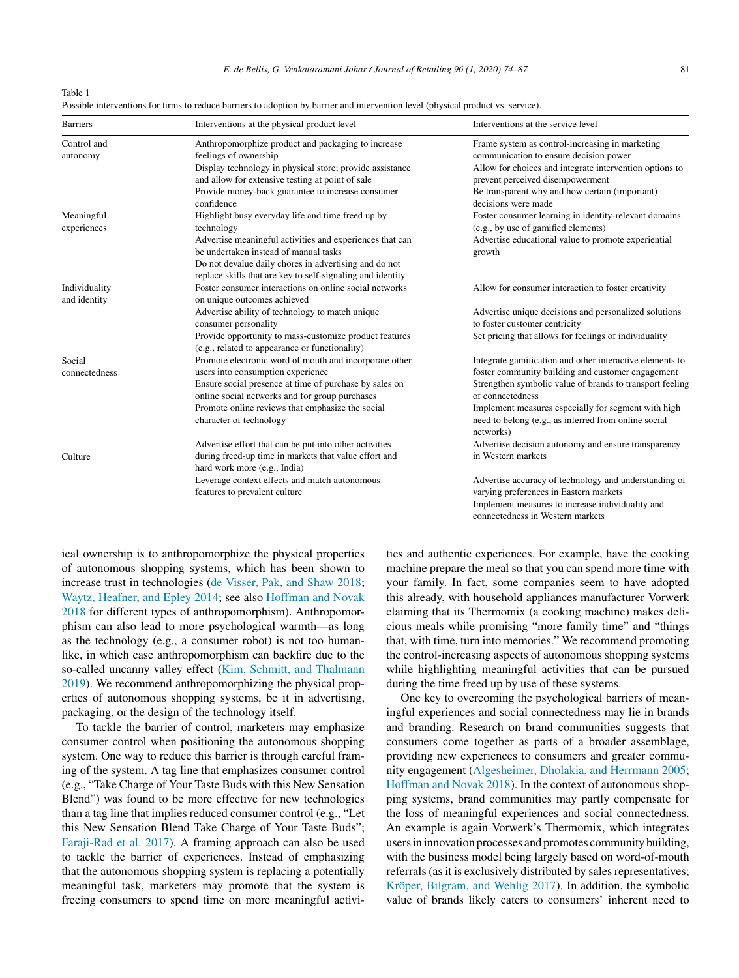<span id="page-7-0"></span>Table 1

| Possible interventions for firms to reduce barriers to adoption by barrier and intervention level (physical product vs. service). |  |  |  |
|-----------------------------------------------------------------------------------------------------------------------------------|--|--|--|
|                                                                                                                                   |  |  |  |

| <b>Barriers</b> | Interventions at the physical product level                | Interventions at the service level                       |
|-----------------|------------------------------------------------------------|----------------------------------------------------------|
| Control and     | Anthropomorphize product and packaging to increase         | Frame system as control-increasing in marketing          |
| autonomy        | feelings of ownership                                      | communication to ensure decision power                   |
|                 | Display technology in physical store; provide assistance   | Allow for choices and integrate intervention options to  |
|                 | and allow for extensive testing at point of sale           | prevent perceived disempowerment                         |
|                 | Provide money-back guarantee to increase consumer          | Be transparent why and how certain (important)           |
|                 | confidence                                                 | decisions were made                                      |
| Meaningful      | Highlight busy everyday life and time freed up by          | Foster consumer learning in identity-relevant domains    |
| experiences     | technology                                                 | (e.g., by use of gamified elements)                      |
|                 | Advertise meaningful activities and experiences that can   | Advertise educational value to promote experiential      |
|                 | be undertaken instead of manual tasks                      | growth                                                   |
|                 | Do not devalue daily chores in advertising and do not      |                                                          |
|                 | replace skills that are key to self-signaling and identity |                                                          |
| Individuality   | Foster consumer interactions on online social networks     | Allow for consumer interaction to foster creativity      |
| and identity    | on unique outcomes achieved                                |                                                          |
|                 | Advertise ability of technology to match unique            | Advertise unique decisions and personalized solutions    |
|                 | consumer personality                                       | to foster customer centricity                            |
|                 | Provide opportunity to mass-customize product features     | Set pricing that allows for feelings of individuality    |
|                 | (e.g., related to appearance or functionality)             |                                                          |
| Social          | Promote electronic word of mouth and incorporate other     | Integrate gamification and other interactive elements to |
| connectedness   | users into consumption experience                          | foster community building and customer engagement        |
|                 | Ensure social presence at time of purchase by sales on     | Strengthen symbolic value of brands to transport feeling |
|                 | online social networks and for group purchases             | of connectedness                                         |
|                 | Promote online reviews that emphasize the social           | Implement measures especially for segment with high      |
|                 | character of technology                                    | need to belong (e.g., as inferred from online social     |
|                 |                                                            | networks)                                                |
|                 | Advertise effort that can be put into other activities     | Advertise decision autonomy and ensure transparency      |
| Culture         | during freed-up time in markets that value effort and      | in Western markets                                       |
|                 | hard work more (e.g., India)                               |                                                          |
|                 | Leverage context effects and match autonomous              | Advertise accuracy of technology and understanding of    |
|                 | features to prevalent culture                              | varying preferences in Eastern markets                   |
|                 |                                                            | Implement measures to increase individuality and         |
|                 |                                                            | connectedness in Western markets                         |

ical ownership is to anthropomorphize the physical properties of autonomous shopping systems, which has been shown to increase trust in technologies [\(de](#page-11-0) [Visser,](#page-11-0) [Pak,](#page-11-0) [and](#page-11-0) [Shaw](#page-11-0) [2018;](#page-11-0) [Waytz,](#page-13-0) [Heafner,](#page-13-0) [and](#page-13-0) [Epley](#page-13-0) [2014;](#page-13-0) see also [Hoffman](#page-11-0) [and](#page-11-0) [Novak](#page-11-0) [2018](#page-11-0) for different types of anthropomorphism). Anthropomorphism can also lead to more psychological warmth—as long as the technology (e.g., a consumer robot) is not too humanlike, in which case anthropomorphism can backfire due to the so-called uncanny valley effect [\(Kim,](#page-11-0) [Schmitt,](#page-11-0) [and](#page-11-0) [Thalmann](#page-11-0) [2019\).](#page-11-0) We recommend anthropomorphizing the physical properties of autonomous shopping systems, be it in advertising, packaging, or the design of the technology itself.

To tackle the barrier of control, marketers may emphasize consumer control when positioning the autonomous shopping system. One way to reduce this barrier is through careful framing of the system. A tag line that emphasizes consumer control (e.g., "Take Charge of Your Taste Buds with this New Sensation Blend") was found to be more effective for new technologies than a tag line that implies reduced consumer control (e.g., "Let this New Sensation Blend Take Charge of Your Taste Buds"; [Faraji-Rad](#page-11-0) et [al.](#page-11-0) [2017\).](#page-11-0) A framing approach can also be used to tackle the barrier of experiences. Instead of emphasizing that the autonomous shopping system is replacing a potentially meaningful task, marketers may promote that the system is freeing consumers to spend time on more meaningful activities and authentic experiences. For example, have the cooking machine prepare the meal so that you can spend more time with your family. In fact, some companies seem to have adopted this already, with household appliances manufacturer Vorwerk claiming that its Thermomix (a cooking machine) makes delicious meals while promising "more family time" and "things that, with time, turn into memories." We recommend promoting the control-increasing aspects of autonomous shopping systems while highlighting meaningful activities that can be pursued during the time freed up by use of these systems.

One key to overcoming the psychological barriers of meaningful experiences and social connectedness may lie in brands and branding. Research on brand communities suggests that consumers come together as parts of a broader assemblage, providing new experiences to consumers and greater community engagement [\(Algesheimer,](#page-10-0) [Dholakia,](#page-10-0) [and](#page-10-0) [Herrmann](#page-10-0) [2005;](#page-10-0) [Hoffman](#page-11-0) [and](#page-11-0) [Novak](#page-11-0) [2018\).](#page-11-0) In the context of autonomous shopping systems, brand communities may partly compensate for the loss of meaningful experiences and social connectedness. An example is again Vorwerk's Thermomix, which integrates usersin innovation processes and promotes community building, with the business model being largely based on word-of-mouth referrals (as it is exclusively distributed by sales representatives; [Kröper,](#page-12-0) [Bilgram,](#page-12-0) [and](#page-12-0) [Wehlig](#page-12-0) [2017\).](#page-12-0) In addition, the symbolic value of brands likely caters to consumers' inherent need to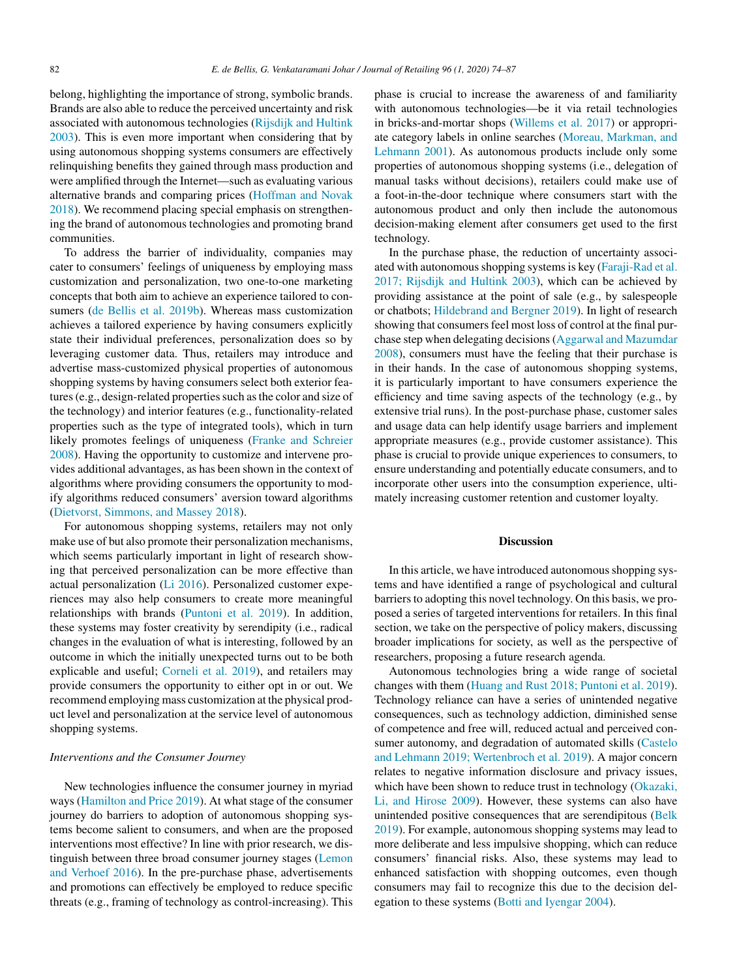belong, highlighting the importance of strong, symbolic brands. Brands are also able to reduce the perceived uncertainty and risk associated with autonomous technologies ([Rijsdijk](#page-12-0) [and](#page-12-0) [Hultink](#page-12-0) [2003\).](#page-12-0) This is even more important when considering that by using autonomous shopping systems consumers are effectively relinquishing benefits they gained through mass production and were amplified through the Internet—such as evaluating various alternative brands and comparing prices [\(Hoffman](#page-11-0) [and](#page-11-0) [Novak](#page-11-0) [2018\).](#page-11-0) We recommend placing special emphasis on strengthening the brand of autonomous technologies and promoting brand communities.

To address the barrier of individuality, companies may cater to consumers' feelings of uniqueness by employing mass customization and personalization, two one-to-one marketing concepts that both aim to achieve an experience tailored to consumers ([de](#page-11-0) [Bellis](#page-11-0) et [al.](#page-11-0) [2019b\).](#page-11-0) Whereas mass customization achieves a tailored experience by having consumers explicitly state their individual preferences, personalization does so by leveraging customer data. Thus, retailers may introduce and advertise mass-customized physical properties of autonomous shopping systems by having consumers select both exterior features (e.g., design-related properties such as the color and size of the technology) and interior features (e.g., functionality-related properties such as the type of integrated tools), which in turn likely promotes feelings of uniqueness ([Franke](#page-11-0) [and](#page-11-0) [Schreier](#page-11-0) [2008\).](#page-11-0) Having the opportunity to customize and intervene provides additional advantages, as has been shown in the context of algorithms where providing consumers the opportunity to modify algorithms reduced consumers' aversion toward algorithms [\(Dietvorst,](#page-11-0) [Simmons,](#page-11-0) [and](#page-11-0) [Massey](#page-11-0) [2018\).](#page-11-0)

For autonomous shopping systems, retailers may not only make use of but also promote their personalization mechanisms, which seems particularly important in light of research showing that perceived personalization can be more effective than actual personalization [\(Li](#page-12-0) [2016\).](#page-12-0) Personalized customer experiences may also help consumers to create more meaningful relationships with brands ([Puntoni](#page-12-0) et [al.](#page-12-0) [2019\).](#page-12-0) In addition, these systems may foster creativity by serendipity (i.e., radical changes in the evaluation of what is interesting, followed by an outcome in which the initially unexpected turns out to be both explicable and useful; [Corneli](#page-11-0) et [al.](#page-11-0) [2019\),](#page-11-0) and retailers may provide consumers the opportunity to either opt in or out. We recommend employing mass customization at the physical product level and personalization at the service level of autonomous shopping systems.

## *Interventions and the Consumer Journey*

New technologies influence the consumer journey in myriad ways ([Hamilton](#page-11-0) [and](#page-11-0) [Price](#page-11-0) [2019\).](#page-11-0) At what stage of the consumer journey do barriers to adoption of autonomous shopping systems become salient to consumers, and when are the proposed interventions most effective? In line with prior research, we distinguish between three broad consumer journey stages ([Lemon](#page-12-0) [and](#page-12-0) [Verhoef](#page-12-0) [2016\).](#page-12-0) In the pre-purchase phase, advertisements and promotions can effectively be employed to reduce specific threats (e.g., framing of technology as control-increasing). This phase is crucial to increase the awareness of and familiarity with autonomous technologies—be it via retail technologies in bricks-and-mortar shops [\(Willems](#page-13-0) et [al.](#page-13-0) [2017\)](#page-13-0) or appropriate category labels in online searches ([Moreau,](#page-12-0) [Markman,](#page-12-0) [and](#page-12-0) [Lehmann](#page-12-0) [2001\).](#page-12-0) As autonomous products include only some properties of autonomous shopping systems (i.e., delegation of manual tasks without decisions), retailers could make use of a foot-in-the-door technique where consumers start with the autonomous product and only then include the autonomous decision-making element after consumers get used to the first technology.

In the purchase phase, the reduction of uncertainty associ-ated with autonomous shopping systems is key ([Faraji-Rad](#page-11-0) et [al.](#page-11-0) [2017;](#page-11-0) [Rijsdijk](#page-11-0) [and](#page-11-0) [Hultink](#page-11-0) [2003\),](#page-11-0) which can be achieved by providing assistance at the point of sale (e.g., by salespeople or chatbots; [Hildebrand](#page-11-0) [and](#page-11-0) [Bergner](#page-11-0) [2019\).](#page-11-0) In light of research showing that consumers feel most loss of control at the final purchase step when delegating decisions[\(Aggarwal](#page-10-0) [and](#page-10-0) [Mazumdar](#page-10-0) [2008\),](#page-10-0) consumers must have the feeling that their purchase is in their hands. In the case of autonomous shopping systems, it is particularly important to have consumers experience the efficiency and time saving aspects of the technology (e.g., by extensive trial runs). In the post-purchase phase, customer sales and usage data can help identify usage barriers and implement appropriate measures (e.g., provide customer assistance). This phase is crucial to provide unique experiences to consumers, to ensure understanding and potentially educate consumers, and to incorporate other users into the consumption experience, ultimately increasing customer retention and customer loyalty.

### **Discussion**

In this article, we have introduced autonomous shopping systems and have identified a range of psychological and cultural barriers to adopting this novel technology. On this basis, we proposed a series of targeted interventions for retailers. In this final section, we take on the perspective of policy makers, discussing broader implications for society, as well as the perspective of researchers, proposing a future research agenda.

Autonomous technologies bring a wide range of societal changes with them ([Huang](#page-11-0) [and](#page-11-0) [Rust](#page-11-0) [2018;](#page-11-0) [Puntoni](#page-11-0) et [al.](#page-11-0) [2019\).](#page-11-0) Technology reliance can have a series of unintended negative consequences, such as technology addiction, diminished sense of competence and free will, reduced actual and perceived consumer autonomy, and degradation of automated skills ([Castelo](#page-10-0) [and](#page-10-0) [Lehmann](#page-10-0) [2019;](#page-10-0) [Wertenbroch](#page-10-0) et [al.](#page-10-0) [2019\).](#page-10-0) A major concern relates to negative information disclosure and privacy issues, which have been shown to reduce trust in technology [\(Okazaki,](#page-12-0) [Li,](#page-12-0) [and](#page-12-0) [Hirose](#page-12-0) [2009\).](#page-12-0) However, these systems can also have unintended positive consequences that are serendipitous [\(Belk](#page-10-0) [2019\).](#page-10-0) For example, autonomous shopping systems may lead to more deliberate and less impulsive shopping, which can reduce consumers' financial risks. Also, these systems may lead to enhanced satisfaction with shopping outcomes, even though consumers may fail to recognize this due to the decision delegation to these systems ([Botti](#page-10-0) [and](#page-10-0) [Iyengar](#page-10-0) [2004\).](#page-10-0)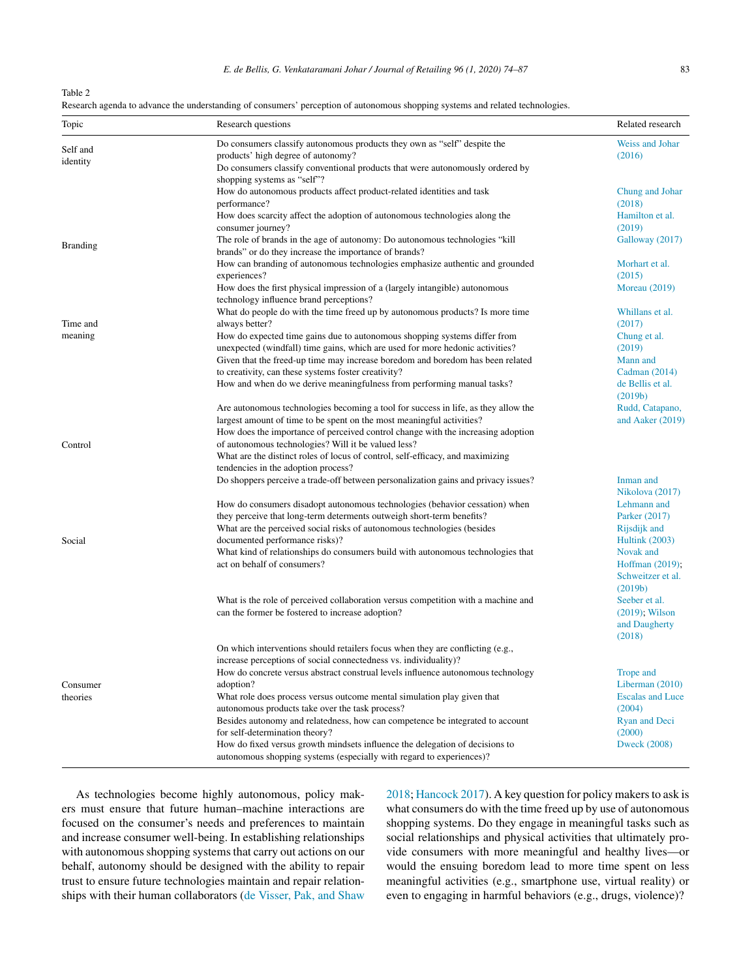<span id="page-9-0"></span>Table 2

| Research agenda to advance the understanding of consumers' perception of autonomous shopping systems and related technologies. |  |  |
|--------------------------------------------------------------------------------------------------------------------------------|--|--|
|                                                                                                                                |  |  |
|                                                                                                                                |  |  |

| Topic               | Research questions                                                                                                                                          | Related research                                   |
|---------------------|-------------------------------------------------------------------------------------------------------------------------------------------------------------|----------------------------------------------------|
| Self and            | Do consumers classify autonomous products they own as "self" despite the<br>products' high degree of autonomy?                                              | Weiss and Johar<br>(2016)                          |
| identity            | Do consumers classify conventional products that were autonomously ordered by<br>shopping systems as "self"?                                                |                                                    |
|                     | How do autonomous products affect product-related identities and task<br>performance?                                                                       | Chung and Johar<br>(2018)                          |
|                     | How does scarcity affect the adoption of autonomous technologies along the<br>consumer journey?                                                             | Hamilton et al.<br>(2019)                          |
| <b>Branding</b>     | The role of brands in the age of autonomy: Do autonomous technologies "kill<br>brands" or do they increase the importance of brands?                        | Galloway (2017)                                    |
|                     | How can branding of autonomous technologies emphasize authentic and grounded<br>experiences?                                                                | Morhart et al.<br>(2015)                           |
|                     | How does the first physical impression of a (largely intangible) autonomous<br>technology influence brand perceptions?                                      | Moreau $(2019)$                                    |
|                     | What do people do with the time freed up by autonomous products? Is more time<br>always better?                                                             | Whillans et al.<br>(2017)                          |
| Time and<br>meaning | How do expected time gains due to autonomous shopping systems differ from<br>unexpected (windfall) time gains, which are used for more hedonic activities?  | Chung et al.<br>(2019)                             |
|                     | Given that the freed-up time may increase boredom and boredom has been related<br>to creativity, can these systems foster creativity?                       | Mann and<br>Cadman $(2014)$                        |
|                     | How and when do we derive meaningfulness from performing manual tasks?                                                                                      | de Bellis et al.<br>(2019b)                        |
|                     | Are autonomous technologies becoming a tool for success in life, as they allow the<br>largest amount of time to be spent on the most meaningful activities? | Rudd, Catapano,<br>and Aaker (2019)                |
|                     | How does the importance of perceived control change with the increasing adoption                                                                            |                                                    |
| Control             | of autonomous technologies? Will it be valued less?<br>What are the distinct roles of locus of control, self-efficacy, and maximizing                       |                                                    |
|                     | tendencies in the adoption process?<br>Do shoppers perceive a trade-off between personalization gains and privacy issues?                                   | Inman and                                          |
|                     | How do consumers disadopt autonomous technologies (behavior cessation) when                                                                                 | Nikolova (2017)<br>Lehmann and                     |
|                     | they perceive that long-term determents outweigh short-term benefits?<br>What are the perceived social risks of autonomous technologies (besides            | Parker (2017)<br>Rijsdijk and                      |
| Social              | documented performance risks)?<br>What kind of relationships do consumers build with autonomous technologies that                                           | Hultink $(2003)$<br>Novak and                      |
|                     | act on behalf of consumers?                                                                                                                                 | Hoffman $(2019)$ ;<br>Schweitzer et al.<br>(2019b) |
|                     | What is the role of perceived collaboration versus competition with a machine and<br>can the former be fostered to increase adoption?                       | Seeber et al.<br>$(2019)$ ; Wilson                 |
|                     |                                                                                                                                                             | and Daugherty<br>(2018)                            |
|                     | On which interventions should retailers focus when they are conflicting $(e.g.,)$<br>increase perceptions of social connectedness vs. individuality)?       |                                                    |
| Consumer            | How do concrete versus abstract construal levels influence autonomous technology<br>adoption?                                                               | Trope and<br>Liberman (2010)                       |
| theories            | What role does process versus outcome mental simulation play given that<br>autonomous products take over the task process?                                  | <b>Escalas and Luce</b><br>(2004)                  |
|                     | Besides autonomy and relatedness, how can competence be integrated to account<br>for self-determination theory?                                             | Ryan and Deci<br>(2000)                            |
|                     | How do fixed versus growth mindsets influence the delegation of decisions to<br>autonomous shopping systems (especially with regard to experiences)?        | <b>Dweck (2008)</b>                                |

As technologies become highly autonomous, policy makers must ensure that future human–machine interactions are focused on the consumer's needs and preferences to maintain and increase consumer well-being. In establishing relationships with autonomous shopping systems that carry out actions on our behalf, autonomy should be designed with the ability to repair trust to ensure future technologies maintain and repair relationships with their human collaborators ([de](#page-11-0) [Visser,](#page-11-0) [Pak,](#page-11-0) [and](#page-11-0) [Shaw](#page-11-0) [2018;](#page-11-0) [Hancock](#page-11-0) [2017\).](#page-11-0) A key question for policy makers to ask is what consumers do with the time freed up by use of autonomous shopping systems. Do they engage in meaningful tasks such as social relationships and physical activities that ultimately provide consumers with more meaningful and healthy lives—or would the ensuing boredom lead to more time spent on less meaningful activities (e.g., smartphone use, virtual reality) or even to engaging in harmful behaviors (e.g., drugs, violence)?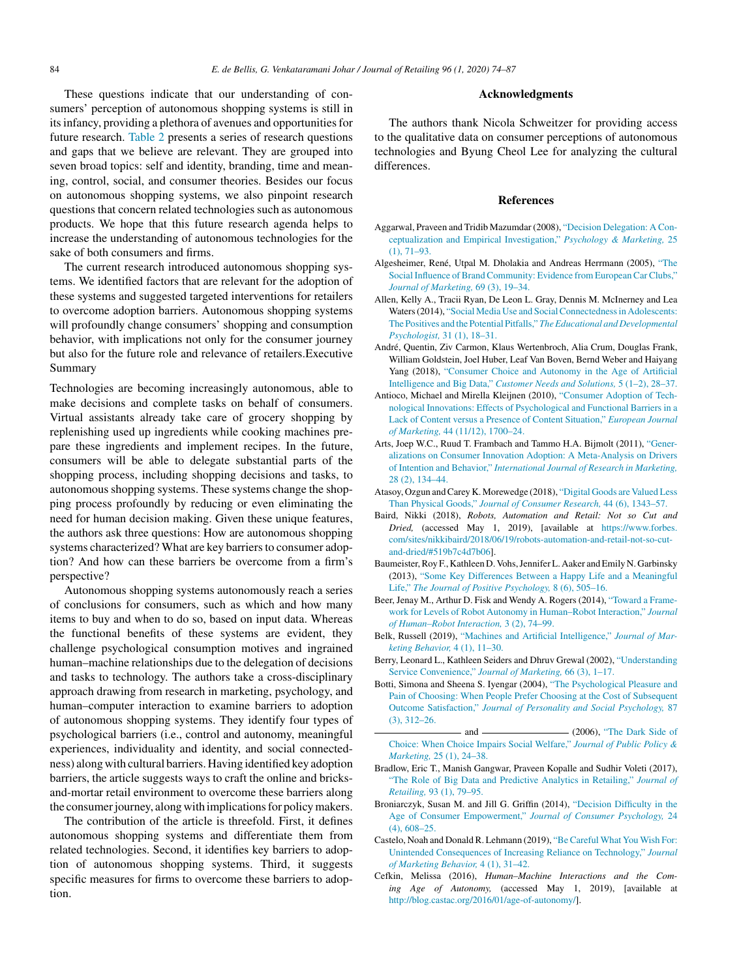<span id="page-10-0"></span>These questions indicate that our understanding of consumers' perception of autonomous shopping systems is still in its infancy, providing a plethora of avenues and opportunities for future research. [Table](#page-9-0) 2 presents a series of research questions and gaps that we believe are relevant. They are grouped into seven broad topics: self and identity, branding, time and meaning, control, social, and consumer theories. Besides our focus on autonomous shopping systems, we also pinpoint research questions that concern related technologies such as autonomous products. We hope that this future research agenda helps to increase the understanding of autonomous technologies for the sake of both consumers and firms.

The current research introduced autonomous shopping systems. We identified factors that are relevant for the adoption of these systems and suggested targeted interventions for retailers to overcome adoption barriers. Autonomous shopping systems will profoundly change consumers' shopping and consumption behavior, with implications not only for the consumer journey but also for the future role and relevance of retailers.Executive Summary

Technologies are becoming increasingly autonomous, able to make decisions and complete tasks on behalf of consumers. Virtual assistants already take care of grocery shopping by replenishing used up ingredients while cooking machines prepare these ingredients and implement recipes. In the future, consumers will be able to delegate substantial parts of the shopping process, including shopping decisions and tasks, to autonomous shopping systems. These systems change the shopping process profoundly by reducing or even eliminating the need for human decision making. Given these unique features, the authors ask three questions: How are autonomous shopping systems characterized? What are key barriers to consumer adoption? And how can these barriers be overcome from a firm's perspective?

Autonomous shopping systems autonomously reach a series of conclusions for consumers, such as which and how many items to buy and when to do so, based on input data. Whereas the functional benefits of these systems are evident, they challenge psychological consumption motives and ingrained human–machine relationships due to the delegation of decisions and tasks to technology. The authors take a cross-disciplinary approach drawing from research in marketing, psychology, and human–computer interaction to examine barriers to adoption of autonomous shopping systems. They identify four types of psychological barriers (i.e., control and autonomy, meaningful experiences, individuality and identity, and social connectedness) along with cultural barriers. Having identified key adoption barriers, the article suggests ways to craft the online and bricksand-mortar retail environment to overcome these barriers along the consumer journey, along with implications for policy makers.

The contribution of the article is threefold. First, it defines autonomous shopping systems and differentiate them from related technologies. Second, it identifies key barriers to adoption of autonomous shopping systems. Third, it suggests specific measures for firms to overcome these barriers to adoption.

#### **Acknowledgments**

The authors thank Nicola Schweitzer for providing access to the qualitative data on consumer perceptions of autonomous technologies and Byung Cheol Lee for analyzing the cultural differences.

#### **References**

- Aggarwal, Praveen and Tridib Mazumdar (2008), ["Decision](http://refhub.elsevier.com/S0022-4359(19)30092-2/sbref0005) [Delegation:](http://refhub.elsevier.com/S0022-4359(19)30092-2/sbref0005) [A](http://refhub.elsevier.com/S0022-4359(19)30092-2/sbref0005) [Con](http://refhub.elsevier.com/S0022-4359(19)30092-2/sbref0005)[ceptualization](http://refhub.elsevier.com/S0022-4359(19)30092-2/sbref0005) [and](http://refhub.elsevier.com/S0022-4359(19)30092-2/sbref0005) [Empirical](http://refhub.elsevier.com/S0022-4359(19)30092-2/sbref0005) [Investigation,"](http://refhub.elsevier.com/S0022-4359(19)30092-2/sbref0005) *[Psychology](http://refhub.elsevier.com/S0022-4359(19)30092-2/sbref0005) [&](http://refhub.elsevier.com/S0022-4359(19)30092-2/sbref0005) [Marketing,](http://refhub.elsevier.com/S0022-4359(19)30092-2/sbref0005)* [25](http://refhub.elsevier.com/S0022-4359(19)30092-2/sbref0005) [\(1\),](http://refhub.elsevier.com/S0022-4359(19)30092-2/sbref0005) [71–93.](http://refhub.elsevier.com/S0022-4359(19)30092-2/sbref0005)
- Algesheimer, René, Utpal M. Dholakia and Andreas Herrmann (2005), ["The](http://refhub.elsevier.com/S0022-4359(19)30092-2/sbref0010) [Social](http://refhub.elsevier.com/S0022-4359(19)30092-2/sbref0010) [Influence](http://refhub.elsevier.com/S0022-4359(19)30092-2/sbref0010) [of](http://refhub.elsevier.com/S0022-4359(19)30092-2/sbref0010) [Brand](http://refhub.elsevier.com/S0022-4359(19)30092-2/sbref0010) [Community:](http://refhub.elsevier.com/S0022-4359(19)30092-2/sbref0010) [Evidence](http://refhub.elsevier.com/S0022-4359(19)30092-2/sbref0010) [from](http://refhub.elsevier.com/S0022-4359(19)30092-2/sbref0010) [European](http://refhub.elsevier.com/S0022-4359(19)30092-2/sbref0010) [Car](http://refhub.elsevier.com/S0022-4359(19)30092-2/sbref0010) [Clubs,"](http://refhub.elsevier.com/S0022-4359(19)30092-2/sbref0010) *[Journal](http://refhub.elsevier.com/S0022-4359(19)30092-2/sbref0010) [of](http://refhub.elsevier.com/S0022-4359(19)30092-2/sbref0010) [Marketing,](http://refhub.elsevier.com/S0022-4359(19)30092-2/sbref0010)* [69](http://refhub.elsevier.com/S0022-4359(19)30092-2/sbref0010) [\(3\),](http://refhub.elsevier.com/S0022-4359(19)30092-2/sbref0010) [19](http://refhub.elsevier.com/S0022-4359(19)30092-2/sbref0010)–[34.](http://refhub.elsevier.com/S0022-4359(19)30092-2/sbref0010)
- Allen, Kelly A., Tracii Ryan, De Leon L. Gray, Dennis M. McInerney and Lea Waters (2014), ["Social](http://refhub.elsevier.com/S0022-4359(19)30092-2/sbref0015) [Media](http://refhub.elsevier.com/S0022-4359(19)30092-2/sbref0015) [Use](http://refhub.elsevier.com/S0022-4359(19)30092-2/sbref0015) [and](http://refhub.elsevier.com/S0022-4359(19)30092-2/sbref0015) Social Connectedness in [Adolescents:](http://refhub.elsevier.com/S0022-4359(19)30092-2/sbref0015) [The](http://refhub.elsevier.com/S0022-4359(19)30092-2/sbref0015) [Positives](http://refhub.elsevier.com/S0022-4359(19)30092-2/sbref0015) [and](http://refhub.elsevier.com/S0022-4359(19)30092-2/sbref0015) [the](http://refhub.elsevier.com/S0022-4359(19)30092-2/sbref0015) [Potential](http://refhub.elsevier.com/S0022-4359(19)30092-2/sbref0015) [Pitfalls,"](http://refhub.elsevier.com/S0022-4359(19)30092-2/sbref0015) *The Educational and Developmental [Psychologist,](http://refhub.elsevier.com/S0022-4359(19)30092-2/sbref0015)* [31](http://refhub.elsevier.com/S0022-4359(19)30092-2/sbref0015) [\(1\),](http://refhub.elsevier.com/S0022-4359(19)30092-2/sbref0015) [18](http://refhub.elsevier.com/S0022-4359(19)30092-2/sbref0015)–[31.](http://refhub.elsevier.com/S0022-4359(19)30092-2/sbref0015)
- André, Quentin, Ziv Carmon, Klaus Wertenbroch, Alia Crum, Douglas Frank, William Goldstein, Joel Huber, Leaf Van Boven, Bernd Weber and Haiyang Yang (2018), ["Consumer](http://refhub.elsevier.com/S0022-4359(19)30092-2/sbref0020) [Choice](http://refhub.elsevier.com/S0022-4359(19)30092-2/sbref0020) [and](http://refhub.elsevier.com/S0022-4359(19)30092-2/sbref0020) [Autonomy](http://refhub.elsevier.com/S0022-4359(19)30092-2/sbref0020) [in](http://refhub.elsevier.com/S0022-4359(19)30092-2/sbref0020) [the](http://refhub.elsevier.com/S0022-4359(19)30092-2/sbref0020) [Age](http://refhub.elsevier.com/S0022-4359(19)30092-2/sbref0020) [of](http://refhub.elsevier.com/S0022-4359(19)30092-2/sbref0020) [Artificial](http://refhub.elsevier.com/S0022-4359(19)30092-2/sbref0020) [Intelligence](http://refhub.elsevier.com/S0022-4359(19)30092-2/sbref0020) [and](http://refhub.elsevier.com/S0022-4359(19)30092-2/sbref0020) [Big](http://refhub.elsevier.com/S0022-4359(19)30092-2/sbref0020) [Data,"](http://refhub.elsevier.com/S0022-4359(19)30092-2/sbref0020) *[Customer](http://refhub.elsevier.com/S0022-4359(19)30092-2/sbref0020) [Needs](http://refhub.elsevier.com/S0022-4359(19)30092-2/sbref0020) [and](http://refhub.elsevier.com/S0022-4359(19)30092-2/sbref0020) [Solutions,](http://refhub.elsevier.com/S0022-4359(19)30092-2/sbref0020)* [5](http://refhub.elsevier.com/S0022-4359(19)30092-2/sbref0020) [\(1](http://refhub.elsevier.com/S0022-4359(19)30092-2/sbref0020)–[2\),](http://refhub.elsevier.com/S0022-4359(19)30092-2/sbref0020) [28](http://refhub.elsevier.com/S0022-4359(19)30092-2/sbref0020)–[37.](http://refhub.elsevier.com/S0022-4359(19)30092-2/sbref0020)
- Antioco, Michael and Mirella Kleijnen (2010), ["Consumer](http://refhub.elsevier.com/S0022-4359(19)30092-2/sbref0025) [Adoption](http://refhub.elsevier.com/S0022-4359(19)30092-2/sbref0025) [of](http://refhub.elsevier.com/S0022-4359(19)30092-2/sbref0025) [Tech](http://refhub.elsevier.com/S0022-4359(19)30092-2/sbref0025)[nological](http://refhub.elsevier.com/S0022-4359(19)30092-2/sbref0025) [Innovations:](http://refhub.elsevier.com/S0022-4359(19)30092-2/sbref0025) [Effects](http://refhub.elsevier.com/S0022-4359(19)30092-2/sbref0025) [of](http://refhub.elsevier.com/S0022-4359(19)30092-2/sbref0025) [Psychological](http://refhub.elsevier.com/S0022-4359(19)30092-2/sbref0025) [and](http://refhub.elsevier.com/S0022-4359(19)30092-2/sbref0025) [Functional](http://refhub.elsevier.com/S0022-4359(19)30092-2/sbref0025) [Barriers](http://refhub.elsevier.com/S0022-4359(19)30092-2/sbref0025) [in](http://refhub.elsevier.com/S0022-4359(19)30092-2/sbref0025) [a](http://refhub.elsevier.com/S0022-4359(19)30092-2/sbref0025) [Lack](http://refhub.elsevier.com/S0022-4359(19)30092-2/sbref0025) [of](http://refhub.elsevier.com/S0022-4359(19)30092-2/sbref0025) [Content](http://refhub.elsevier.com/S0022-4359(19)30092-2/sbref0025) [versus](http://refhub.elsevier.com/S0022-4359(19)30092-2/sbref0025) [a](http://refhub.elsevier.com/S0022-4359(19)30092-2/sbref0025) [Presence](http://refhub.elsevier.com/S0022-4359(19)30092-2/sbref0025) [of](http://refhub.elsevier.com/S0022-4359(19)30092-2/sbref0025) [Content](http://refhub.elsevier.com/S0022-4359(19)30092-2/sbref0025) [Situation,"](http://refhub.elsevier.com/S0022-4359(19)30092-2/sbref0025) *[European](http://refhub.elsevier.com/S0022-4359(19)30092-2/sbref0025) [Journal](http://refhub.elsevier.com/S0022-4359(19)30092-2/sbref0025) [of](http://refhub.elsevier.com/S0022-4359(19)30092-2/sbref0025) [Marketing,](http://refhub.elsevier.com/S0022-4359(19)30092-2/sbref0025)* [44](http://refhub.elsevier.com/S0022-4359(19)30092-2/sbref0025) [\(11/12\),](http://refhub.elsevier.com/S0022-4359(19)30092-2/sbref0025) [1700](http://refhub.elsevier.com/S0022-4359(19)30092-2/sbref0025)–[24.](http://refhub.elsevier.com/S0022-4359(19)30092-2/sbref0025)
- Arts, Joep W.C., Ruud T. Frambach and Tammo H.A. Bijmolt (2011), ["Gener](http://refhub.elsevier.com/S0022-4359(19)30092-2/sbref0030)[alizations](http://refhub.elsevier.com/S0022-4359(19)30092-2/sbref0030) [on](http://refhub.elsevier.com/S0022-4359(19)30092-2/sbref0030) [Consumer](http://refhub.elsevier.com/S0022-4359(19)30092-2/sbref0030) [Innovation](http://refhub.elsevier.com/S0022-4359(19)30092-2/sbref0030) [Adoption:](http://refhub.elsevier.com/S0022-4359(19)30092-2/sbref0030) [A](http://refhub.elsevier.com/S0022-4359(19)30092-2/sbref0030) [Meta-Analysis](http://refhub.elsevier.com/S0022-4359(19)30092-2/sbref0030) [on](http://refhub.elsevier.com/S0022-4359(19)30092-2/sbref0030) [Drivers](http://refhub.elsevier.com/S0022-4359(19)30092-2/sbref0030) [of](http://refhub.elsevier.com/S0022-4359(19)30092-2/sbref0030) [Intention](http://refhub.elsevier.com/S0022-4359(19)30092-2/sbref0030) [and](http://refhub.elsevier.com/S0022-4359(19)30092-2/sbref0030) [Behavior,"](http://refhub.elsevier.com/S0022-4359(19)30092-2/sbref0030) *[International](http://refhub.elsevier.com/S0022-4359(19)30092-2/sbref0030) [Journal](http://refhub.elsevier.com/S0022-4359(19)30092-2/sbref0030) [of](http://refhub.elsevier.com/S0022-4359(19)30092-2/sbref0030) [Research](http://refhub.elsevier.com/S0022-4359(19)30092-2/sbref0030) [in](http://refhub.elsevier.com/S0022-4359(19)30092-2/sbref0030) [Marketing,](http://refhub.elsevier.com/S0022-4359(19)30092-2/sbref0030)* [28](http://refhub.elsevier.com/S0022-4359(19)30092-2/sbref0030) [\(2\),](http://refhub.elsevier.com/S0022-4359(19)30092-2/sbref0030) [134–44.](http://refhub.elsevier.com/S0022-4359(19)30092-2/sbref0030)
- Atasoy, Ozgun and Carey K. Morewedge (2018), ["Digital](http://refhub.elsevier.com/S0022-4359(19)30092-2/sbref0035) [Goods](http://refhub.elsevier.com/S0022-4359(19)30092-2/sbref0035) [are](http://refhub.elsevier.com/S0022-4359(19)30092-2/sbref0035) [Valued](http://refhub.elsevier.com/S0022-4359(19)30092-2/sbref0035) [Less](http://refhub.elsevier.com/S0022-4359(19)30092-2/sbref0035) [Than](http://refhub.elsevier.com/S0022-4359(19)30092-2/sbref0035) [Physical](http://refhub.elsevier.com/S0022-4359(19)30092-2/sbref0035) [Goods,"](http://refhub.elsevier.com/S0022-4359(19)30092-2/sbref0035) *[Journal](http://refhub.elsevier.com/S0022-4359(19)30092-2/sbref0035) [of](http://refhub.elsevier.com/S0022-4359(19)30092-2/sbref0035) [Consumer](http://refhub.elsevier.com/S0022-4359(19)30092-2/sbref0035) [Research,](http://refhub.elsevier.com/S0022-4359(19)30092-2/sbref0035)* [44](http://refhub.elsevier.com/S0022-4359(19)30092-2/sbref0035) [\(6\),](http://refhub.elsevier.com/S0022-4359(19)30092-2/sbref0035) [1343–57.](http://refhub.elsevier.com/S0022-4359(19)30092-2/sbref0035)
- Baird, Nikki (2018), *Robots, Automation and Retail: Not so Cut and Dried,* (accessed May 1, 2019), [available at [https://www.forbes.](https://www.forbes.com/sites/nikkibaird/2018/06/19/robots-automation-and-retail-not-so-cut-and-dried/#519b7c4d7b06) [com/sites/nikkibaird/2018/06/19/robots-automation-and-retail-not-so-cut](https://www.forbes.com/sites/nikkibaird/2018/06/19/robots-automation-and-retail-not-so-cut-and-dried/#519b7c4d7b06)[and-dried/#519b7c4d7b06\]](https://www.forbes.com/sites/nikkibaird/2018/06/19/robots-automation-and-retail-not-so-cut-and-dried/#519b7c4d7b06).
- Baumeister, Roy F., Kathleen D. Vohs, Jennifer L. Aaker and Emily N. Garbinsky (2013), ["Some](http://refhub.elsevier.com/S0022-4359(19)30092-2/sbref0045) [Key](http://refhub.elsevier.com/S0022-4359(19)30092-2/sbref0045) [Differences](http://refhub.elsevier.com/S0022-4359(19)30092-2/sbref0045) [Between](http://refhub.elsevier.com/S0022-4359(19)30092-2/sbref0045) [a](http://refhub.elsevier.com/S0022-4359(19)30092-2/sbref0045) [Happy](http://refhub.elsevier.com/S0022-4359(19)30092-2/sbref0045) [Life](http://refhub.elsevier.com/S0022-4359(19)30092-2/sbref0045) [and](http://refhub.elsevier.com/S0022-4359(19)30092-2/sbref0045) [a](http://refhub.elsevier.com/S0022-4359(19)30092-2/sbref0045) [Meaningful](http://refhub.elsevier.com/S0022-4359(19)30092-2/sbref0045) [Life,"](http://refhub.elsevier.com/S0022-4359(19)30092-2/sbref0045) *[The](http://refhub.elsevier.com/S0022-4359(19)30092-2/sbref0045) [Journal](http://refhub.elsevier.com/S0022-4359(19)30092-2/sbref0045) [of](http://refhub.elsevier.com/S0022-4359(19)30092-2/sbref0045) [Positive](http://refhub.elsevier.com/S0022-4359(19)30092-2/sbref0045) [Psychology,](http://refhub.elsevier.com/S0022-4359(19)30092-2/sbref0045)* [8](http://refhub.elsevier.com/S0022-4359(19)30092-2/sbref0045) [\(6\),](http://refhub.elsevier.com/S0022-4359(19)30092-2/sbref0045) [505](http://refhub.elsevier.com/S0022-4359(19)30092-2/sbref0045)–[16.](http://refhub.elsevier.com/S0022-4359(19)30092-2/sbref0045)
- Beer, Jenay M., Arthur D. Fisk and Wendy A. Rogers (2014), ["Toward](http://refhub.elsevier.com/S0022-4359(19)30092-2/sbref0050) [a](http://refhub.elsevier.com/S0022-4359(19)30092-2/sbref0050) [Frame](http://refhub.elsevier.com/S0022-4359(19)30092-2/sbref0050)[work](http://refhub.elsevier.com/S0022-4359(19)30092-2/sbref0050) [for](http://refhub.elsevier.com/S0022-4359(19)30092-2/sbref0050) [Levels](http://refhub.elsevier.com/S0022-4359(19)30092-2/sbref0050) [of](http://refhub.elsevier.com/S0022-4359(19)30092-2/sbref0050) [Robot](http://refhub.elsevier.com/S0022-4359(19)30092-2/sbref0050) [Autonomy](http://refhub.elsevier.com/S0022-4359(19)30092-2/sbref0050) [in](http://refhub.elsevier.com/S0022-4359(19)30092-2/sbref0050) [Human–Robot](http://refhub.elsevier.com/S0022-4359(19)30092-2/sbref0050) [Interaction,"](http://refhub.elsevier.com/S0022-4359(19)30092-2/sbref0050) *[Journal](http://refhub.elsevier.com/S0022-4359(19)30092-2/sbref0050) [of](http://refhub.elsevier.com/S0022-4359(19)30092-2/sbref0050) [Human–Robot](http://refhub.elsevier.com/S0022-4359(19)30092-2/sbref0050) [Interaction,](http://refhub.elsevier.com/S0022-4359(19)30092-2/sbref0050)* [3](http://refhub.elsevier.com/S0022-4359(19)30092-2/sbref0050) [\(2\),](http://refhub.elsevier.com/S0022-4359(19)30092-2/sbref0050) [74–99.](http://refhub.elsevier.com/S0022-4359(19)30092-2/sbref0050)
- Belk, Russell (2019), ["Machines](http://refhub.elsevier.com/S0022-4359(19)30092-2/sbref0055) [and](http://refhub.elsevier.com/S0022-4359(19)30092-2/sbref0055) [Artificial](http://refhub.elsevier.com/S0022-4359(19)30092-2/sbref0055) [Intelligence,"](http://refhub.elsevier.com/S0022-4359(19)30092-2/sbref0055) *[Journal](http://refhub.elsevier.com/S0022-4359(19)30092-2/sbref0055) [of](http://refhub.elsevier.com/S0022-4359(19)30092-2/sbref0055) [Mar](http://refhub.elsevier.com/S0022-4359(19)30092-2/sbref0055)[keting](http://refhub.elsevier.com/S0022-4359(19)30092-2/sbref0055) [Behavior,](http://refhub.elsevier.com/S0022-4359(19)30092-2/sbref0055)* [4](http://refhub.elsevier.com/S0022-4359(19)30092-2/sbref0055) [\(1\),](http://refhub.elsevier.com/S0022-4359(19)30092-2/sbref0055) [11](http://refhub.elsevier.com/S0022-4359(19)30092-2/sbref0055)–[30.](http://refhub.elsevier.com/S0022-4359(19)30092-2/sbref0055)
- Berry, Leonard L., Kathleen Seiders and Dhruv Grewal (2002), ["Understanding](http://refhub.elsevier.com/S0022-4359(19)30092-2/sbref0060) [Service](http://refhub.elsevier.com/S0022-4359(19)30092-2/sbref0060) [Convenience,"](http://refhub.elsevier.com/S0022-4359(19)30092-2/sbref0060) *[Journal](http://refhub.elsevier.com/S0022-4359(19)30092-2/sbref0060) [of](http://refhub.elsevier.com/S0022-4359(19)30092-2/sbref0060) [Marketing,](http://refhub.elsevier.com/S0022-4359(19)30092-2/sbref0060)* [66](http://refhub.elsevier.com/S0022-4359(19)30092-2/sbref0060) [\(3\),](http://refhub.elsevier.com/S0022-4359(19)30092-2/sbref0060) [1](http://refhub.elsevier.com/S0022-4359(19)30092-2/sbref0060)–[17.](http://refhub.elsevier.com/S0022-4359(19)30092-2/sbref0060)
- Botti, Simona and Sheena S. Iyengar (2004), ["The](http://refhub.elsevier.com/S0022-4359(19)30092-2/sbref0065) [Psychological](http://refhub.elsevier.com/S0022-4359(19)30092-2/sbref0065) [Pleasure](http://refhub.elsevier.com/S0022-4359(19)30092-2/sbref0065) [and](http://refhub.elsevier.com/S0022-4359(19)30092-2/sbref0065) [Pain](http://refhub.elsevier.com/S0022-4359(19)30092-2/sbref0065) [of](http://refhub.elsevier.com/S0022-4359(19)30092-2/sbref0065) [Choosing:](http://refhub.elsevier.com/S0022-4359(19)30092-2/sbref0065) [When](http://refhub.elsevier.com/S0022-4359(19)30092-2/sbref0065) [People](http://refhub.elsevier.com/S0022-4359(19)30092-2/sbref0065) [Prefer](http://refhub.elsevier.com/S0022-4359(19)30092-2/sbref0065) [Choosing](http://refhub.elsevier.com/S0022-4359(19)30092-2/sbref0065) [at](http://refhub.elsevier.com/S0022-4359(19)30092-2/sbref0065) [the](http://refhub.elsevier.com/S0022-4359(19)30092-2/sbref0065) [Cost](http://refhub.elsevier.com/S0022-4359(19)30092-2/sbref0065) [of](http://refhub.elsevier.com/S0022-4359(19)30092-2/sbref0065) [Subsequent](http://refhub.elsevier.com/S0022-4359(19)30092-2/sbref0065) [Outcome](http://refhub.elsevier.com/S0022-4359(19)30092-2/sbref0065) [Satisfaction,"](http://refhub.elsevier.com/S0022-4359(19)30092-2/sbref0065) *[Journal](http://refhub.elsevier.com/S0022-4359(19)30092-2/sbref0065) [of](http://refhub.elsevier.com/S0022-4359(19)30092-2/sbref0065) [Personality](http://refhub.elsevier.com/S0022-4359(19)30092-2/sbref0065) [and](http://refhub.elsevier.com/S0022-4359(19)30092-2/sbref0065) [Social](http://refhub.elsevier.com/S0022-4359(19)30092-2/sbref0065) [Psychology,](http://refhub.elsevier.com/S0022-4359(19)30092-2/sbref0065)* [87](http://refhub.elsevier.com/S0022-4359(19)30092-2/sbref0065) [\(3\),](http://refhub.elsevier.com/S0022-4359(19)30092-2/sbref0065) [312–26.](http://refhub.elsevier.com/S0022-4359(19)30092-2/sbref0065)
- and  $\frac{1}{2006}$ , ["The](http://refhub.elsevier.com/S0022-4359(19)30092-2/sbref0070) [Dark](http://refhub.elsevier.com/S0022-4359(19)30092-2/sbref0070) [Side](http://refhub.elsevier.com/S0022-4359(19)30092-2/sbref0070) [of](http://refhub.elsevier.com/S0022-4359(19)30092-2/sbref0070) [Choice:](http://refhub.elsevier.com/S0022-4359(19)30092-2/sbref0070) [When](http://refhub.elsevier.com/S0022-4359(19)30092-2/sbref0070) [Choice](http://refhub.elsevier.com/S0022-4359(19)30092-2/sbref0070) [Impairs](http://refhub.elsevier.com/S0022-4359(19)30092-2/sbref0070) [Social](http://refhub.elsevier.com/S0022-4359(19)30092-2/sbref0070) [Welfare,"](http://refhub.elsevier.com/S0022-4359(19)30092-2/sbref0070) *[Journal](http://refhub.elsevier.com/S0022-4359(19)30092-2/sbref0070) [of](http://refhub.elsevier.com/S0022-4359(19)30092-2/sbref0070) [Public](http://refhub.elsevier.com/S0022-4359(19)30092-2/sbref0070) [Policy](http://refhub.elsevier.com/S0022-4359(19)30092-2/sbref0070) [&](http://refhub.elsevier.com/S0022-4359(19)30092-2/sbref0070) [Marketing,](http://refhub.elsevier.com/S0022-4359(19)30092-2/sbref0070)* [25](http://refhub.elsevier.com/S0022-4359(19)30092-2/sbref0070) [\(1\),](http://refhub.elsevier.com/S0022-4359(19)30092-2/sbref0070) [24](http://refhub.elsevier.com/S0022-4359(19)30092-2/sbref0070)–[38.](http://refhub.elsevier.com/S0022-4359(19)30092-2/sbref0070)
- Bradlow, Eric T., Manish Gangwar, Praveen Kopalle and Sudhir Voleti (2017), ["The](http://refhub.elsevier.com/S0022-4359(19)30092-2/sbref0075) [Role](http://refhub.elsevier.com/S0022-4359(19)30092-2/sbref0075) [of](http://refhub.elsevier.com/S0022-4359(19)30092-2/sbref0075) [Big](http://refhub.elsevier.com/S0022-4359(19)30092-2/sbref0075) [Data](http://refhub.elsevier.com/S0022-4359(19)30092-2/sbref0075) [and](http://refhub.elsevier.com/S0022-4359(19)30092-2/sbref0075) [Predictive](http://refhub.elsevier.com/S0022-4359(19)30092-2/sbref0075) [Analytics](http://refhub.elsevier.com/S0022-4359(19)30092-2/sbref0075) [in](http://refhub.elsevier.com/S0022-4359(19)30092-2/sbref0075) [Retailing,"](http://refhub.elsevier.com/S0022-4359(19)30092-2/sbref0075) *[Journal](http://refhub.elsevier.com/S0022-4359(19)30092-2/sbref0075) [of](http://refhub.elsevier.com/S0022-4359(19)30092-2/sbref0075) [Retailing,](http://refhub.elsevier.com/S0022-4359(19)30092-2/sbref0075)* [93](http://refhub.elsevier.com/S0022-4359(19)30092-2/sbref0075) [\(1\),](http://refhub.elsevier.com/S0022-4359(19)30092-2/sbref0075) [79–95.](http://refhub.elsevier.com/S0022-4359(19)30092-2/sbref0075)
- Broniarczyk, Susan M. and Jill G. Griffin (2014), ["Decision](http://refhub.elsevier.com/S0022-4359(19)30092-2/sbref0080) [Difficulty](http://refhub.elsevier.com/S0022-4359(19)30092-2/sbref0080) [in](http://refhub.elsevier.com/S0022-4359(19)30092-2/sbref0080) [the](http://refhub.elsevier.com/S0022-4359(19)30092-2/sbref0080) [Age](http://refhub.elsevier.com/S0022-4359(19)30092-2/sbref0080) [of](http://refhub.elsevier.com/S0022-4359(19)30092-2/sbref0080) [Consumer](http://refhub.elsevier.com/S0022-4359(19)30092-2/sbref0080) [Empowerment,"](http://refhub.elsevier.com/S0022-4359(19)30092-2/sbref0080) *[Journal](http://refhub.elsevier.com/S0022-4359(19)30092-2/sbref0080) [of](http://refhub.elsevier.com/S0022-4359(19)30092-2/sbref0080) [Consumer](http://refhub.elsevier.com/S0022-4359(19)30092-2/sbref0080) [Psychology,](http://refhub.elsevier.com/S0022-4359(19)30092-2/sbref0080)* [24](http://refhub.elsevier.com/S0022-4359(19)30092-2/sbref0080) [\(4\),](http://refhub.elsevier.com/S0022-4359(19)30092-2/sbref0080) [608–25.](http://refhub.elsevier.com/S0022-4359(19)30092-2/sbref0080)
- Castelo, Noah and Donald R. Lehmann (2019), ["Be](http://refhub.elsevier.com/S0022-4359(19)30092-2/sbref0085) [Careful](http://refhub.elsevier.com/S0022-4359(19)30092-2/sbref0085) [What](http://refhub.elsevier.com/S0022-4359(19)30092-2/sbref0085) [You](http://refhub.elsevier.com/S0022-4359(19)30092-2/sbref0085) [Wish](http://refhub.elsevier.com/S0022-4359(19)30092-2/sbref0085) [For:](http://refhub.elsevier.com/S0022-4359(19)30092-2/sbref0085) [Unintended](http://refhub.elsevier.com/S0022-4359(19)30092-2/sbref0085) [Consequences](http://refhub.elsevier.com/S0022-4359(19)30092-2/sbref0085) [of](http://refhub.elsevier.com/S0022-4359(19)30092-2/sbref0085) [Increasing](http://refhub.elsevier.com/S0022-4359(19)30092-2/sbref0085) [Reliance](http://refhub.elsevier.com/S0022-4359(19)30092-2/sbref0085) [on](http://refhub.elsevier.com/S0022-4359(19)30092-2/sbref0085) [Technology,"](http://refhub.elsevier.com/S0022-4359(19)30092-2/sbref0085) *[Journal](http://refhub.elsevier.com/S0022-4359(19)30092-2/sbref0085) [of](http://refhub.elsevier.com/S0022-4359(19)30092-2/sbref0085) [Marketing](http://refhub.elsevier.com/S0022-4359(19)30092-2/sbref0085) [Behavior,](http://refhub.elsevier.com/S0022-4359(19)30092-2/sbref0085)* [4](http://refhub.elsevier.com/S0022-4359(19)30092-2/sbref0085) [\(1\),](http://refhub.elsevier.com/S0022-4359(19)30092-2/sbref0085) [31–42.](http://refhub.elsevier.com/S0022-4359(19)30092-2/sbref0085)
- Cefkin, Melissa (2016), *Human–Machine Interactions and the Coming Age of Autonomy,* (accessed May 1, 2019), [available at [http://blog.castac.org/2016/01/age-of-autonomy/\]](http://blog.castac.org/2016/01/age-of-autonomy/).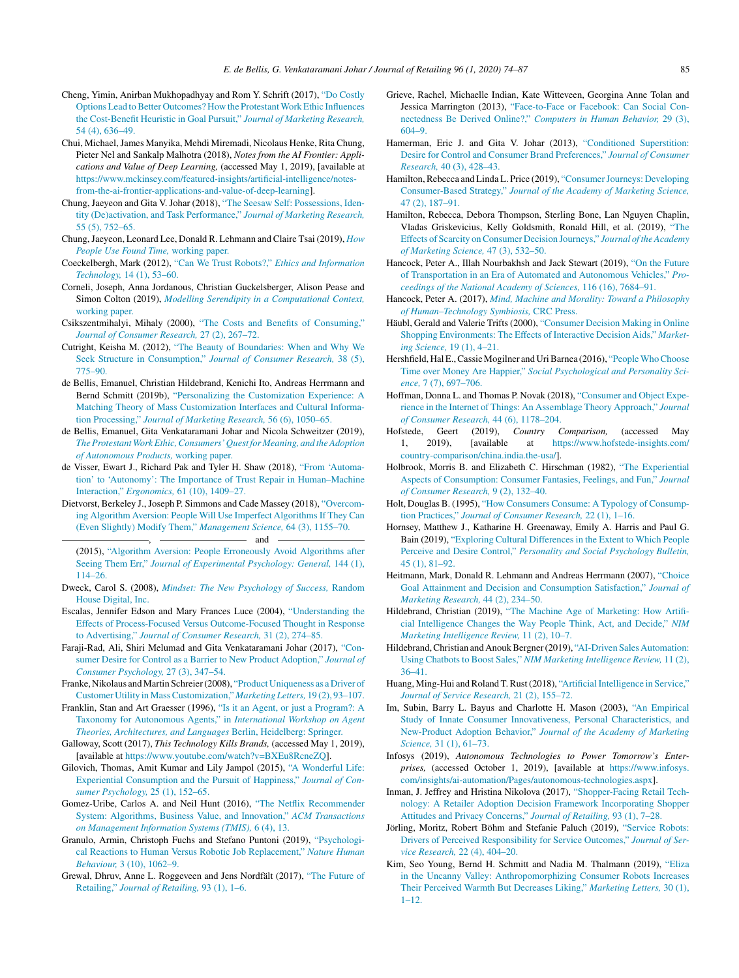- <span id="page-11-0"></span>Cheng, Yimin, Anirban Mukhopadhyay and Rom Y. Schrift (2017), ["Do](http://refhub.elsevier.com/S0022-4359(19)30092-2/sbref0095) [Costly](http://refhub.elsevier.com/S0022-4359(19)30092-2/sbref0095) [Options](http://refhub.elsevier.com/S0022-4359(19)30092-2/sbref0095) [Lead](http://refhub.elsevier.com/S0022-4359(19)30092-2/sbref0095) to Better [Outcomes?](http://refhub.elsevier.com/S0022-4359(19)30092-2/sbref0095) [How](http://refhub.elsevier.com/S0022-4359(19)30092-2/sbref0095) [the](http://refhub.elsevier.com/S0022-4359(19)30092-2/sbref0095) Protestant Work [Ethic](http://refhub.elsevier.com/S0022-4359(19)30092-2/sbref0095) [Influences](http://refhub.elsevier.com/S0022-4359(19)30092-2/sbref0095) [the](http://refhub.elsevier.com/S0022-4359(19)30092-2/sbref0095) [Cost-Benefit](http://refhub.elsevier.com/S0022-4359(19)30092-2/sbref0095) [Heuristic](http://refhub.elsevier.com/S0022-4359(19)30092-2/sbref0095) [in](http://refhub.elsevier.com/S0022-4359(19)30092-2/sbref0095) [Goal](http://refhub.elsevier.com/S0022-4359(19)30092-2/sbref0095) [Pursuit,"](http://refhub.elsevier.com/S0022-4359(19)30092-2/sbref0095) *[Journal](http://refhub.elsevier.com/S0022-4359(19)30092-2/sbref0095) [of](http://refhub.elsevier.com/S0022-4359(19)30092-2/sbref0095) [Marketing](http://refhub.elsevier.com/S0022-4359(19)30092-2/sbref0095) [Research,](http://refhub.elsevier.com/S0022-4359(19)30092-2/sbref0095)* [54](http://refhub.elsevier.com/S0022-4359(19)30092-2/sbref0095) [\(4\),](http://refhub.elsevier.com/S0022-4359(19)30092-2/sbref0095) [636–49.](http://refhub.elsevier.com/S0022-4359(19)30092-2/sbref0095)
- Chui, Michael,James Manyika, Mehdi Miremadi, Nicolaus Henke, Rita Chung, Pieter Nel and Sankalp Malhotra (2018), *Notes from the AI Frontier: Applications and Value of Deep Learning,* (accessed May 1, 2019), [available at [https://www.mckinsey.com/featured-insights/artificial-intelligence/notes](https://www.mckinsey.com/featured-insights/artificial-intelligence/notes-from-the-ai-frontier-applications-and-value-of-deep-learning)[from-the-ai-frontier-applications-and-value-of-deep-learning](https://www.mckinsey.com/featured-insights/artificial-intelligence/notes-from-the-ai-frontier-applications-and-value-of-deep-learning)].
- Chung, Jaeyeon and Gita V. Johar (2018), ["The](http://refhub.elsevier.com/S0022-4359(19)30092-2/sbref0105) [Seesaw](http://refhub.elsevier.com/S0022-4359(19)30092-2/sbref0105) [Self:](http://refhub.elsevier.com/S0022-4359(19)30092-2/sbref0105) [Possessions,](http://refhub.elsevier.com/S0022-4359(19)30092-2/sbref0105) [Iden](http://refhub.elsevier.com/S0022-4359(19)30092-2/sbref0105)[tity](http://refhub.elsevier.com/S0022-4359(19)30092-2/sbref0105) [\(De\)activation,](http://refhub.elsevier.com/S0022-4359(19)30092-2/sbref0105) [and](http://refhub.elsevier.com/S0022-4359(19)30092-2/sbref0105) [Task](http://refhub.elsevier.com/S0022-4359(19)30092-2/sbref0105) [Performance,"](http://refhub.elsevier.com/S0022-4359(19)30092-2/sbref0105) *[Journal](http://refhub.elsevier.com/S0022-4359(19)30092-2/sbref0105) [of](http://refhub.elsevier.com/S0022-4359(19)30092-2/sbref0105) [Marketing](http://refhub.elsevier.com/S0022-4359(19)30092-2/sbref0105) [Research,](http://refhub.elsevier.com/S0022-4359(19)30092-2/sbref0105)* [55](http://refhub.elsevier.com/S0022-4359(19)30092-2/sbref0105) [\(5\),](http://refhub.elsevier.com/S0022-4359(19)30092-2/sbref0105) [752–65.](http://refhub.elsevier.com/S0022-4359(19)30092-2/sbref0105)
- Chung,Jaeyeon, Leonard Lee, Donald R. Lehmann and Claire Tsai (2019), *[How](http://refhub.elsevier.com/S0022-4359(19)30092-2/sbref0110) [People](http://refhub.elsevier.com/S0022-4359(19)30092-2/sbref0110) [Use](http://refhub.elsevier.com/S0022-4359(19)30092-2/sbref0110) [Found](http://refhub.elsevier.com/S0022-4359(19)30092-2/sbref0110) [Time,](http://refhub.elsevier.com/S0022-4359(19)30092-2/sbref0110)* [working](http://refhub.elsevier.com/S0022-4359(19)30092-2/sbref0110) [paper.](http://refhub.elsevier.com/S0022-4359(19)30092-2/sbref0110)
- Coeckelbergh, Mark (2012), ["Can](http://refhub.elsevier.com/S0022-4359(19)30092-2/sbref0115) [We](http://refhub.elsevier.com/S0022-4359(19)30092-2/sbref0115) [Trust](http://refhub.elsevier.com/S0022-4359(19)30092-2/sbref0115) [Robots?,"](http://refhub.elsevier.com/S0022-4359(19)30092-2/sbref0115) *[Ethics](http://refhub.elsevier.com/S0022-4359(19)30092-2/sbref0115) [and](http://refhub.elsevier.com/S0022-4359(19)30092-2/sbref0115) [Information](http://refhub.elsevier.com/S0022-4359(19)30092-2/sbref0115) [Technology,](http://refhub.elsevier.com/S0022-4359(19)30092-2/sbref0115)* [14](http://refhub.elsevier.com/S0022-4359(19)30092-2/sbref0115) [\(1\),](http://refhub.elsevier.com/S0022-4359(19)30092-2/sbref0115) [53](http://refhub.elsevier.com/S0022-4359(19)30092-2/sbref0115)–[60.](http://refhub.elsevier.com/S0022-4359(19)30092-2/sbref0115)
- Corneli, Joseph, Anna Jordanous, Christian Guckelsberger, Alison Pease and Simon Colton (2019), *[Modelling](http://refhub.elsevier.com/S0022-4359(19)30092-2/sbref0120) [Serendipity](http://refhub.elsevier.com/S0022-4359(19)30092-2/sbref0120) [in](http://refhub.elsevier.com/S0022-4359(19)30092-2/sbref0120) [a](http://refhub.elsevier.com/S0022-4359(19)30092-2/sbref0120) [Computational](http://refhub.elsevier.com/S0022-4359(19)30092-2/sbref0120) [Context,](http://refhub.elsevier.com/S0022-4359(19)30092-2/sbref0120)* [working](http://refhub.elsevier.com/S0022-4359(19)30092-2/sbref0120) [paper.](http://refhub.elsevier.com/S0022-4359(19)30092-2/sbref0120)
- Csikszentmihalyi, Mihaly (2000), ["The](http://refhub.elsevier.com/S0022-4359(19)30092-2/sbref0125) [Costs](http://refhub.elsevier.com/S0022-4359(19)30092-2/sbref0125) [and](http://refhub.elsevier.com/S0022-4359(19)30092-2/sbref0125) [Benefits](http://refhub.elsevier.com/S0022-4359(19)30092-2/sbref0125) [of](http://refhub.elsevier.com/S0022-4359(19)30092-2/sbref0125) [Consuming,"](http://refhub.elsevier.com/S0022-4359(19)30092-2/sbref0125) *[Journal](http://refhub.elsevier.com/S0022-4359(19)30092-2/sbref0125) [of](http://refhub.elsevier.com/S0022-4359(19)30092-2/sbref0125) [Consumer](http://refhub.elsevier.com/S0022-4359(19)30092-2/sbref0125) [Research,](http://refhub.elsevier.com/S0022-4359(19)30092-2/sbref0125)* [27](http://refhub.elsevier.com/S0022-4359(19)30092-2/sbref0125) [\(2\),](http://refhub.elsevier.com/S0022-4359(19)30092-2/sbref0125) [267](http://refhub.elsevier.com/S0022-4359(19)30092-2/sbref0125)–[72.](http://refhub.elsevier.com/S0022-4359(19)30092-2/sbref0125)
- Cutright, Keisha M. (2012), ["The](http://refhub.elsevier.com/S0022-4359(19)30092-2/sbref0130) [Beauty](http://refhub.elsevier.com/S0022-4359(19)30092-2/sbref0130) [of](http://refhub.elsevier.com/S0022-4359(19)30092-2/sbref0130) [Boundaries:](http://refhub.elsevier.com/S0022-4359(19)30092-2/sbref0130) [When](http://refhub.elsevier.com/S0022-4359(19)30092-2/sbref0130) [and](http://refhub.elsevier.com/S0022-4359(19)30092-2/sbref0130) [Why](http://refhub.elsevier.com/S0022-4359(19)30092-2/sbref0130) [We](http://refhub.elsevier.com/S0022-4359(19)30092-2/sbref0130) [Seek](http://refhub.elsevier.com/S0022-4359(19)30092-2/sbref0130) [Structure](http://refhub.elsevier.com/S0022-4359(19)30092-2/sbref0130) [in](http://refhub.elsevier.com/S0022-4359(19)30092-2/sbref0130) [Consumption,"](http://refhub.elsevier.com/S0022-4359(19)30092-2/sbref0130) *[Journal](http://refhub.elsevier.com/S0022-4359(19)30092-2/sbref0130) [of](http://refhub.elsevier.com/S0022-4359(19)30092-2/sbref0130) [Consumer](http://refhub.elsevier.com/S0022-4359(19)30092-2/sbref0130) [Research,](http://refhub.elsevier.com/S0022-4359(19)30092-2/sbref0130)* [38](http://refhub.elsevier.com/S0022-4359(19)30092-2/sbref0130) [\(5\),](http://refhub.elsevier.com/S0022-4359(19)30092-2/sbref0130) [775](http://refhub.elsevier.com/S0022-4359(19)30092-2/sbref0130)–[90.](http://refhub.elsevier.com/S0022-4359(19)30092-2/sbref0130)
- de Bellis, Emanuel, Christian Hildebrand, Kenichi Ito, Andreas Herrmann and Bernd Schmitt (2019b), ["Personalizing](http://refhub.elsevier.com/S0022-4359(19)30092-2/sbref0135) [the](http://refhub.elsevier.com/S0022-4359(19)30092-2/sbref0135) [Customization](http://refhub.elsevier.com/S0022-4359(19)30092-2/sbref0135) [Experience:](http://refhub.elsevier.com/S0022-4359(19)30092-2/sbref0135) [A](http://refhub.elsevier.com/S0022-4359(19)30092-2/sbref0135) [Matching](http://refhub.elsevier.com/S0022-4359(19)30092-2/sbref0135) [Theory](http://refhub.elsevier.com/S0022-4359(19)30092-2/sbref0135) [of](http://refhub.elsevier.com/S0022-4359(19)30092-2/sbref0135) [Mass](http://refhub.elsevier.com/S0022-4359(19)30092-2/sbref0135) [Customization](http://refhub.elsevier.com/S0022-4359(19)30092-2/sbref0135) [Interfaces](http://refhub.elsevier.com/S0022-4359(19)30092-2/sbref0135) [and](http://refhub.elsevier.com/S0022-4359(19)30092-2/sbref0135) [Cultural](http://refhub.elsevier.com/S0022-4359(19)30092-2/sbref0135) [Informa](http://refhub.elsevier.com/S0022-4359(19)30092-2/sbref0135)[tion](http://refhub.elsevier.com/S0022-4359(19)30092-2/sbref0135) [Processing,"](http://refhub.elsevier.com/S0022-4359(19)30092-2/sbref0135) *[Journal](http://refhub.elsevier.com/S0022-4359(19)30092-2/sbref0135) [of](http://refhub.elsevier.com/S0022-4359(19)30092-2/sbref0135) [Marketing](http://refhub.elsevier.com/S0022-4359(19)30092-2/sbref0135) [Research,](http://refhub.elsevier.com/S0022-4359(19)30092-2/sbref0135)* [56](http://refhub.elsevier.com/S0022-4359(19)30092-2/sbref0135) [\(6\),](http://refhub.elsevier.com/S0022-4359(19)30092-2/sbref0135) [1050–65.](http://refhub.elsevier.com/S0022-4359(19)30092-2/sbref0135)
- de Bellis, Emanuel, Gita Venkataramani Johar and Nicola Schweitzer (2019), *[TheProtestant](http://refhub.elsevier.com/S0022-4359(19)30092-2/sbref0140) [WorkEthic,Consumers'Quest](http://refhub.elsevier.com/S0022-4359(19)30092-2/sbref0140) [for](http://refhub.elsevier.com/S0022-4359(19)30092-2/sbref0140) [Meaning,](http://refhub.elsevier.com/S0022-4359(19)30092-2/sbref0140) [and](http://refhub.elsevier.com/S0022-4359(19)30092-2/sbref0140) [theAdoption](http://refhub.elsevier.com/S0022-4359(19)30092-2/sbref0140) [of](http://refhub.elsevier.com/S0022-4359(19)30092-2/sbref0140) [Autonomous](http://refhub.elsevier.com/S0022-4359(19)30092-2/sbref0140) [Products,](http://refhub.elsevier.com/S0022-4359(19)30092-2/sbref0140)* [working](http://refhub.elsevier.com/S0022-4359(19)30092-2/sbref0140) [paper.](http://refhub.elsevier.com/S0022-4359(19)30092-2/sbref0140)
- de Visser, Ewart J., Richard Pak and Tyler H. Shaw (2018), ["From](http://refhub.elsevier.com/S0022-4359(19)30092-2/sbref0145) ['Automa](http://refhub.elsevier.com/S0022-4359(19)30092-2/sbref0145)[tion'](http://refhub.elsevier.com/S0022-4359(19)30092-2/sbref0145) [to](http://refhub.elsevier.com/S0022-4359(19)30092-2/sbref0145) ['Autonomy':](http://refhub.elsevier.com/S0022-4359(19)30092-2/sbref0145) [The](http://refhub.elsevier.com/S0022-4359(19)30092-2/sbref0145) [Importance](http://refhub.elsevier.com/S0022-4359(19)30092-2/sbref0145) [of](http://refhub.elsevier.com/S0022-4359(19)30092-2/sbref0145) [Trust](http://refhub.elsevier.com/S0022-4359(19)30092-2/sbref0145) [Repair](http://refhub.elsevier.com/S0022-4359(19)30092-2/sbref0145) [in](http://refhub.elsevier.com/S0022-4359(19)30092-2/sbref0145) [Human–Machine](http://refhub.elsevier.com/S0022-4359(19)30092-2/sbref0145) [Interaction,"](http://refhub.elsevier.com/S0022-4359(19)30092-2/sbref0145) *[Ergonomics,](http://refhub.elsevier.com/S0022-4359(19)30092-2/sbref0145)* [61](http://refhub.elsevier.com/S0022-4359(19)30092-2/sbref0145) [\(10\),](http://refhub.elsevier.com/S0022-4359(19)30092-2/sbref0145) [1409–27.](http://refhub.elsevier.com/S0022-4359(19)30092-2/sbref0145)
- Dietvorst, Berkeley J., Joseph P. Simmons and Cade Massey (2018), ["Overcom](http://refhub.elsevier.com/S0022-4359(19)30092-2/sbref0150)[ing](http://refhub.elsevier.com/S0022-4359(19)30092-2/sbref0150) [Algorithm](http://refhub.elsevier.com/S0022-4359(19)30092-2/sbref0150) [Aversion:](http://refhub.elsevier.com/S0022-4359(19)30092-2/sbref0150) [People](http://refhub.elsevier.com/S0022-4359(19)30092-2/sbref0150) [Will](http://refhub.elsevier.com/S0022-4359(19)30092-2/sbref0150) [Use](http://refhub.elsevier.com/S0022-4359(19)30092-2/sbref0150) [Imperfect](http://refhub.elsevier.com/S0022-4359(19)30092-2/sbref0150) Algorithms If [They](http://refhub.elsevier.com/S0022-4359(19)30092-2/sbref0150) [Can](http://refhub.elsevier.com/S0022-4359(19)30092-2/sbref0150) [\(Even](http://refhub.elsevier.com/S0022-4359(19)30092-2/sbref0150) [Slightly\)](http://refhub.elsevier.com/S0022-4359(19)30092-2/sbref0150) [Modify](http://refhub.elsevier.com/S0022-4359(19)30092-2/sbref0150) [Them,"](http://refhub.elsevier.com/S0022-4359(19)30092-2/sbref0150) *[Management](http://refhub.elsevier.com/S0022-4359(19)30092-2/sbref0150) [Science,](http://refhub.elsevier.com/S0022-4359(19)30092-2/sbref0150)* [64](http://refhub.elsevier.com/S0022-4359(19)30092-2/sbref0150) [\(3\),](http://refhub.elsevier.com/S0022-4359(19)30092-2/sbref0150) [1155](http://refhub.elsevier.com/S0022-4359(19)30092-2/sbref0150)–[70.](http://refhub.elsevier.com/S0022-4359(19)30092-2/sbref0150) , and

(2015), ["Algorithm](http://refhub.elsevier.com/S0022-4359(19)30092-2/sbref0155) [Aversion:](http://refhub.elsevier.com/S0022-4359(19)30092-2/sbref0155) [People](http://refhub.elsevier.com/S0022-4359(19)30092-2/sbref0155) [Erroneously](http://refhub.elsevier.com/S0022-4359(19)30092-2/sbref0155) [Avoid](http://refhub.elsevier.com/S0022-4359(19)30092-2/sbref0155) [Algorithms](http://refhub.elsevier.com/S0022-4359(19)30092-2/sbref0155) [after](http://refhub.elsevier.com/S0022-4359(19)30092-2/sbref0155) [Seeing](http://refhub.elsevier.com/S0022-4359(19)30092-2/sbref0155) [Them](http://refhub.elsevier.com/S0022-4359(19)30092-2/sbref0155) [Err,"](http://refhub.elsevier.com/S0022-4359(19)30092-2/sbref0155) *[Journal](http://refhub.elsevier.com/S0022-4359(19)30092-2/sbref0155) [of](http://refhub.elsevier.com/S0022-4359(19)30092-2/sbref0155) [Experimental](http://refhub.elsevier.com/S0022-4359(19)30092-2/sbref0155) [Psychology:](http://refhub.elsevier.com/S0022-4359(19)30092-2/sbref0155) [General,](http://refhub.elsevier.com/S0022-4359(19)30092-2/sbref0155)* [144](http://refhub.elsevier.com/S0022-4359(19)30092-2/sbref0155) [\(1\),](http://refhub.elsevier.com/S0022-4359(19)30092-2/sbref0155) [114](http://refhub.elsevier.com/S0022-4359(19)30092-2/sbref0155)–[26.](http://refhub.elsevier.com/S0022-4359(19)30092-2/sbref0155)

- Dweck, Carol S. (2008), *[Mindset:](http://refhub.elsevier.com/S0022-4359(19)30092-2/sbref0160) [The](http://refhub.elsevier.com/S0022-4359(19)30092-2/sbref0160) [New](http://refhub.elsevier.com/S0022-4359(19)30092-2/sbref0160) [Psychology](http://refhub.elsevier.com/S0022-4359(19)30092-2/sbref0160) [of](http://refhub.elsevier.com/S0022-4359(19)30092-2/sbref0160) [Success,](http://refhub.elsevier.com/S0022-4359(19)30092-2/sbref0160)* [Random](http://refhub.elsevier.com/S0022-4359(19)30092-2/sbref0160) [House](http://refhub.elsevier.com/S0022-4359(19)30092-2/sbref0160) [Digital,](http://refhub.elsevier.com/S0022-4359(19)30092-2/sbref0160) [Inc.](http://refhub.elsevier.com/S0022-4359(19)30092-2/sbref0160)
- Escalas, Jennifer Edson and Mary Frances Luce (2004), ["Understanding](http://refhub.elsevier.com/S0022-4359(19)30092-2/sbref0165) [the](http://refhub.elsevier.com/S0022-4359(19)30092-2/sbref0165) [Effects](http://refhub.elsevier.com/S0022-4359(19)30092-2/sbref0165) [of](http://refhub.elsevier.com/S0022-4359(19)30092-2/sbref0165) [Process-Focused](http://refhub.elsevier.com/S0022-4359(19)30092-2/sbref0165) [Versus](http://refhub.elsevier.com/S0022-4359(19)30092-2/sbref0165) [Outcome-Focused](http://refhub.elsevier.com/S0022-4359(19)30092-2/sbref0165) [Thought](http://refhub.elsevier.com/S0022-4359(19)30092-2/sbref0165) [in](http://refhub.elsevier.com/S0022-4359(19)30092-2/sbref0165) [Response](http://refhub.elsevier.com/S0022-4359(19)30092-2/sbref0165) [to](http://refhub.elsevier.com/S0022-4359(19)30092-2/sbref0165) [Advertising,"](http://refhub.elsevier.com/S0022-4359(19)30092-2/sbref0165) *[Journal](http://refhub.elsevier.com/S0022-4359(19)30092-2/sbref0165) [of](http://refhub.elsevier.com/S0022-4359(19)30092-2/sbref0165) [Consumer](http://refhub.elsevier.com/S0022-4359(19)30092-2/sbref0165) [Research,](http://refhub.elsevier.com/S0022-4359(19)30092-2/sbref0165)* [31](http://refhub.elsevier.com/S0022-4359(19)30092-2/sbref0165) [\(2\),](http://refhub.elsevier.com/S0022-4359(19)30092-2/sbref0165) [274](http://refhub.elsevier.com/S0022-4359(19)30092-2/sbref0165)–[85.](http://refhub.elsevier.com/S0022-4359(19)30092-2/sbref0165)
- Faraji-Rad, Ali, Shiri Melumad and Gita Venkataramani Johar (2017), ["Con](http://refhub.elsevier.com/S0022-4359(19)30092-2/sbref0170)[sumer](http://refhub.elsevier.com/S0022-4359(19)30092-2/sbref0170) [Desire](http://refhub.elsevier.com/S0022-4359(19)30092-2/sbref0170) [for](http://refhub.elsevier.com/S0022-4359(19)30092-2/sbref0170) [Control](http://refhub.elsevier.com/S0022-4359(19)30092-2/sbref0170) [as](http://refhub.elsevier.com/S0022-4359(19)30092-2/sbref0170) [a](http://refhub.elsevier.com/S0022-4359(19)30092-2/sbref0170) [Barrier](http://refhub.elsevier.com/S0022-4359(19)30092-2/sbref0170) [to](http://refhub.elsevier.com/S0022-4359(19)30092-2/sbref0170) [New](http://refhub.elsevier.com/S0022-4359(19)30092-2/sbref0170) [Product](http://refhub.elsevier.com/S0022-4359(19)30092-2/sbref0170) [Adoption,"](http://refhub.elsevier.com/S0022-4359(19)30092-2/sbref0170) *[Journal](http://refhub.elsevier.com/S0022-4359(19)30092-2/sbref0170) [of](http://refhub.elsevier.com/S0022-4359(19)30092-2/sbref0170) [Consumer](http://refhub.elsevier.com/S0022-4359(19)30092-2/sbref0170) [Psychology,](http://refhub.elsevier.com/S0022-4359(19)30092-2/sbref0170)* [27](http://refhub.elsevier.com/S0022-4359(19)30092-2/sbref0170) [\(3\),](http://refhub.elsevier.com/S0022-4359(19)30092-2/sbref0170) [347](http://refhub.elsevier.com/S0022-4359(19)30092-2/sbref0170)–[54.](http://refhub.elsevier.com/S0022-4359(19)30092-2/sbref0170)
- Franke, Nikolaus and Martin Schreier (2008), "Product Uniqueness [as](http://refhub.elsevier.com/S0022-4359(19)30092-2/sbref0175) a Driver [of](http://refhub.elsevier.com/S0022-4359(19)30092-2/sbref0175) [Customer](http://refhub.elsevier.com/S0022-4359(19)30092-2/sbref0175) [Utility](http://refhub.elsevier.com/S0022-4359(19)30092-2/sbref0175) [inMassCustomization,"](http://refhub.elsevier.com/S0022-4359(19)30092-2/sbref0175) *[Marketing](http://refhub.elsevier.com/S0022-4359(19)30092-2/sbref0175) [Letters,](http://refhub.elsevier.com/S0022-4359(19)30092-2/sbref0175)* [19](http://refhub.elsevier.com/S0022-4359(19)30092-2/sbref0175) [\(2\),](http://refhub.elsevier.com/S0022-4359(19)30092-2/sbref0175) [93–107.](http://refhub.elsevier.com/S0022-4359(19)30092-2/sbref0175)
- Franklin, Stan and Art Graesser (1996), ["Is](http://refhub.elsevier.com/S0022-4359(19)30092-2/sbref0180) [it](http://refhub.elsevier.com/S0022-4359(19)30092-2/sbref0180) [an](http://refhub.elsevier.com/S0022-4359(19)30092-2/sbref0180) [Agent,](http://refhub.elsevier.com/S0022-4359(19)30092-2/sbref0180) [or](http://refhub.elsevier.com/S0022-4359(19)30092-2/sbref0180) [just](http://refhub.elsevier.com/S0022-4359(19)30092-2/sbref0180) [a](http://refhub.elsevier.com/S0022-4359(19)30092-2/sbref0180) [Program?:](http://refhub.elsevier.com/S0022-4359(19)30092-2/sbref0180) [A](http://refhub.elsevier.com/S0022-4359(19)30092-2/sbref0180) [Taxonomy](http://refhub.elsevier.com/S0022-4359(19)30092-2/sbref0180) [for](http://refhub.elsevier.com/S0022-4359(19)30092-2/sbref0180) [Autonomous](http://refhub.elsevier.com/S0022-4359(19)30092-2/sbref0180) [Agents,"](http://refhub.elsevier.com/S0022-4359(19)30092-2/sbref0180) [in](http://refhub.elsevier.com/S0022-4359(19)30092-2/sbref0180) *[International](http://refhub.elsevier.com/S0022-4359(19)30092-2/sbref0180) [Workshop](http://refhub.elsevier.com/S0022-4359(19)30092-2/sbref0180) [on](http://refhub.elsevier.com/S0022-4359(19)30092-2/sbref0180) [Agent](http://refhub.elsevier.com/S0022-4359(19)30092-2/sbref0180) [Theories,](http://refhub.elsevier.com/S0022-4359(19)30092-2/sbref0180) [Architectures,](http://refhub.elsevier.com/S0022-4359(19)30092-2/sbref0180) [and](http://refhub.elsevier.com/S0022-4359(19)30092-2/sbref0180) [Languages](http://refhub.elsevier.com/S0022-4359(19)30092-2/sbref0180)* [Berlin,](http://refhub.elsevier.com/S0022-4359(19)30092-2/sbref0180) [Heidelberg:](http://refhub.elsevier.com/S0022-4359(19)30092-2/sbref0180) [Springer.](http://refhub.elsevier.com/S0022-4359(19)30092-2/sbref0180)
- Galloway, Scott (2017), *This Technology Kills Brands,* (accessed May 1, 2019), [available at [https://www.youtube.com/watch?v=BXEu8RcneZQ\]](https://www.youtube.com/watch?v=BXEu8RcneZQ).
- Gilovich, Thomas, Amit Kumar and Lily Jampol (2015), ["A](http://refhub.elsevier.com/S0022-4359(19)30092-2/sbref0190) [Wonderful](http://refhub.elsevier.com/S0022-4359(19)30092-2/sbref0190) [Life:](http://refhub.elsevier.com/S0022-4359(19)30092-2/sbref0190) [Experiential](http://refhub.elsevier.com/S0022-4359(19)30092-2/sbref0190) [Consumption](http://refhub.elsevier.com/S0022-4359(19)30092-2/sbref0190) [and](http://refhub.elsevier.com/S0022-4359(19)30092-2/sbref0190) [the](http://refhub.elsevier.com/S0022-4359(19)30092-2/sbref0190) [Pursuit](http://refhub.elsevier.com/S0022-4359(19)30092-2/sbref0190) [of](http://refhub.elsevier.com/S0022-4359(19)30092-2/sbref0190) [Happiness,"](http://refhub.elsevier.com/S0022-4359(19)30092-2/sbref0190) *[Journal](http://refhub.elsevier.com/S0022-4359(19)30092-2/sbref0190) [of](http://refhub.elsevier.com/S0022-4359(19)30092-2/sbref0190) [Con](http://refhub.elsevier.com/S0022-4359(19)30092-2/sbref0190)[sumer](http://refhub.elsevier.com/S0022-4359(19)30092-2/sbref0190) [Psychology,](http://refhub.elsevier.com/S0022-4359(19)30092-2/sbref0190)* [25](http://refhub.elsevier.com/S0022-4359(19)30092-2/sbref0190) [\(1\),](http://refhub.elsevier.com/S0022-4359(19)30092-2/sbref0190) [152–65.](http://refhub.elsevier.com/S0022-4359(19)30092-2/sbref0190)
- Gomez-Uribe, Carlos A. and Neil Hunt (2016), ["The](http://refhub.elsevier.com/S0022-4359(19)30092-2/sbref0195) [Netflix](http://refhub.elsevier.com/S0022-4359(19)30092-2/sbref0195) [Recommender](http://refhub.elsevier.com/S0022-4359(19)30092-2/sbref0195) [System:](http://refhub.elsevier.com/S0022-4359(19)30092-2/sbref0195) [Algorithms,](http://refhub.elsevier.com/S0022-4359(19)30092-2/sbref0195) [Business](http://refhub.elsevier.com/S0022-4359(19)30092-2/sbref0195) [Value,](http://refhub.elsevier.com/S0022-4359(19)30092-2/sbref0195) [and](http://refhub.elsevier.com/S0022-4359(19)30092-2/sbref0195) [Innovation,"](http://refhub.elsevier.com/S0022-4359(19)30092-2/sbref0195) *[ACM](http://refhub.elsevier.com/S0022-4359(19)30092-2/sbref0195) [Transactions](http://refhub.elsevier.com/S0022-4359(19)30092-2/sbref0195) [on](http://refhub.elsevier.com/S0022-4359(19)30092-2/sbref0195) [Management](http://refhub.elsevier.com/S0022-4359(19)30092-2/sbref0195) [Information](http://refhub.elsevier.com/S0022-4359(19)30092-2/sbref0195) [Systems](http://refhub.elsevier.com/S0022-4359(19)30092-2/sbref0195) [\(TMIS\),](http://refhub.elsevier.com/S0022-4359(19)30092-2/sbref0195)* [6](http://refhub.elsevier.com/S0022-4359(19)30092-2/sbref0195) [\(4\),](http://refhub.elsevier.com/S0022-4359(19)30092-2/sbref0195) [13.](http://refhub.elsevier.com/S0022-4359(19)30092-2/sbref0195)
- Granulo, Armin, Christoph Fuchs and Stefano Puntoni (2019), ["Psychologi](http://refhub.elsevier.com/S0022-4359(19)30092-2/sbref0200)[cal](http://refhub.elsevier.com/S0022-4359(19)30092-2/sbref0200) [Reactions](http://refhub.elsevier.com/S0022-4359(19)30092-2/sbref0200) [to](http://refhub.elsevier.com/S0022-4359(19)30092-2/sbref0200) [Human](http://refhub.elsevier.com/S0022-4359(19)30092-2/sbref0200) [Versus](http://refhub.elsevier.com/S0022-4359(19)30092-2/sbref0200) [Robotic](http://refhub.elsevier.com/S0022-4359(19)30092-2/sbref0200) [Job](http://refhub.elsevier.com/S0022-4359(19)30092-2/sbref0200) [Replacement,"](http://refhub.elsevier.com/S0022-4359(19)30092-2/sbref0200) *[Nature](http://refhub.elsevier.com/S0022-4359(19)30092-2/sbref0200) [Human](http://refhub.elsevier.com/S0022-4359(19)30092-2/sbref0200) [Behaviour,](http://refhub.elsevier.com/S0022-4359(19)30092-2/sbref0200)* [3](http://refhub.elsevier.com/S0022-4359(19)30092-2/sbref0200) [\(10\),](http://refhub.elsevier.com/S0022-4359(19)30092-2/sbref0200) [1062–9.](http://refhub.elsevier.com/S0022-4359(19)30092-2/sbref0200)
- Grewal, Dhruv, Anne L. Roggeveen and Jens Nordfält (2017), ["The](http://refhub.elsevier.com/S0022-4359(19)30092-2/sbref0205) [Future](http://refhub.elsevier.com/S0022-4359(19)30092-2/sbref0205) [of](http://refhub.elsevier.com/S0022-4359(19)30092-2/sbref0205) [Retailing,"](http://refhub.elsevier.com/S0022-4359(19)30092-2/sbref0205) *[Journal](http://refhub.elsevier.com/S0022-4359(19)30092-2/sbref0205) [of](http://refhub.elsevier.com/S0022-4359(19)30092-2/sbref0205) [Retailing,](http://refhub.elsevier.com/S0022-4359(19)30092-2/sbref0205)* [93](http://refhub.elsevier.com/S0022-4359(19)30092-2/sbref0205) [\(1\),](http://refhub.elsevier.com/S0022-4359(19)30092-2/sbref0205) [1](http://refhub.elsevier.com/S0022-4359(19)30092-2/sbref0205)–[6.](http://refhub.elsevier.com/S0022-4359(19)30092-2/sbref0205)
- Grieve, Rachel, Michaelle Indian, Kate Witteveen, Georgina Anne Tolan and Jessica Marrington (2013), ["Face-to-Face](http://refhub.elsevier.com/S0022-4359(19)30092-2/sbref0210) [or](http://refhub.elsevier.com/S0022-4359(19)30092-2/sbref0210) [Facebook:](http://refhub.elsevier.com/S0022-4359(19)30092-2/sbref0210) [Can](http://refhub.elsevier.com/S0022-4359(19)30092-2/sbref0210) [Social](http://refhub.elsevier.com/S0022-4359(19)30092-2/sbref0210) [Con](http://refhub.elsevier.com/S0022-4359(19)30092-2/sbref0210)[nectedness](http://refhub.elsevier.com/S0022-4359(19)30092-2/sbref0210) [Be](http://refhub.elsevier.com/S0022-4359(19)30092-2/sbref0210) [Derived](http://refhub.elsevier.com/S0022-4359(19)30092-2/sbref0210) [Online?,"](http://refhub.elsevier.com/S0022-4359(19)30092-2/sbref0210) *[Computers](http://refhub.elsevier.com/S0022-4359(19)30092-2/sbref0210) [in](http://refhub.elsevier.com/S0022-4359(19)30092-2/sbref0210) [Human](http://refhub.elsevier.com/S0022-4359(19)30092-2/sbref0210) [Behavior,](http://refhub.elsevier.com/S0022-4359(19)30092-2/sbref0210)* [29](http://refhub.elsevier.com/S0022-4359(19)30092-2/sbref0210) [\(3\),](http://refhub.elsevier.com/S0022-4359(19)30092-2/sbref0210) [604–9.](http://refhub.elsevier.com/S0022-4359(19)30092-2/sbref0210)
- Hamerman, Eric J. and Gita V. Johar (2013), ["Conditioned](http://refhub.elsevier.com/S0022-4359(19)30092-2/sbref0215) [Superstition:](http://refhub.elsevier.com/S0022-4359(19)30092-2/sbref0215) [Desire](http://refhub.elsevier.com/S0022-4359(19)30092-2/sbref0215) [for](http://refhub.elsevier.com/S0022-4359(19)30092-2/sbref0215) [Control](http://refhub.elsevier.com/S0022-4359(19)30092-2/sbref0215) [and](http://refhub.elsevier.com/S0022-4359(19)30092-2/sbref0215) [Consumer](http://refhub.elsevier.com/S0022-4359(19)30092-2/sbref0215) [Brand](http://refhub.elsevier.com/S0022-4359(19)30092-2/sbref0215) [Preferences,"](http://refhub.elsevier.com/S0022-4359(19)30092-2/sbref0215) *[Journal](http://refhub.elsevier.com/S0022-4359(19)30092-2/sbref0215) [of](http://refhub.elsevier.com/S0022-4359(19)30092-2/sbref0215) [Consumer](http://refhub.elsevier.com/S0022-4359(19)30092-2/sbref0215) [Research,](http://refhub.elsevier.com/S0022-4359(19)30092-2/sbref0215)* [40](http://refhub.elsevier.com/S0022-4359(19)30092-2/sbref0215) [\(3\),](http://refhub.elsevier.com/S0022-4359(19)30092-2/sbref0215) [428–43.](http://refhub.elsevier.com/S0022-4359(19)30092-2/sbref0215)
- Hamilton, Rebecca and Linda L. Price (2019), "Consumer Journeys: [Developing](http://refhub.elsevier.com/S0022-4359(19)30092-2/sbref0220) [Consumer-Based](http://refhub.elsevier.com/S0022-4359(19)30092-2/sbref0220) [Strategy,"](http://refhub.elsevier.com/S0022-4359(19)30092-2/sbref0220) *[Journal](http://refhub.elsevier.com/S0022-4359(19)30092-2/sbref0220) [of](http://refhub.elsevier.com/S0022-4359(19)30092-2/sbref0220) [the](http://refhub.elsevier.com/S0022-4359(19)30092-2/sbref0220) [Academy](http://refhub.elsevier.com/S0022-4359(19)30092-2/sbref0220) [of](http://refhub.elsevier.com/S0022-4359(19)30092-2/sbref0220) [Marketing](http://refhub.elsevier.com/S0022-4359(19)30092-2/sbref0220) [Science,](http://refhub.elsevier.com/S0022-4359(19)30092-2/sbref0220)* [47](http://refhub.elsevier.com/S0022-4359(19)30092-2/sbref0220) [\(2\),](http://refhub.elsevier.com/S0022-4359(19)30092-2/sbref0220) [187](http://refhub.elsevier.com/S0022-4359(19)30092-2/sbref0220)–[91.](http://refhub.elsevier.com/S0022-4359(19)30092-2/sbref0220)
- Hamilton, Rebecca, Debora Thompson, Sterling Bone, Lan Nguyen Chaplin, Vladas Griskevicius, Kelly Goldsmith, Ronald Hill, et al. (2019), ["The](http://refhub.elsevier.com/S0022-4359(19)30092-2/sbref0225) [Effects](http://refhub.elsevier.com/S0022-4359(19)30092-2/sbref0225) [of](http://refhub.elsevier.com/S0022-4359(19)30092-2/sbref0225) [Scarcity](http://refhub.elsevier.com/S0022-4359(19)30092-2/sbref0225) on Consumer [Decision](http://refhub.elsevier.com/S0022-4359(19)30092-2/sbref0225) [Journeys,"](http://refhub.elsevier.com/S0022-4359(19)30092-2/sbref0225) *[Journal](http://refhub.elsevier.com/S0022-4359(19)30092-2/sbref0225) of the Academy [of](http://refhub.elsevier.com/S0022-4359(19)30092-2/sbref0225) [Marketing](http://refhub.elsevier.com/S0022-4359(19)30092-2/sbref0225) [Science,](http://refhub.elsevier.com/S0022-4359(19)30092-2/sbref0225)* [47](http://refhub.elsevier.com/S0022-4359(19)30092-2/sbref0225) [\(3\),](http://refhub.elsevier.com/S0022-4359(19)30092-2/sbref0225) [532](http://refhub.elsevier.com/S0022-4359(19)30092-2/sbref0225)–[50.](http://refhub.elsevier.com/S0022-4359(19)30092-2/sbref0225)
- Hancock, Peter A., Illah Nourbakhsh and Jack Stewart (2019), ["On](http://refhub.elsevier.com/S0022-4359(19)30092-2/sbref0230) [the](http://refhub.elsevier.com/S0022-4359(19)30092-2/sbref0230) [Future](http://refhub.elsevier.com/S0022-4359(19)30092-2/sbref0230) [of](http://refhub.elsevier.com/S0022-4359(19)30092-2/sbref0230) [Transportation](http://refhub.elsevier.com/S0022-4359(19)30092-2/sbref0230) [in](http://refhub.elsevier.com/S0022-4359(19)30092-2/sbref0230) [an](http://refhub.elsevier.com/S0022-4359(19)30092-2/sbref0230) [Era](http://refhub.elsevier.com/S0022-4359(19)30092-2/sbref0230) [of](http://refhub.elsevier.com/S0022-4359(19)30092-2/sbref0230) [Automated](http://refhub.elsevier.com/S0022-4359(19)30092-2/sbref0230) [and](http://refhub.elsevier.com/S0022-4359(19)30092-2/sbref0230) [Autonomous](http://refhub.elsevier.com/S0022-4359(19)30092-2/sbref0230) [Vehicles,"](http://refhub.elsevier.com/S0022-4359(19)30092-2/sbref0230) *[Pro](http://refhub.elsevier.com/S0022-4359(19)30092-2/sbref0230)[ceedings](http://refhub.elsevier.com/S0022-4359(19)30092-2/sbref0230) [of](http://refhub.elsevier.com/S0022-4359(19)30092-2/sbref0230) [the](http://refhub.elsevier.com/S0022-4359(19)30092-2/sbref0230) [National](http://refhub.elsevier.com/S0022-4359(19)30092-2/sbref0230) [Academy](http://refhub.elsevier.com/S0022-4359(19)30092-2/sbref0230) [of](http://refhub.elsevier.com/S0022-4359(19)30092-2/sbref0230) [Sciences,](http://refhub.elsevier.com/S0022-4359(19)30092-2/sbref0230)* [116](http://refhub.elsevier.com/S0022-4359(19)30092-2/sbref0230) [\(16\),](http://refhub.elsevier.com/S0022-4359(19)30092-2/sbref0230) [7684–91.](http://refhub.elsevier.com/S0022-4359(19)30092-2/sbref0230)
- Hancock, Peter A. (2017), *[Mind,](http://refhub.elsevier.com/S0022-4359(19)30092-2/sbref0235) [Machine](http://refhub.elsevier.com/S0022-4359(19)30092-2/sbref0235) [and](http://refhub.elsevier.com/S0022-4359(19)30092-2/sbref0235) [Morality:](http://refhub.elsevier.com/S0022-4359(19)30092-2/sbref0235) [Toward](http://refhub.elsevier.com/S0022-4359(19)30092-2/sbref0235) [a](http://refhub.elsevier.com/S0022-4359(19)30092-2/sbref0235) [Philosophy](http://refhub.elsevier.com/S0022-4359(19)30092-2/sbref0235) [of](http://refhub.elsevier.com/S0022-4359(19)30092-2/sbref0235) [Human](http://refhub.elsevier.com/S0022-4359(19)30092-2/sbref0235)–[Technology](http://refhub.elsevier.com/S0022-4359(19)30092-2/sbref0235) [Symbiosis,](http://refhub.elsevier.com/S0022-4359(19)30092-2/sbref0235)* [CRC](http://refhub.elsevier.com/S0022-4359(19)30092-2/sbref0235) [Press.](http://refhub.elsevier.com/S0022-4359(19)30092-2/sbref0235)
- Häubl, Gerald and Valerie Trifts (2000), ["Consumer](http://refhub.elsevier.com/S0022-4359(19)30092-2/sbref0240) [Decision](http://refhub.elsevier.com/S0022-4359(19)30092-2/sbref0240) [Making](http://refhub.elsevier.com/S0022-4359(19)30092-2/sbref0240) [in](http://refhub.elsevier.com/S0022-4359(19)30092-2/sbref0240) [Online](http://refhub.elsevier.com/S0022-4359(19)30092-2/sbref0240) [Shopping](http://refhub.elsevier.com/S0022-4359(19)30092-2/sbref0240) [Environments:](http://refhub.elsevier.com/S0022-4359(19)30092-2/sbref0240) [The](http://refhub.elsevier.com/S0022-4359(19)30092-2/sbref0240) [Effects](http://refhub.elsevier.com/S0022-4359(19)30092-2/sbref0240) [of](http://refhub.elsevier.com/S0022-4359(19)30092-2/sbref0240) [Interactive](http://refhub.elsevier.com/S0022-4359(19)30092-2/sbref0240) [Decision](http://refhub.elsevier.com/S0022-4359(19)30092-2/sbref0240) [Aids,"](http://refhub.elsevier.com/S0022-4359(19)30092-2/sbref0240) *[Market](http://refhub.elsevier.com/S0022-4359(19)30092-2/sbref0240)[ing](http://refhub.elsevier.com/S0022-4359(19)30092-2/sbref0240) [Science,](http://refhub.elsevier.com/S0022-4359(19)30092-2/sbref0240)* [19](http://refhub.elsevier.com/S0022-4359(19)30092-2/sbref0240) [\(1\),](http://refhub.elsevier.com/S0022-4359(19)30092-2/sbref0240) [4–21.](http://refhub.elsevier.com/S0022-4359(19)30092-2/sbref0240)
- Hershfield, Hal E., Cassie Mogilner and Uri Barnea (2016), "People Who Choose [Time](http://refhub.elsevier.com/S0022-4359(19)30092-2/sbref0245) [over](http://refhub.elsevier.com/S0022-4359(19)30092-2/sbref0245) [Money](http://refhub.elsevier.com/S0022-4359(19)30092-2/sbref0245) [Are](http://refhub.elsevier.com/S0022-4359(19)30092-2/sbref0245) [Happier,"](http://refhub.elsevier.com/S0022-4359(19)30092-2/sbref0245) *[Social](http://refhub.elsevier.com/S0022-4359(19)30092-2/sbref0245) [Psychological](http://refhub.elsevier.com/S0022-4359(19)30092-2/sbref0245) [and](http://refhub.elsevier.com/S0022-4359(19)30092-2/sbref0245) [Personality](http://refhub.elsevier.com/S0022-4359(19)30092-2/sbref0245) [Sci](http://refhub.elsevier.com/S0022-4359(19)30092-2/sbref0245)[ence,](http://refhub.elsevier.com/S0022-4359(19)30092-2/sbref0245)* [7](http://refhub.elsevier.com/S0022-4359(19)30092-2/sbref0245) [\(7\),](http://refhub.elsevier.com/S0022-4359(19)30092-2/sbref0245) [697–706.](http://refhub.elsevier.com/S0022-4359(19)30092-2/sbref0245)
- Hoffman, Donna L. and Thomas P. Novak (2018), ["Consumer](http://refhub.elsevier.com/S0022-4359(19)30092-2/sbref0250) [and](http://refhub.elsevier.com/S0022-4359(19)30092-2/sbref0250) [Object](http://refhub.elsevier.com/S0022-4359(19)30092-2/sbref0250) [Expe](http://refhub.elsevier.com/S0022-4359(19)30092-2/sbref0250)[rience](http://refhub.elsevier.com/S0022-4359(19)30092-2/sbref0250) [in](http://refhub.elsevier.com/S0022-4359(19)30092-2/sbref0250) [the](http://refhub.elsevier.com/S0022-4359(19)30092-2/sbref0250) [Internet](http://refhub.elsevier.com/S0022-4359(19)30092-2/sbref0250) [of](http://refhub.elsevier.com/S0022-4359(19)30092-2/sbref0250) [Things:](http://refhub.elsevier.com/S0022-4359(19)30092-2/sbref0250) [An](http://refhub.elsevier.com/S0022-4359(19)30092-2/sbref0250) [Assemblage](http://refhub.elsevier.com/S0022-4359(19)30092-2/sbref0250) [Theory](http://refhub.elsevier.com/S0022-4359(19)30092-2/sbref0250) [Approach,"](http://refhub.elsevier.com/S0022-4359(19)30092-2/sbref0250) *[Journal](http://refhub.elsevier.com/S0022-4359(19)30092-2/sbref0250) [of](http://refhub.elsevier.com/S0022-4359(19)30092-2/sbref0250) [Consumer](http://refhub.elsevier.com/S0022-4359(19)30092-2/sbref0250) [Research,](http://refhub.elsevier.com/S0022-4359(19)30092-2/sbref0250)* [44](http://refhub.elsevier.com/S0022-4359(19)30092-2/sbref0250) [\(6\),](http://refhub.elsevier.com/S0022-4359(19)30092-2/sbref0250) [1178–204.](http://refhub.elsevier.com/S0022-4359(19)30092-2/sbref0250)
- Hofstede, Geert (2019), *Country Comparison,* (accessed May 1, 2019), [available at [https://www.hofstede-insights.com/](https://www.hofstede-insights.com/country-comparison/china.india.the-usa/) [country-comparison/china.india.the-usa/](https://www.hofstede-insights.com/country-comparison/china.india.the-usa/)].
- Holbrook, Morris B. and Elizabeth C. Hirschman (1982), ["The](http://refhub.elsevier.com/S0022-4359(19)30092-2/sbref0260) [Experiential](http://refhub.elsevier.com/S0022-4359(19)30092-2/sbref0260) [Aspects](http://refhub.elsevier.com/S0022-4359(19)30092-2/sbref0260) [of](http://refhub.elsevier.com/S0022-4359(19)30092-2/sbref0260) [Consumption:](http://refhub.elsevier.com/S0022-4359(19)30092-2/sbref0260) [Consumer](http://refhub.elsevier.com/S0022-4359(19)30092-2/sbref0260) [Fantasies,](http://refhub.elsevier.com/S0022-4359(19)30092-2/sbref0260) [Feelings,](http://refhub.elsevier.com/S0022-4359(19)30092-2/sbref0260) [and](http://refhub.elsevier.com/S0022-4359(19)30092-2/sbref0260) [Fun,"](http://refhub.elsevier.com/S0022-4359(19)30092-2/sbref0260) *[Journal](http://refhub.elsevier.com/S0022-4359(19)30092-2/sbref0260) [of](http://refhub.elsevier.com/S0022-4359(19)30092-2/sbref0260) [Consumer](http://refhub.elsevier.com/S0022-4359(19)30092-2/sbref0260) [Research,](http://refhub.elsevier.com/S0022-4359(19)30092-2/sbref0260)* [9](http://refhub.elsevier.com/S0022-4359(19)30092-2/sbref0260) [\(2\),](http://refhub.elsevier.com/S0022-4359(19)30092-2/sbref0260) [132–40.](http://refhub.elsevier.com/S0022-4359(19)30092-2/sbref0260)
- Holt, Douglas B. (1995), ["How](http://refhub.elsevier.com/S0022-4359(19)30092-2/sbref0265) [Consumers](http://refhub.elsevier.com/S0022-4359(19)30092-2/sbref0265) [Consume:](http://refhub.elsevier.com/S0022-4359(19)30092-2/sbref0265) [A](http://refhub.elsevier.com/S0022-4359(19)30092-2/sbref0265) [Typology](http://refhub.elsevier.com/S0022-4359(19)30092-2/sbref0265) [of](http://refhub.elsevier.com/S0022-4359(19)30092-2/sbref0265) [Consump](http://refhub.elsevier.com/S0022-4359(19)30092-2/sbref0265)[tion](http://refhub.elsevier.com/S0022-4359(19)30092-2/sbref0265) [Practices,"](http://refhub.elsevier.com/S0022-4359(19)30092-2/sbref0265) *[Journal](http://refhub.elsevier.com/S0022-4359(19)30092-2/sbref0265) [of](http://refhub.elsevier.com/S0022-4359(19)30092-2/sbref0265) [Consumer](http://refhub.elsevier.com/S0022-4359(19)30092-2/sbref0265) [Research,](http://refhub.elsevier.com/S0022-4359(19)30092-2/sbref0265)* [22](http://refhub.elsevier.com/S0022-4359(19)30092-2/sbref0265) [\(1\),](http://refhub.elsevier.com/S0022-4359(19)30092-2/sbref0265) [1](http://refhub.elsevier.com/S0022-4359(19)30092-2/sbref0265)–[16.](http://refhub.elsevier.com/S0022-4359(19)30092-2/sbref0265)
- Hornsey, Matthew J., Katharine H. Greenaway, Emily A. Harris and Paul G. Bain (2019), ["Exploring](http://refhub.elsevier.com/S0022-4359(19)30092-2/sbref0270) [Cultural](http://refhub.elsevier.com/S0022-4359(19)30092-2/sbref0270) [Differences](http://refhub.elsevier.com/S0022-4359(19)30092-2/sbref0270) [in](http://refhub.elsevier.com/S0022-4359(19)30092-2/sbref0270) [the](http://refhub.elsevier.com/S0022-4359(19)30092-2/sbref0270) [Extent](http://refhub.elsevier.com/S0022-4359(19)30092-2/sbref0270) [to](http://refhub.elsevier.com/S0022-4359(19)30092-2/sbref0270) [Which](http://refhub.elsevier.com/S0022-4359(19)30092-2/sbref0270) [People](http://refhub.elsevier.com/S0022-4359(19)30092-2/sbref0270) [Perceive](http://refhub.elsevier.com/S0022-4359(19)30092-2/sbref0270) [and](http://refhub.elsevier.com/S0022-4359(19)30092-2/sbref0270) [Desire](http://refhub.elsevier.com/S0022-4359(19)30092-2/sbref0270) [Control,"](http://refhub.elsevier.com/S0022-4359(19)30092-2/sbref0270) *[Personality](http://refhub.elsevier.com/S0022-4359(19)30092-2/sbref0270) [and](http://refhub.elsevier.com/S0022-4359(19)30092-2/sbref0270) [Social](http://refhub.elsevier.com/S0022-4359(19)30092-2/sbref0270) [Psychology](http://refhub.elsevier.com/S0022-4359(19)30092-2/sbref0270) [Bulletin,](http://refhub.elsevier.com/S0022-4359(19)30092-2/sbref0270)* [45](http://refhub.elsevier.com/S0022-4359(19)30092-2/sbref0270) [\(1\),](http://refhub.elsevier.com/S0022-4359(19)30092-2/sbref0270) [81](http://refhub.elsevier.com/S0022-4359(19)30092-2/sbref0270)–[92.](http://refhub.elsevier.com/S0022-4359(19)30092-2/sbref0270)
- Heitmann, Mark, Donald R. Lehmann and Andreas Herrmann (2007), ["Choice](http://refhub.elsevier.com/S0022-4359(19)30092-2/sbref0275) [Goal](http://refhub.elsevier.com/S0022-4359(19)30092-2/sbref0275) [Attainment](http://refhub.elsevier.com/S0022-4359(19)30092-2/sbref0275) [and](http://refhub.elsevier.com/S0022-4359(19)30092-2/sbref0275) [Decision](http://refhub.elsevier.com/S0022-4359(19)30092-2/sbref0275) [and](http://refhub.elsevier.com/S0022-4359(19)30092-2/sbref0275) [Consumption](http://refhub.elsevier.com/S0022-4359(19)30092-2/sbref0275) [Satisfaction,"](http://refhub.elsevier.com/S0022-4359(19)30092-2/sbref0275) *[Journal](http://refhub.elsevier.com/S0022-4359(19)30092-2/sbref0275) [of](http://refhub.elsevier.com/S0022-4359(19)30092-2/sbref0275) [Marketing](http://refhub.elsevier.com/S0022-4359(19)30092-2/sbref0275) [Research,](http://refhub.elsevier.com/S0022-4359(19)30092-2/sbref0275)* [44](http://refhub.elsevier.com/S0022-4359(19)30092-2/sbref0275) [\(2\),](http://refhub.elsevier.com/S0022-4359(19)30092-2/sbref0275) [234–50.](http://refhub.elsevier.com/S0022-4359(19)30092-2/sbref0275)
- Hildebrand, Christian (2019), ["The](http://refhub.elsevier.com/S0022-4359(19)30092-2/sbref0280) [Machine](http://refhub.elsevier.com/S0022-4359(19)30092-2/sbref0280) [Age](http://refhub.elsevier.com/S0022-4359(19)30092-2/sbref0280) [of](http://refhub.elsevier.com/S0022-4359(19)30092-2/sbref0280) [Marketing:](http://refhub.elsevier.com/S0022-4359(19)30092-2/sbref0280) [How](http://refhub.elsevier.com/S0022-4359(19)30092-2/sbref0280) [Artifi](http://refhub.elsevier.com/S0022-4359(19)30092-2/sbref0280)[cial](http://refhub.elsevier.com/S0022-4359(19)30092-2/sbref0280) [Intelligence](http://refhub.elsevier.com/S0022-4359(19)30092-2/sbref0280) [Changes](http://refhub.elsevier.com/S0022-4359(19)30092-2/sbref0280) [the](http://refhub.elsevier.com/S0022-4359(19)30092-2/sbref0280) [Way](http://refhub.elsevier.com/S0022-4359(19)30092-2/sbref0280) [People](http://refhub.elsevier.com/S0022-4359(19)30092-2/sbref0280) [Think,](http://refhub.elsevier.com/S0022-4359(19)30092-2/sbref0280) [Act,](http://refhub.elsevier.com/S0022-4359(19)30092-2/sbref0280) [and](http://refhub.elsevier.com/S0022-4359(19)30092-2/sbref0280) [Decide,"](http://refhub.elsevier.com/S0022-4359(19)30092-2/sbref0280) *[NIM](http://refhub.elsevier.com/S0022-4359(19)30092-2/sbref0280) [Marketing](http://refhub.elsevier.com/S0022-4359(19)30092-2/sbref0280) [Intelligence](http://refhub.elsevier.com/S0022-4359(19)30092-2/sbref0280) [Review,](http://refhub.elsevier.com/S0022-4359(19)30092-2/sbref0280)* [11](http://refhub.elsevier.com/S0022-4359(19)30092-2/sbref0280) [\(2\),](http://refhub.elsevier.com/S0022-4359(19)30092-2/sbref0280) [10](http://refhub.elsevier.com/S0022-4359(19)30092-2/sbref0280)–[7.](http://refhub.elsevier.com/S0022-4359(19)30092-2/sbref0280)
- Hildebrand, Christian and Anouk Bergner (2019), ["AI-Driven](http://refhub.elsevier.com/S0022-4359(19)30092-2/sbref0285) Sales Automation: [Using](http://refhub.elsevier.com/S0022-4359(19)30092-2/sbref0285) [Chatbots](http://refhub.elsevier.com/S0022-4359(19)30092-2/sbref0285) [to](http://refhub.elsevier.com/S0022-4359(19)30092-2/sbref0285) [Boost](http://refhub.elsevier.com/S0022-4359(19)30092-2/sbref0285) [Sales,"](http://refhub.elsevier.com/S0022-4359(19)30092-2/sbref0285) *[NIM](http://refhub.elsevier.com/S0022-4359(19)30092-2/sbref0285) [Marketing](http://refhub.elsevier.com/S0022-4359(19)30092-2/sbref0285) [Intelligence](http://refhub.elsevier.com/S0022-4359(19)30092-2/sbref0285) [Review,](http://refhub.elsevier.com/S0022-4359(19)30092-2/sbref0285)* [11](http://refhub.elsevier.com/S0022-4359(19)30092-2/sbref0285) [\(2\),](http://refhub.elsevier.com/S0022-4359(19)30092-2/sbref0285) [36](http://refhub.elsevier.com/S0022-4359(19)30092-2/sbref0285)–[41.](http://refhub.elsevier.com/S0022-4359(19)30092-2/sbref0285)
- Huang, M[in](http://refhub.elsevier.com/S0022-4359(19)30092-2/sbref0290)g-Hui and Roland T. Rust (2018), "Artificial Intelligence in [Service,"](http://refhub.elsevier.com/S0022-4359(19)30092-2/sbref0290) *[Journal](http://refhub.elsevier.com/S0022-4359(19)30092-2/sbref0290) [of](http://refhub.elsevier.com/S0022-4359(19)30092-2/sbref0290) [Service](http://refhub.elsevier.com/S0022-4359(19)30092-2/sbref0290) [Research,](http://refhub.elsevier.com/S0022-4359(19)30092-2/sbref0290)* [21](http://refhub.elsevier.com/S0022-4359(19)30092-2/sbref0290) [\(2\),](http://refhub.elsevier.com/S0022-4359(19)30092-2/sbref0290) [155–72.](http://refhub.elsevier.com/S0022-4359(19)30092-2/sbref0290)
- Im, Subin, Barry L. Bayus and Charlotte H. Mason (2003), ["An](http://refhub.elsevier.com/S0022-4359(19)30092-2/sbref0295) [Empirical](http://refhub.elsevier.com/S0022-4359(19)30092-2/sbref0295) [Study](http://refhub.elsevier.com/S0022-4359(19)30092-2/sbref0295) [of](http://refhub.elsevier.com/S0022-4359(19)30092-2/sbref0295) [Innate](http://refhub.elsevier.com/S0022-4359(19)30092-2/sbref0295) [Consumer](http://refhub.elsevier.com/S0022-4359(19)30092-2/sbref0295) [Innovativeness,](http://refhub.elsevier.com/S0022-4359(19)30092-2/sbref0295) [Personal](http://refhub.elsevier.com/S0022-4359(19)30092-2/sbref0295) [Characteristics,](http://refhub.elsevier.com/S0022-4359(19)30092-2/sbref0295) [and](http://refhub.elsevier.com/S0022-4359(19)30092-2/sbref0295) [New-Product](http://refhub.elsevier.com/S0022-4359(19)30092-2/sbref0295) [Adoption](http://refhub.elsevier.com/S0022-4359(19)30092-2/sbref0295) [Behavior,"](http://refhub.elsevier.com/S0022-4359(19)30092-2/sbref0295) *[Journal](http://refhub.elsevier.com/S0022-4359(19)30092-2/sbref0295) [of](http://refhub.elsevier.com/S0022-4359(19)30092-2/sbref0295) [the](http://refhub.elsevier.com/S0022-4359(19)30092-2/sbref0295) [Academy](http://refhub.elsevier.com/S0022-4359(19)30092-2/sbref0295) [of](http://refhub.elsevier.com/S0022-4359(19)30092-2/sbref0295) [Marketing](http://refhub.elsevier.com/S0022-4359(19)30092-2/sbref0295) [Science,](http://refhub.elsevier.com/S0022-4359(19)30092-2/sbref0295)* [31](http://refhub.elsevier.com/S0022-4359(19)30092-2/sbref0295) [\(1\),](http://refhub.elsevier.com/S0022-4359(19)30092-2/sbref0295) [61–73.](http://refhub.elsevier.com/S0022-4359(19)30092-2/sbref0295)
- Infosys (2019), *Autonomous Technologies to Power Tomorrow's Enterprises,* (accessed October 1, 2019), [available at [https://www.infosys.](https://www.infosys.com/insights/ai-automation/Pages/autonomous-technologies.aspx) [com/insights/ai-automation/Pages/autonomous-technologies.aspx](https://www.infosys.com/insights/ai-automation/Pages/autonomous-technologies.aspx)].
- Inman, J. Jeffrey and Hristina Nikolova (2017), ["Shopper-Facing](http://refhub.elsevier.com/S0022-4359(19)30092-2/sbref0305) [Retail](http://refhub.elsevier.com/S0022-4359(19)30092-2/sbref0305) [Tech](http://refhub.elsevier.com/S0022-4359(19)30092-2/sbref0305)[nology:](http://refhub.elsevier.com/S0022-4359(19)30092-2/sbref0305) [A](http://refhub.elsevier.com/S0022-4359(19)30092-2/sbref0305) [Retailer](http://refhub.elsevier.com/S0022-4359(19)30092-2/sbref0305) [Adoption](http://refhub.elsevier.com/S0022-4359(19)30092-2/sbref0305) [Decision](http://refhub.elsevier.com/S0022-4359(19)30092-2/sbref0305) [Framework](http://refhub.elsevier.com/S0022-4359(19)30092-2/sbref0305) [Incorporating](http://refhub.elsevier.com/S0022-4359(19)30092-2/sbref0305) [Shopper](http://refhub.elsevier.com/S0022-4359(19)30092-2/sbref0305) [Attitudes](http://refhub.elsevier.com/S0022-4359(19)30092-2/sbref0305) [and](http://refhub.elsevier.com/S0022-4359(19)30092-2/sbref0305) [Privacy](http://refhub.elsevier.com/S0022-4359(19)30092-2/sbref0305) [Concerns,"](http://refhub.elsevier.com/S0022-4359(19)30092-2/sbref0305) *[Journal](http://refhub.elsevier.com/S0022-4359(19)30092-2/sbref0305) [of](http://refhub.elsevier.com/S0022-4359(19)30092-2/sbref0305) [Retailing,](http://refhub.elsevier.com/S0022-4359(19)30092-2/sbref0305)* [93](http://refhub.elsevier.com/S0022-4359(19)30092-2/sbref0305) [\(1\),](http://refhub.elsevier.com/S0022-4359(19)30092-2/sbref0305) [7](http://refhub.elsevier.com/S0022-4359(19)30092-2/sbref0305)–[28.](http://refhub.elsevier.com/S0022-4359(19)30092-2/sbref0305)
- Jörling, Moritz, Robert Böhm and Stefanie Paluch (2019), ["Service](http://refhub.elsevier.com/S0022-4359(19)30092-2/sbref0310) [Robots:](http://refhub.elsevier.com/S0022-4359(19)30092-2/sbref0310) [Drivers](http://refhub.elsevier.com/S0022-4359(19)30092-2/sbref0310) [of](http://refhub.elsevier.com/S0022-4359(19)30092-2/sbref0310) [Perceived](http://refhub.elsevier.com/S0022-4359(19)30092-2/sbref0310) [Responsibility](http://refhub.elsevier.com/S0022-4359(19)30092-2/sbref0310) [for](http://refhub.elsevier.com/S0022-4359(19)30092-2/sbref0310) [Service](http://refhub.elsevier.com/S0022-4359(19)30092-2/sbref0310) [Outcomes,"](http://refhub.elsevier.com/S0022-4359(19)30092-2/sbref0310) *[Journal](http://refhub.elsevier.com/S0022-4359(19)30092-2/sbref0310) [of](http://refhub.elsevier.com/S0022-4359(19)30092-2/sbref0310) [Ser](http://refhub.elsevier.com/S0022-4359(19)30092-2/sbref0310)[vice](http://refhub.elsevier.com/S0022-4359(19)30092-2/sbref0310) [Research,](http://refhub.elsevier.com/S0022-4359(19)30092-2/sbref0310)* [22](http://refhub.elsevier.com/S0022-4359(19)30092-2/sbref0310) [\(4\),](http://refhub.elsevier.com/S0022-4359(19)30092-2/sbref0310) [404–20.](http://refhub.elsevier.com/S0022-4359(19)30092-2/sbref0310)
- Kim, Seo Young, Bernd H. Schmitt and Nadia M. Thalmann (2019), ["Eliza](http://refhub.elsevier.com/S0022-4359(19)30092-2/sbref0315) [in](http://refhub.elsevier.com/S0022-4359(19)30092-2/sbref0315) [the](http://refhub.elsevier.com/S0022-4359(19)30092-2/sbref0315) [Uncanny](http://refhub.elsevier.com/S0022-4359(19)30092-2/sbref0315) [Valley:](http://refhub.elsevier.com/S0022-4359(19)30092-2/sbref0315) [Anthropomorphizing](http://refhub.elsevier.com/S0022-4359(19)30092-2/sbref0315) [Consumer](http://refhub.elsevier.com/S0022-4359(19)30092-2/sbref0315) [Robots](http://refhub.elsevier.com/S0022-4359(19)30092-2/sbref0315) [Increases](http://refhub.elsevier.com/S0022-4359(19)30092-2/sbref0315) [Their](http://refhub.elsevier.com/S0022-4359(19)30092-2/sbref0315) [Perceived](http://refhub.elsevier.com/S0022-4359(19)30092-2/sbref0315) [Warmth](http://refhub.elsevier.com/S0022-4359(19)30092-2/sbref0315) [But](http://refhub.elsevier.com/S0022-4359(19)30092-2/sbref0315) [Decreases](http://refhub.elsevier.com/S0022-4359(19)30092-2/sbref0315) [Liking,"](http://refhub.elsevier.com/S0022-4359(19)30092-2/sbref0315) *[Marketing](http://refhub.elsevier.com/S0022-4359(19)30092-2/sbref0315) [Letters,](http://refhub.elsevier.com/S0022-4359(19)30092-2/sbref0315)* [30](http://refhub.elsevier.com/S0022-4359(19)30092-2/sbref0315) [\(1\),](http://refhub.elsevier.com/S0022-4359(19)30092-2/sbref0315) [1](http://refhub.elsevier.com/S0022-4359(19)30092-2/sbref0315)–[12.](http://refhub.elsevier.com/S0022-4359(19)30092-2/sbref0315)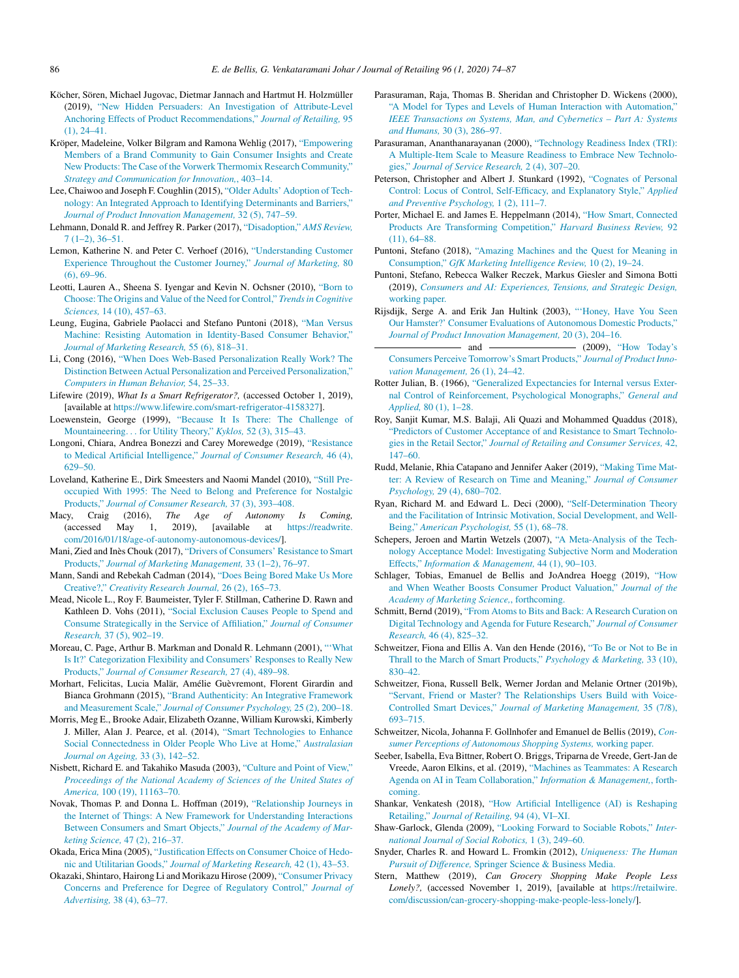- <span id="page-12-0"></span>Köcher, Sören, Michael Jugovac, Dietmar Jannach and Hartmut H. Holzmüller (2019), ["New](http://refhub.elsevier.com/S0022-4359(19)30092-2/sbref0320) [Hidden](http://refhub.elsevier.com/S0022-4359(19)30092-2/sbref0320) [Persuaders:](http://refhub.elsevier.com/S0022-4359(19)30092-2/sbref0320) [An](http://refhub.elsevier.com/S0022-4359(19)30092-2/sbref0320) [Investigation](http://refhub.elsevier.com/S0022-4359(19)30092-2/sbref0320) [of](http://refhub.elsevier.com/S0022-4359(19)30092-2/sbref0320) [Attribute-Level](http://refhub.elsevier.com/S0022-4359(19)30092-2/sbref0320) [Anchoring](http://refhub.elsevier.com/S0022-4359(19)30092-2/sbref0320) [Effects](http://refhub.elsevier.com/S0022-4359(19)30092-2/sbref0320) [of](http://refhub.elsevier.com/S0022-4359(19)30092-2/sbref0320) [Product](http://refhub.elsevier.com/S0022-4359(19)30092-2/sbref0320) [Recommendations,"](http://refhub.elsevier.com/S0022-4359(19)30092-2/sbref0320) *[Journal](http://refhub.elsevier.com/S0022-4359(19)30092-2/sbref0320) [of](http://refhub.elsevier.com/S0022-4359(19)30092-2/sbref0320) [Retailing,](http://refhub.elsevier.com/S0022-4359(19)30092-2/sbref0320)* [95](http://refhub.elsevier.com/S0022-4359(19)30092-2/sbref0320)  $(1)$ , [24–41.](http://refhub.elsevier.com/S0022-4359(19)30092-2/sbref0320)
- Kröper, Madeleine, Volker Bilgram and Ramona Wehlig (2017), ["Empowering](http://refhub.elsevier.com/S0022-4359(19)30092-2/sbref0325) [Members](http://refhub.elsevier.com/S0022-4359(19)30092-2/sbref0325) [of](http://refhub.elsevier.com/S0022-4359(19)30092-2/sbref0325) [a](http://refhub.elsevier.com/S0022-4359(19)30092-2/sbref0325) [Brand](http://refhub.elsevier.com/S0022-4359(19)30092-2/sbref0325) [Community](http://refhub.elsevier.com/S0022-4359(19)30092-2/sbref0325) [to](http://refhub.elsevier.com/S0022-4359(19)30092-2/sbref0325) [Gain](http://refhub.elsevier.com/S0022-4359(19)30092-2/sbref0325) [Consumer](http://refhub.elsevier.com/S0022-4359(19)30092-2/sbref0325) [Insights](http://refhub.elsevier.com/S0022-4359(19)30092-2/sbref0325) [and](http://refhub.elsevier.com/S0022-4359(19)30092-2/sbref0325) [Create](http://refhub.elsevier.com/S0022-4359(19)30092-2/sbref0325) [New](http://refhub.elsevier.com/S0022-4359(19)30092-2/sbref0325) [Products:](http://refhub.elsevier.com/S0022-4359(19)30092-2/sbref0325) [The](http://refhub.elsevier.com/S0022-4359(19)30092-2/sbref0325) [Case](http://refhub.elsevier.com/S0022-4359(19)30092-2/sbref0325) [of](http://refhub.elsevier.com/S0022-4359(19)30092-2/sbref0325) [the](http://refhub.elsevier.com/S0022-4359(19)30092-2/sbref0325) [Vorwerk](http://refhub.elsevier.com/S0022-4359(19)30092-2/sbref0325) [Thermomix](http://refhub.elsevier.com/S0022-4359(19)30092-2/sbref0325) [Research](http://refhub.elsevier.com/S0022-4359(19)30092-2/sbref0325) [Community,"](http://refhub.elsevier.com/S0022-4359(19)30092-2/sbref0325) *[Strategy](http://refhub.elsevier.com/S0022-4359(19)30092-2/sbref0325) [and](http://refhub.elsevier.com/S0022-4359(19)30092-2/sbref0325) [Communication](http://refhub.elsevier.com/S0022-4359(19)30092-2/sbref0325) [for](http://refhub.elsevier.com/S0022-4359(19)30092-2/sbref0325) [Innovation,](http://refhub.elsevier.com/S0022-4359(19)30092-2/sbref0325)*[,](http://refhub.elsevier.com/S0022-4359(19)30092-2/sbref0325) [403](http://refhub.elsevier.com/S0022-4359(19)30092-2/sbref0325)–[14.](http://refhub.elsevier.com/S0022-4359(19)30092-2/sbref0325)
- Lee, Chaiwoo and Joseph F. Coughlin (2015), ["Older](http://refhub.elsevier.com/S0022-4359(19)30092-2/sbref0330) [Adults'](http://refhub.elsevier.com/S0022-4359(19)30092-2/sbref0330) [Adoption](http://refhub.elsevier.com/S0022-4359(19)30092-2/sbref0330) [of](http://refhub.elsevier.com/S0022-4359(19)30092-2/sbref0330) [Tech](http://refhub.elsevier.com/S0022-4359(19)30092-2/sbref0330)[nology:](http://refhub.elsevier.com/S0022-4359(19)30092-2/sbref0330) [An](http://refhub.elsevier.com/S0022-4359(19)30092-2/sbref0330) [Integrated](http://refhub.elsevier.com/S0022-4359(19)30092-2/sbref0330) [Approach](http://refhub.elsevier.com/S0022-4359(19)30092-2/sbref0330) [to](http://refhub.elsevier.com/S0022-4359(19)30092-2/sbref0330) [Identifying](http://refhub.elsevier.com/S0022-4359(19)30092-2/sbref0330) [Determinants](http://refhub.elsevier.com/S0022-4359(19)30092-2/sbref0330) [and](http://refhub.elsevier.com/S0022-4359(19)30092-2/sbref0330) [Barriers,"](http://refhub.elsevier.com/S0022-4359(19)30092-2/sbref0330) *[Journal](http://refhub.elsevier.com/S0022-4359(19)30092-2/sbref0330) [of](http://refhub.elsevier.com/S0022-4359(19)30092-2/sbref0330) [Product](http://refhub.elsevier.com/S0022-4359(19)30092-2/sbref0330) [Innovation](http://refhub.elsevier.com/S0022-4359(19)30092-2/sbref0330) [Management,](http://refhub.elsevier.com/S0022-4359(19)30092-2/sbref0330)* [32](http://refhub.elsevier.com/S0022-4359(19)30092-2/sbref0330) [\(5\),](http://refhub.elsevier.com/S0022-4359(19)30092-2/sbref0330) [747–59.](http://refhub.elsevier.com/S0022-4359(19)30092-2/sbref0330)
- Lehmann, Donald R. and Jeffrey R. Parker (2017), ["Disadoption,"](http://refhub.elsevier.com/S0022-4359(19)30092-2/sbref0335) *[AMS](http://refhub.elsevier.com/S0022-4359(19)30092-2/sbref0335) [Review,](http://refhub.elsevier.com/S0022-4359(19)30092-2/sbref0335)* [7](http://refhub.elsevier.com/S0022-4359(19)30092-2/sbref0335) [\(1](http://refhub.elsevier.com/S0022-4359(19)30092-2/sbref0335)–[2\),](http://refhub.elsevier.com/S0022-4359(19)30092-2/sbref0335) [36–51.](http://refhub.elsevier.com/S0022-4359(19)30092-2/sbref0335)
- Lemon, Katherine N. and Peter C. Verhoef (2016), ["Understanding](http://refhub.elsevier.com/S0022-4359(19)30092-2/sbref0340) [Customer](http://refhub.elsevier.com/S0022-4359(19)30092-2/sbref0340) [Experience](http://refhub.elsevier.com/S0022-4359(19)30092-2/sbref0340) [Throughout](http://refhub.elsevier.com/S0022-4359(19)30092-2/sbref0340) [the](http://refhub.elsevier.com/S0022-4359(19)30092-2/sbref0340) [Customer](http://refhub.elsevier.com/S0022-4359(19)30092-2/sbref0340) [Journey,"](http://refhub.elsevier.com/S0022-4359(19)30092-2/sbref0340) *[Journal](http://refhub.elsevier.com/S0022-4359(19)30092-2/sbref0340) [of](http://refhub.elsevier.com/S0022-4359(19)30092-2/sbref0340) [Marketing,](http://refhub.elsevier.com/S0022-4359(19)30092-2/sbref0340)* [80](http://refhub.elsevier.com/S0022-4359(19)30092-2/sbref0340) [\(6\),](http://refhub.elsevier.com/S0022-4359(19)30092-2/sbref0340) [69–96.](http://refhub.elsevier.com/S0022-4359(19)30092-2/sbref0340)
- Leotti, Lauren A., Sheena S. Iyengar and Kevin N. Ochsner (2010), ["Born](http://refhub.elsevier.com/S0022-4359(19)30092-2/sbref0345) [to](http://refhub.elsevier.com/S0022-4359(19)30092-2/sbref0345) [Choose:](http://refhub.elsevier.com/S0022-4359(19)30092-2/sbref0345) [The](http://refhub.elsevier.com/S0022-4359(19)30092-2/sbref0345) [Origins](http://refhub.elsevier.com/S0022-4359(19)30092-2/sbref0345) [and](http://refhub.elsevier.com/S0022-4359(19)30092-2/sbref0345) [Value](http://refhub.elsevier.com/S0022-4359(19)30092-2/sbref0345) [of](http://refhub.elsevier.com/S0022-4359(19)30092-2/sbref0345) [the](http://refhub.elsevier.com/S0022-4359(19)30092-2/sbref0345) [Need](http://refhub.elsevier.com/S0022-4359(19)30092-2/sbref0345) [for](http://refhub.elsevier.com/S0022-4359(19)30092-2/sbref0345) [Control,"](http://refhub.elsevier.com/S0022-4359(19)30092-2/sbref0345) *[Trendsin](http://refhub.elsevier.com/S0022-4359(19)30092-2/sbref0345) [Cognitive](http://refhub.elsevier.com/S0022-4359(19)30092-2/sbref0345) [Sciences,](http://refhub.elsevier.com/S0022-4359(19)30092-2/sbref0345)* [14](http://refhub.elsevier.com/S0022-4359(19)30092-2/sbref0345) [\(10\),](http://refhub.elsevier.com/S0022-4359(19)30092-2/sbref0345) [457](http://refhub.elsevier.com/S0022-4359(19)30092-2/sbref0345)–[63.](http://refhub.elsevier.com/S0022-4359(19)30092-2/sbref0345)
- Leung, Eugina, Gabriele Paolacci and Stefano Puntoni (2018), ["Man](http://refhub.elsevier.com/S0022-4359(19)30092-2/sbref0350) [Versus](http://refhub.elsevier.com/S0022-4359(19)30092-2/sbref0350) [Machine:](http://refhub.elsevier.com/S0022-4359(19)30092-2/sbref0350) [Resisting](http://refhub.elsevier.com/S0022-4359(19)30092-2/sbref0350) [Automation](http://refhub.elsevier.com/S0022-4359(19)30092-2/sbref0350) [in](http://refhub.elsevier.com/S0022-4359(19)30092-2/sbref0350) [Identity-Based](http://refhub.elsevier.com/S0022-4359(19)30092-2/sbref0350) [Consumer](http://refhub.elsevier.com/S0022-4359(19)30092-2/sbref0350) [Behavior,"](http://refhub.elsevier.com/S0022-4359(19)30092-2/sbref0350) *[Journal](http://refhub.elsevier.com/S0022-4359(19)30092-2/sbref0350) [of](http://refhub.elsevier.com/S0022-4359(19)30092-2/sbref0350) [Marketing](http://refhub.elsevier.com/S0022-4359(19)30092-2/sbref0350) [Research,](http://refhub.elsevier.com/S0022-4359(19)30092-2/sbref0350)* [55](http://refhub.elsevier.com/S0022-4359(19)30092-2/sbref0350) [\(6\),](http://refhub.elsevier.com/S0022-4359(19)30092-2/sbref0350) [818–31.](http://refhub.elsevier.com/S0022-4359(19)30092-2/sbref0350)
- Li, Cong (2016), ["When](http://refhub.elsevier.com/S0022-4359(19)30092-2/sbref0355) [Does](http://refhub.elsevier.com/S0022-4359(19)30092-2/sbref0355) [Web-Based](http://refhub.elsevier.com/S0022-4359(19)30092-2/sbref0355) [Personalization](http://refhub.elsevier.com/S0022-4359(19)30092-2/sbref0355) [Really](http://refhub.elsevier.com/S0022-4359(19)30092-2/sbref0355) [Work?](http://refhub.elsevier.com/S0022-4359(19)30092-2/sbref0355) [The](http://refhub.elsevier.com/S0022-4359(19)30092-2/sbref0355) [Distinction](http://refhub.elsevier.com/S0022-4359(19)30092-2/sbref0355) [Between](http://refhub.elsevier.com/S0022-4359(19)30092-2/sbref0355) [Actual](http://refhub.elsevier.com/S0022-4359(19)30092-2/sbref0355) [Personalization](http://refhub.elsevier.com/S0022-4359(19)30092-2/sbref0355) [and](http://refhub.elsevier.com/S0022-4359(19)30092-2/sbref0355) [Perceived](http://refhub.elsevier.com/S0022-4359(19)30092-2/sbref0355) [Personalization,"](http://refhub.elsevier.com/S0022-4359(19)30092-2/sbref0355) *[Computers](http://refhub.elsevier.com/S0022-4359(19)30092-2/sbref0355) [in](http://refhub.elsevier.com/S0022-4359(19)30092-2/sbref0355) [Human](http://refhub.elsevier.com/S0022-4359(19)30092-2/sbref0355) [Behavior,](http://refhub.elsevier.com/S0022-4359(19)30092-2/sbref0355)* [54,](http://refhub.elsevier.com/S0022-4359(19)30092-2/sbref0355) [25–33.](http://refhub.elsevier.com/S0022-4359(19)30092-2/sbref0355)
- Lifewire (2019), *What Is a Smart Refrigerator?,* (accessed October 1, 2019), [available at <https://www.lifewire.com/smart-refrigerator-4158327>].
- Loewenstein, George (1999), ["Because](http://refhub.elsevier.com/S0022-4359(19)30092-2/sbref0365) [It](http://refhub.elsevier.com/S0022-4359(19)30092-2/sbref0365) [Is](http://refhub.elsevier.com/S0022-4359(19)30092-2/sbref0365) [There:](http://refhub.elsevier.com/S0022-4359(19)30092-2/sbref0365) [The](http://refhub.elsevier.com/S0022-4359(19)30092-2/sbref0365) [Challenge](http://refhub.elsevier.com/S0022-4359(19)30092-2/sbref0365) [of](http://refhub.elsevier.com/S0022-4359(19)30092-2/sbref0365) [Mountaineering](http://refhub.elsevier.com/S0022-4359(19)30092-2/sbref0365). . . [for](http://refhub.elsevier.com/S0022-4359(19)30092-2/sbref0365) [Utility](http://refhub.elsevier.com/S0022-4359(19)30092-2/sbref0365) [Theory,"](http://refhub.elsevier.com/S0022-4359(19)30092-2/sbref0365) *[Kyklos,](http://refhub.elsevier.com/S0022-4359(19)30092-2/sbref0365)* [52](http://refhub.elsevier.com/S0022-4359(19)30092-2/sbref0365) [\(3\),](http://refhub.elsevier.com/S0022-4359(19)30092-2/sbref0365) [315–43.](http://refhub.elsevier.com/S0022-4359(19)30092-2/sbref0365)
- Longoni, Chiara, Andrea Bonezzi and Carey Morewedge (2019), ["Resistance](http://refhub.elsevier.com/S0022-4359(19)30092-2/sbref0370) [to](http://refhub.elsevier.com/S0022-4359(19)30092-2/sbref0370) [Medical](http://refhub.elsevier.com/S0022-4359(19)30092-2/sbref0370) [Artificial](http://refhub.elsevier.com/S0022-4359(19)30092-2/sbref0370) [Intelligence,"](http://refhub.elsevier.com/S0022-4359(19)30092-2/sbref0370) *[Journal](http://refhub.elsevier.com/S0022-4359(19)30092-2/sbref0370) [of](http://refhub.elsevier.com/S0022-4359(19)30092-2/sbref0370) [Consumer](http://refhub.elsevier.com/S0022-4359(19)30092-2/sbref0370) [Research,](http://refhub.elsevier.com/S0022-4359(19)30092-2/sbref0370)* [46](http://refhub.elsevier.com/S0022-4359(19)30092-2/sbref0370) [\(4\),](http://refhub.elsevier.com/S0022-4359(19)30092-2/sbref0370) [629–50.](http://refhub.elsevier.com/S0022-4359(19)30092-2/sbref0370)
- Loveland, Katherine E., Dirk Smeesters and Naomi Mandel (2010), ["Still](http://refhub.elsevier.com/S0022-4359(19)30092-2/sbref0375) [Pre](http://refhub.elsevier.com/S0022-4359(19)30092-2/sbref0375)[occupied](http://refhub.elsevier.com/S0022-4359(19)30092-2/sbref0375) [With](http://refhub.elsevier.com/S0022-4359(19)30092-2/sbref0375) [1995:](http://refhub.elsevier.com/S0022-4359(19)30092-2/sbref0375) [The](http://refhub.elsevier.com/S0022-4359(19)30092-2/sbref0375) [Need](http://refhub.elsevier.com/S0022-4359(19)30092-2/sbref0375) [to](http://refhub.elsevier.com/S0022-4359(19)30092-2/sbref0375) [Belong](http://refhub.elsevier.com/S0022-4359(19)30092-2/sbref0375) [and](http://refhub.elsevier.com/S0022-4359(19)30092-2/sbref0375) [Preference](http://refhub.elsevier.com/S0022-4359(19)30092-2/sbref0375) [for](http://refhub.elsevier.com/S0022-4359(19)30092-2/sbref0375) [Nostalgic](http://refhub.elsevier.com/S0022-4359(19)30092-2/sbref0375) [Products,"](http://refhub.elsevier.com/S0022-4359(19)30092-2/sbref0375) *[Journal](http://refhub.elsevier.com/S0022-4359(19)30092-2/sbref0375) [of](http://refhub.elsevier.com/S0022-4359(19)30092-2/sbref0375) [Consumer](http://refhub.elsevier.com/S0022-4359(19)30092-2/sbref0375) [Research,](http://refhub.elsevier.com/S0022-4359(19)30092-2/sbref0375)* [37](http://refhub.elsevier.com/S0022-4359(19)30092-2/sbref0375) [\(3\),](http://refhub.elsevier.com/S0022-4359(19)30092-2/sbref0375) [393](http://refhub.elsevier.com/S0022-4359(19)30092-2/sbref0375)–[408.](http://refhub.elsevier.com/S0022-4359(19)30092-2/sbref0375)
- Macy, Craig (2016), *The Age of Autonomy Is Coming,* (accessed May 1, 2019), [available at [https://readwrite.](https://readwrite.com/2016/01/18/age-of-autonomy-autonomous-devices/) [com/2016/01/18/age-of-autonomy-autonomous-devices/](https://readwrite.com/2016/01/18/age-of-autonomy-autonomous-devices/)].
- Mani, Zied and Inès Chouk (2017), ["Drivers](http://refhub.elsevier.com/S0022-4359(19)30092-2/sbref0385) [of](http://refhub.elsevier.com/S0022-4359(19)30092-2/sbref0385) [Consumers'](http://refhub.elsevier.com/S0022-4359(19)30092-2/sbref0385) [Resistance](http://refhub.elsevier.com/S0022-4359(19)30092-2/sbref0385) [to](http://refhub.elsevier.com/S0022-4359(19)30092-2/sbref0385) [Smart](http://refhub.elsevier.com/S0022-4359(19)30092-2/sbref0385) [Products,"](http://refhub.elsevier.com/S0022-4359(19)30092-2/sbref0385) *[Journal](http://refhub.elsevier.com/S0022-4359(19)30092-2/sbref0385) [of](http://refhub.elsevier.com/S0022-4359(19)30092-2/sbref0385) [Marketing](http://refhub.elsevier.com/S0022-4359(19)30092-2/sbref0385) [Management,](http://refhub.elsevier.com/S0022-4359(19)30092-2/sbref0385)* [33](http://refhub.elsevier.com/S0022-4359(19)30092-2/sbref0385) [\(1](http://refhub.elsevier.com/S0022-4359(19)30092-2/sbref0385)–[2\),](http://refhub.elsevier.com/S0022-4359(19)30092-2/sbref0385) [76–97.](http://refhub.elsevier.com/S0022-4359(19)30092-2/sbref0385)
- Mann, Sandi and Rebekah Cadman (2014), ["Does](http://refhub.elsevier.com/S0022-4359(19)30092-2/sbref0390) [Being](http://refhub.elsevier.com/S0022-4359(19)30092-2/sbref0390) [Bored](http://refhub.elsevier.com/S0022-4359(19)30092-2/sbref0390) [Make](http://refhub.elsevier.com/S0022-4359(19)30092-2/sbref0390) [Us](http://refhub.elsevier.com/S0022-4359(19)30092-2/sbref0390) [More](http://refhub.elsevier.com/S0022-4359(19)30092-2/sbref0390) [Creative?,"](http://refhub.elsevier.com/S0022-4359(19)30092-2/sbref0390) *[Creativity](http://refhub.elsevier.com/S0022-4359(19)30092-2/sbref0390) [Research](http://refhub.elsevier.com/S0022-4359(19)30092-2/sbref0390) [Journal,](http://refhub.elsevier.com/S0022-4359(19)30092-2/sbref0390)* [26](http://refhub.elsevier.com/S0022-4359(19)30092-2/sbref0390) [\(2\),](http://refhub.elsevier.com/S0022-4359(19)30092-2/sbref0390) [165](http://refhub.elsevier.com/S0022-4359(19)30092-2/sbref0390)–[73.](http://refhub.elsevier.com/S0022-4359(19)30092-2/sbref0390)
- Mead, Nicole L., Roy F. Baumeister, Tyler F. Stillman, Catherine D. Rawn and Kathleen D. Vohs (2011), ["Social](http://refhub.elsevier.com/S0022-4359(19)30092-2/sbref0395) [Exclusion](http://refhub.elsevier.com/S0022-4359(19)30092-2/sbref0395) [Causes](http://refhub.elsevier.com/S0022-4359(19)30092-2/sbref0395) [People](http://refhub.elsevier.com/S0022-4359(19)30092-2/sbref0395) [to](http://refhub.elsevier.com/S0022-4359(19)30092-2/sbref0395) [Spend](http://refhub.elsevier.com/S0022-4359(19)30092-2/sbref0395) [and](http://refhub.elsevier.com/S0022-4359(19)30092-2/sbref0395) [Consume](http://refhub.elsevier.com/S0022-4359(19)30092-2/sbref0395) [Strategically](http://refhub.elsevier.com/S0022-4359(19)30092-2/sbref0395) [in](http://refhub.elsevier.com/S0022-4359(19)30092-2/sbref0395) [the](http://refhub.elsevier.com/S0022-4359(19)30092-2/sbref0395) [Service](http://refhub.elsevier.com/S0022-4359(19)30092-2/sbref0395) [of](http://refhub.elsevier.com/S0022-4359(19)30092-2/sbref0395) [Affiliation,"](http://refhub.elsevier.com/S0022-4359(19)30092-2/sbref0395) *[Journal](http://refhub.elsevier.com/S0022-4359(19)30092-2/sbref0395) [of](http://refhub.elsevier.com/S0022-4359(19)30092-2/sbref0395) [Consumer](http://refhub.elsevier.com/S0022-4359(19)30092-2/sbref0395) [Research,](http://refhub.elsevier.com/S0022-4359(19)30092-2/sbref0395)* [37](http://refhub.elsevier.com/S0022-4359(19)30092-2/sbref0395) [\(5\),](http://refhub.elsevier.com/S0022-4359(19)30092-2/sbref0395) [902](http://refhub.elsevier.com/S0022-4359(19)30092-2/sbref0395)–[19.](http://refhub.elsevier.com/S0022-4359(19)30092-2/sbref0395)
- Moreau, C. Page, Arthur B. Markman and Donald R. Lehmann (2001), ["'What](http://refhub.elsevier.com/S0022-4359(19)30092-2/sbref0400) [Is](http://refhub.elsevier.com/S0022-4359(19)30092-2/sbref0400) [It?'](http://refhub.elsevier.com/S0022-4359(19)30092-2/sbref0400) [Categorization](http://refhub.elsevier.com/S0022-4359(19)30092-2/sbref0400) [Flexibility](http://refhub.elsevier.com/S0022-4359(19)30092-2/sbref0400) [and](http://refhub.elsevier.com/S0022-4359(19)30092-2/sbref0400) [Consumers'](http://refhub.elsevier.com/S0022-4359(19)30092-2/sbref0400) [Responses](http://refhub.elsevier.com/S0022-4359(19)30092-2/sbref0400) [to](http://refhub.elsevier.com/S0022-4359(19)30092-2/sbref0400) [Really](http://refhub.elsevier.com/S0022-4359(19)30092-2/sbref0400) [New](http://refhub.elsevier.com/S0022-4359(19)30092-2/sbref0400) [Products,"](http://refhub.elsevier.com/S0022-4359(19)30092-2/sbref0400) *[Journal](http://refhub.elsevier.com/S0022-4359(19)30092-2/sbref0400) [of](http://refhub.elsevier.com/S0022-4359(19)30092-2/sbref0400) [Consumer](http://refhub.elsevier.com/S0022-4359(19)30092-2/sbref0400) [Research,](http://refhub.elsevier.com/S0022-4359(19)30092-2/sbref0400)* [27](http://refhub.elsevier.com/S0022-4359(19)30092-2/sbref0400) [\(4\),](http://refhub.elsevier.com/S0022-4359(19)30092-2/sbref0400) [489](http://refhub.elsevier.com/S0022-4359(19)30092-2/sbref0400)–[98.](http://refhub.elsevier.com/S0022-4359(19)30092-2/sbref0400)
- Morhart, Felicitas, Lucia Malär, Amélie Guèvremont, Florent Girardin and Bianca Grohmann (2015), ["Brand](http://refhub.elsevier.com/S0022-4359(19)30092-2/sbref0405) [Authenticity:](http://refhub.elsevier.com/S0022-4359(19)30092-2/sbref0405) [An](http://refhub.elsevier.com/S0022-4359(19)30092-2/sbref0405) [Integrative](http://refhub.elsevier.com/S0022-4359(19)30092-2/sbref0405) [Framework](http://refhub.elsevier.com/S0022-4359(19)30092-2/sbref0405) [and](http://refhub.elsevier.com/S0022-4359(19)30092-2/sbref0405) [Measurement](http://refhub.elsevier.com/S0022-4359(19)30092-2/sbref0405) [Scale,"](http://refhub.elsevier.com/S0022-4359(19)30092-2/sbref0405) *[Journal](http://refhub.elsevier.com/S0022-4359(19)30092-2/sbref0405) [of](http://refhub.elsevier.com/S0022-4359(19)30092-2/sbref0405) [Consumer](http://refhub.elsevier.com/S0022-4359(19)30092-2/sbref0405) [Psychology,](http://refhub.elsevier.com/S0022-4359(19)30092-2/sbref0405)* [25](http://refhub.elsevier.com/S0022-4359(19)30092-2/sbref0405) [\(2\),](http://refhub.elsevier.com/S0022-4359(19)30092-2/sbref0405) [200–18.](http://refhub.elsevier.com/S0022-4359(19)30092-2/sbref0405)
- Morris, Meg E., Brooke Adair, Elizabeth Ozanne, William Kurowski, Kimberly J. Miller, Alan J. Pearce, et al. (2014), ["Smart](http://refhub.elsevier.com/S0022-4359(19)30092-2/sbref0410) [Technologies](http://refhub.elsevier.com/S0022-4359(19)30092-2/sbref0410) [to](http://refhub.elsevier.com/S0022-4359(19)30092-2/sbref0410) [Enhance](http://refhub.elsevier.com/S0022-4359(19)30092-2/sbref0410) [Social](http://refhub.elsevier.com/S0022-4359(19)30092-2/sbref0410) [Connectedness](http://refhub.elsevier.com/S0022-4359(19)30092-2/sbref0410) [in](http://refhub.elsevier.com/S0022-4359(19)30092-2/sbref0410) [Older](http://refhub.elsevier.com/S0022-4359(19)30092-2/sbref0410) [People](http://refhub.elsevier.com/S0022-4359(19)30092-2/sbref0410) [Who](http://refhub.elsevier.com/S0022-4359(19)30092-2/sbref0410) [Live](http://refhub.elsevier.com/S0022-4359(19)30092-2/sbref0410) [at](http://refhub.elsevier.com/S0022-4359(19)30092-2/sbref0410) [Home,"](http://refhub.elsevier.com/S0022-4359(19)30092-2/sbref0410) *[Australasian](http://refhub.elsevier.com/S0022-4359(19)30092-2/sbref0410) [Journal](http://refhub.elsevier.com/S0022-4359(19)30092-2/sbref0410) [on](http://refhub.elsevier.com/S0022-4359(19)30092-2/sbref0410) [Ageing,](http://refhub.elsevier.com/S0022-4359(19)30092-2/sbref0410)* [33](http://refhub.elsevier.com/S0022-4359(19)30092-2/sbref0410) [\(3\),](http://refhub.elsevier.com/S0022-4359(19)30092-2/sbref0410) [142–52.](http://refhub.elsevier.com/S0022-4359(19)30092-2/sbref0410)
- Nisbett, Richard E. and Takahiko Masuda (2003), ["Culture](http://refhub.elsevier.com/S0022-4359(19)30092-2/sbref0415) [and](http://refhub.elsevier.com/S0022-4359(19)30092-2/sbref0415) [Point](http://refhub.elsevier.com/S0022-4359(19)30092-2/sbref0415) [of](http://refhub.elsevier.com/S0022-4359(19)30092-2/sbref0415) [View,"](http://refhub.elsevier.com/S0022-4359(19)30092-2/sbref0415) *[Proceedings](http://refhub.elsevier.com/S0022-4359(19)30092-2/sbref0415) [of](http://refhub.elsevier.com/S0022-4359(19)30092-2/sbref0415) [the](http://refhub.elsevier.com/S0022-4359(19)30092-2/sbref0415) [National](http://refhub.elsevier.com/S0022-4359(19)30092-2/sbref0415) [Academy](http://refhub.elsevier.com/S0022-4359(19)30092-2/sbref0415) [of](http://refhub.elsevier.com/S0022-4359(19)30092-2/sbref0415) [Sciences](http://refhub.elsevier.com/S0022-4359(19)30092-2/sbref0415) [of](http://refhub.elsevier.com/S0022-4359(19)30092-2/sbref0415) [the](http://refhub.elsevier.com/S0022-4359(19)30092-2/sbref0415) [United](http://refhub.elsevier.com/S0022-4359(19)30092-2/sbref0415) [States](http://refhub.elsevier.com/S0022-4359(19)30092-2/sbref0415) [of](http://refhub.elsevier.com/S0022-4359(19)30092-2/sbref0415) [America,](http://refhub.elsevier.com/S0022-4359(19)30092-2/sbref0415)* [100](http://refhub.elsevier.com/S0022-4359(19)30092-2/sbref0415) [\(19\),](http://refhub.elsevier.com/S0022-4359(19)30092-2/sbref0415) [11163–70.](http://refhub.elsevier.com/S0022-4359(19)30092-2/sbref0415)
- Novak, Thomas P. and Donna L. Hoffman (2019), ["Relationship](http://refhub.elsevier.com/S0022-4359(19)30092-2/sbref0420) [Journeys](http://refhub.elsevier.com/S0022-4359(19)30092-2/sbref0420) [in](http://refhub.elsevier.com/S0022-4359(19)30092-2/sbref0420) [the](http://refhub.elsevier.com/S0022-4359(19)30092-2/sbref0420) [Internet](http://refhub.elsevier.com/S0022-4359(19)30092-2/sbref0420) [of](http://refhub.elsevier.com/S0022-4359(19)30092-2/sbref0420) [Things:](http://refhub.elsevier.com/S0022-4359(19)30092-2/sbref0420) [A](http://refhub.elsevier.com/S0022-4359(19)30092-2/sbref0420) [New](http://refhub.elsevier.com/S0022-4359(19)30092-2/sbref0420) [Framework](http://refhub.elsevier.com/S0022-4359(19)30092-2/sbref0420) [for](http://refhub.elsevier.com/S0022-4359(19)30092-2/sbref0420) [Understanding](http://refhub.elsevier.com/S0022-4359(19)30092-2/sbref0420) [Interactions](http://refhub.elsevier.com/S0022-4359(19)30092-2/sbref0420) [Between](http://refhub.elsevier.com/S0022-4359(19)30092-2/sbref0420) [Consumers](http://refhub.elsevier.com/S0022-4359(19)30092-2/sbref0420) [and](http://refhub.elsevier.com/S0022-4359(19)30092-2/sbref0420) [Smart](http://refhub.elsevier.com/S0022-4359(19)30092-2/sbref0420) [Objects,"](http://refhub.elsevier.com/S0022-4359(19)30092-2/sbref0420) *[Journal](http://refhub.elsevier.com/S0022-4359(19)30092-2/sbref0420) [of](http://refhub.elsevier.com/S0022-4359(19)30092-2/sbref0420) [the](http://refhub.elsevier.com/S0022-4359(19)30092-2/sbref0420) [Academy](http://refhub.elsevier.com/S0022-4359(19)30092-2/sbref0420) [of](http://refhub.elsevier.com/S0022-4359(19)30092-2/sbref0420) [Mar](http://refhub.elsevier.com/S0022-4359(19)30092-2/sbref0420)[keting](http://refhub.elsevier.com/S0022-4359(19)30092-2/sbref0420) [Science,](http://refhub.elsevier.com/S0022-4359(19)30092-2/sbref0420)* [47](http://refhub.elsevier.com/S0022-4359(19)30092-2/sbref0420) [\(2\),](http://refhub.elsevier.com/S0022-4359(19)30092-2/sbref0420) [216](http://refhub.elsevier.com/S0022-4359(19)30092-2/sbref0420)–[37.](http://refhub.elsevier.com/S0022-4359(19)30092-2/sbref0420)
- Okada, Erica Mina (2005), ["Justification](http://refhub.elsevier.com/S0022-4359(19)30092-2/sbref0425) [Effects](http://refhub.elsevier.com/S0022-4359(19)30092-2/sbref0425) [on](http://refhub.elsevier.com/S0022-4359(19)30092-2/sbref0425) [Consumer](http://refhub.elsevier.com/S0022-4359(19)30092-2/sbref0425) [Choice](http://refhub.elsevier.com/S0022-4359(19)30092-2/sbref0425) [of](http://refhub.elsevier.com/S0022-4359(19)30092-2/sbref0425) [Hedo](http://refhub.elsevier.com/S0022-4359(19)30092-2/sbref0425)[nic](http://refhub.elsevier.com/S0022-4359(19)30092-2/sbref0425) [and](http://refhub.elsevier.com/S0022-4359(19)30092-2/sbref0425) [Utilitarian](http://refhub.elsevier.com/S0022-4359(19)30092-2/sbref0425) [Goods,"](http://refhub.elsevier.com/S0022-4359(19)30092-2/sbref0425) *[Journal](http://refhub.elsevier.com/S0022-4359(19)30092-2/sbref0425) [of](http://refhub.elsevier.com/S0022-4359(19)30092-2/sbref0425) [Marketing](http://refhub.elsevier.com/S0022-4359(19)30092-2/sbref0425) [Research,](http://refhub.elsevier.com/S0022-4359(19)30092-2/sbref0425)* [42](http://refhub.elsevier.com/S0022-4359(19)30092-2/sbref0425) [\(1\),](http://refhub.elsevier.com/S0022-4359(19)30092-2/sbref0425) [43](http://refhub.elsevier.com/S0022-4359(19)30092-2/sbref0425)–[53.](http://refhub.elsevier.com/S0022-4359(19)30092-2/sbref0425)
- Okazaki, Shintaro, Hairong Li and Morikazu Hirose (2009), ["Consumer](http://refhub.elsevier.com/S0022-4359(19)30092-2/sbref0430) [Privacy](http://refhub.elsevier.com/S0022-4359(19)30092-2/sbref0430) [Concerns](http://refhub.elsevier.com/S0022-4359(19)30092-2/sbref0430) [and](http://refhub.elsevier.com/S0022-4359(19)30092-2/sbref0430) [Preference](http://refhub.elsevier.com/S0022-4359(19)30092-2/sbref0430) [for](http://refhub.elsevier.com/S0022-4359(19)30092-2/sbref0430) [Degree](http://refhub.elsevier.com/S0022-4359(19)30092-2/sbref0430) [of](http://refhub.elsevier.com/S0022-4359(19)30092-2/sbref0430) [Regulatory](http://refhub.elsevier.com/S0022-4359(19)30092-2/sbref0430) [Control,"](http://refhub.elsevier.com/S0022-4359(19)30092-2/sbref0430) *[Journal](http://refhub.elsevier.com/S0022-4359(19)30092-2/sbref0430) [of](http://refhub.elsevier.com/S0022-4359(19)30092-2/sbref0430) [Advertising,](http://refhub.elsevier.com/S0022-4359(19)30092-2/sbref0430)* [38](http://refhub.elsevier.com/S0022-4359(19)30092-2/sbref0430) [\(4\),](http://refhub.elsevier.com/S0022-4359(19)30092-2/sbref0430) [63](http://refhub.elsevier.com/S0022-4359(19)30092-2/sbref0430)–[77.](http://refhub.elsevier.com/S0022-4359(19)30092-2/sbref0430)
- Parasuraman, Raja, Thomas B. Sheridan and Christopher D. Wickens (2000), ["A](http://refhub.elsevier.com/S0022-4359(19)30092-2/sbref0435) [Model](http://refhub.elsevier.com/S0022-4359(19)30092-2/sbref0435) [for](http://refhub.elsevier.com/S0022-4359(19)30092-2/sbref0435) [Types](http://refhub.elsevier.com/S0022-4359(19)30092-2/sbref0435) [and](http://refhub.elsevier.com/S0022-4359(19)30092-2/sbref0435) [Levels](http://refhub.elsevier.com/S0022-4359(19)30092-2/sbref0435) [of](http://refhub.elsevier.com/S0022-4359(19)30092-2/sbref0435) [Human](http://refhub.elsevier.com/S0022-4359(19)30092-2/sbref0435) [Interaction](http://refhub.elsevier.com/S0022-4359(19)30092-2/sbref0435) [with](http://refhub.elsevier.com/S0022-4359(19)30092-2/sbref0435) [Automation,"](http://refhub.elsevier.com/S0022-4359(19)30092-2/sbref0435) *[IEEE](http://refhub.elsevier.com/S0022-4359(19)30092-2/sbref0435) [Transactions](http://refhub.elsevier.com/S0022-4359(19)30092-2/sbref0435) [on](http://refhub.elsevier.com/S0022-4359(19)30092-2/sbref0435) [Systems,](http://refhub.elsevier.com/S0022-4359(19)30092-2/sbref0435) [Man,](http://refhub.elsevier.com/S0022-4359(19)30092-2/sbref0435) [and](http://refhub.elsevier.com/S0022-4359(19)30092-2/sbref0435) [Cybernetics](http://refhub.elsevier.com/S0022-4359(19)30092-2/sbref0435) [–](http://refhub.elsevier.com/S0022-4359(19)30092-2/sbref0435) [Part](http://refhub.elsevier.com/S0022-4359(19)30092-2/sbref0435) [A:](http://refhub.elsevier.com/S0022-4359(19)30092-2/sbref0435) [Systems](http://refhub.elsevier.com/S0022-4359(19)30092-2/sbref0435) [and](http://refhub.elsevier.com/S0022-4359(19)30092-2/sbref0435) [Humans,](http://refhub.elsevier.com/S0022-4359(19)30092-2/sbref0435)* [30](http://refhub.elsevier.com/S0022-4359(19)30092-2/sbref0435) [\(3\),](http://refhub.elsevier.com/S0022-4359(19)30092-2/sbref0435) [286–97.](http://refhub.elsevier.com/S0022-4359(19)30092-2/sbref0435)
- Parasuraman, Ananthanarayanan (2000), ["Technology](http://refhub.elsevier.com/S0022-4359(19)30092-2/sbref0440) [Readiness](http://refhub.elsevier.com/S0022-4359(19)30092-2/sbref0440) [Index](http://refhub.elsevier.com/S0022-4359(19)30092-2/sbref0440) [\(TRI\):](http://refhub.elsevier.com/S0022-4359(19)30092-2/sbref0440) [A](http://refhub.elsevier.com/S0022-4359(19)30092-2/sbref0440) [Multiple-Item](http://refhub.elsevier.com/S0022-4359(19)30092-2/sbref0440) [Scale](http://refhub.elsevier.com/S0022-4359(19)30092-2/sbref0440) [to](http://refhub.elsevier.com/S0022-4359(19)30092-2/sbref0440) [Measure](http://refhub.elsevier.com/S0022-4359(19)30092-2/sbref0440) [Readiness](http://refhub.elsevier.com/S0022-4359(19)30092-2/sbref0440) [to](http://refhub.elsevier.com/S0022-4359(19)30092-2/sbref0440) [Embrace](http://refhub.elsevier.com/S0022-4359(19)30092-2/sbref0440) [New](http://refhub.elsevier.com/S0022-4359(19)30092-2/sbref0440) [Technolo](http://refhub.elsevier.com/S0022-4359(19)30092-2/sbref0440)[gies,"](http://refhub.elsevier.com/S0022-4359(19)30092-2/sbref0440) *[Journal](http://refhub.elsevier.com/S0022-4359(19)30092-2/sbref0440) [of](http://refhub.elsevier.com/S0022-4359(19)30092-2/sbref0440) [Service](http://refhub.elsevier.com/S0022-4359(19)30092-2/sbref0440) [Research,](http://refhub.elsevier.com/S0022-4359(19)30092-2/sbref0440)* [2](http://refhub.elsevier.com/S0022-4359(19)30092-2/sbref0440) [\(4\),](http://refhub.elsevier.com/S0022-4359(19)30092-2/sbref0440) [307–20.](http://refhub.elsevier.com/S0022-4359(19)30092-2/sbref0440)
- Peterson, Christopher and Albert J. Stunkard (1992), ["Cognates](http://refhub.elsevier.com/S0022-4359(19)30092-2/sbref0445) [of](http://refhub.elsevier.com/S0022-4359(19)30092-2/sbref0445) [Personal](http://refhub.elsevier.com/S0022-4359(19)30092-2/sbref0445) [Control:](http://refhub.elsevier.com/S0022-4359(19)30092-2/sbref0445) [Locus](http://refhub.elsevier.com/S0022-4359(19)30092-2/sbref0445) [of](http://refhub.elsevier.com/S0022-4359(19)30092-2/sbref0445) [Control,](http://refhub.elsevier.com/S0022-4359(19)30092-2/sbref0445) [Self-Efficacy,](http://refhub.elsevier.com/S0022-4359(19)30092-2/sbref0445) [and](http://refhub.elsevier.com/S0022-4359(19)30092-2/sbref0445) [Explanatory](http://refhub.elsevier.com/S0022-4359(19)30092-2/sbref0445) [Style,"](http://refhub.elsevier.com/S0022-4359(19)30092-2/sbref0445) *[Applied](http://refhub.elsevier.com/S0022-4359(19)30092-2/sbref0445) [and](http://refhub.elsevier.com/S0022-4359(19)30092-2/sbref0445) [Preventive](http://refhub.elsevier.com/S0022-4359(19)30092-2/sbref0445) [Psychology,](http://refhub.elsevier.com/S0022-4359(19)30092-2/sbref0445)* [1](http://refhub.elsevier.com/S0022-4359(19)30092-2/sbref0445) [\(2\),](http://refhub.elsevier.com/S0022-4359(19)30092-2/sbref0445) [111](http://refhub.elsevier.com/S0022-4359(19)30092-2/sbref0445)–[7.](http://refhub.elsevier.com/S0022-4359(19)30092-2/sbref0445)
- Porter, Michael E. and James E. Heppelmann (2014), ["How](http://refhub.elsevier.com/S0022-4359(19)30092-2/sbref0450) [Smart,](http://refhub.elsevier.com/S0022-4359(19)30092-2/sbref0450) [Connected](http://refhub.elsevier.com/S0022-4359(19)30092-2/sbref0450) [Products](http://refhub.elsevier.com/S0022-4359(19)30092-2/sbref0450) [Are](http://refhub.elsevier.com/S0022-4359(19)30092-2/sbref0450) [Transforming](http://refhub.elsevier.com/S0022-4359(19)30092-2/sbref0450) [Competition,"](http://refhub.elsevier.com/S0022-4359(19)30092-2/sbref0450) *[Harvard](http://refhub.elsevier.com/S0022-4359(19)30092-2/sbref0450) [Business](http://refhub.elsevier.com/S0022-4359(19)30092-2/sbref0450) [Review,](http://refhub.elsevier.com/S0022-4359(19)30092-2/sbref0450)* [92](http://refhub.elsevier.com/S0022-4359(19)30092-2/sbref0450) [\(11\),](http://refhub.elsevier.com/S0022-4359(19)30092-2/sbref0450) [64–88.](http://refhub.elsevier.com/S0022-4359(19)30092-2/sbref0450)
- Puntoni, Stefano (2018), ["Amazing](http://refhub.elsevier.com/S0022-4359(19)30092-2/sbref0455) [Machines](http://refhub.elsevier.com/S0022-4359(19)30092-2/sbref0455) [and](http://refhub.elsevier.com/S0022-4359(19)30092-2/sbref0455) [the](http://refhub.elsevier.com/S0022-4359(19)30092-2/sbref0455) [Quest](http://refhub.elsevier.com/S0022-4359(19)30092-2/sbref0455) [for](http://refhub.elsevier.com/S0022-4359(19)30092-2/sbref0455) [Meaning](http://refhub.elsevier.com/S0022-4359(19)30092-2/sbref0455) [in](http://refhub.elsevier.com/S0022-4359(19)30092-2/sbref0455) [Consumption,"](http://refhub.elsevier.com/S0022-4359(19)30092-2/sbref0455) *[GfK](http://refhub.elsevier.com/S0022-4359(19)30092-2/sbref0455) [Marketing](http://refhub.elsevier.com/S0022-4359(19)30092-2/sbref0455) [Intelligence](http://refhub.elsevier.com/S0022-4359(19)30092-2/sbref0455) [Review,](http://refhub.elsevier.com/S0022-4359(19)30092-2/sbref0455)* [10](http://refhub.elsevier.com/S0022-4359(19)30092-2/sbref0455) [\(2\),](http://refhub.elsevier.com/S0022-4359(19)30092-2/sbref0455) [19–24.](http://refhub.elsevier.com/S0022-4359(19)30092-2/sbref0455)
- Puntoni, Stefano, Rebecca Walker Reczek, Markus Giesler and Simona Botti (2019), *[Consumers](http://refhub.elsevier.com/S0022-4359(19)30092-2/sbref0460) [and](http://refhub.elsevier.com/S0022-4359(19)30092-2/sbref0460) [AI:](http://refhub.elsevier.com/S0022-4359(19)30092-2/sbref0460) [Experiences,](http://refhub.elsevier.com/S0022-4359(19)30092-2/sbref0460) [Tensions,](http://refhub.elsevier.com/S0022-4359(19)30092-2/sbref0460) [and](http://refhub.elsevier.com/S0022-4359(19)30092-2/sbref0460) [Strategic](http://refhub.elsevier.com/S0022-4359(19)30092-2/sbref0460) [Design,](http://refhub.elsevier.com/S0022-4359(19)30092-2/sbref0460)* [working](http://refhub.elsevier.com/S0022-4359(19)30092-2/sbref0460) [paper.](http://refhub.elsevier.com/S0022-4359(19)30092-2/sbref0460)
- Rijsdijk, Serge A. and Erik Jan Hultink (2003), ["'Honey,](http://refhub.elsevier.com/S0022-4359(19)30092-2/sbref0465) [Have](http://refhub.elsevier.com/S0022-4359(19)30092-2/sbref0465) [You](http://refhub.elsevier.com/S0022-4359(19)30092-2/sbref0465) [Seen](http://refhub.elsevier.com/S0022-4359(19)30092-2/sbref0465) [Our](http://refhub.elsevier.com/S0022-4359(19)30092-2/sbref0465) [Hamster?'](http://refhub.elsevier.com/S0022-4359(19)30092-2/sbref0465) [Consumer](http://refhub.elsevier.com/S0022-4359(19)30092-2/sbref0465) [Evaluations](http://refhub.elsevier.com/S0022-4359(19)30092-2/sbref0465) [of](http://refhub.elsevier.com/S0022-4359(19)30092-2/sbref0465) [Autonomous](http://refhub.elsevier.com/S0022-4359(19)30092-2/sbref0465) [Domestic](http://refhub.elsevier.com/S0022-4359(19)30092-2/sbref0465) [Products,"](http://refhub.elsevier.com/S0022-4359(19)30092-2/sbref0465) *[Journal](http://refhub.elsevier.com/S0022-4359(19)30092-2/sbref0465) [of](http://refhub.elsevier.com/S0022-4359(19)30092-2/sbref0465) [Product](http://refhub.elsevier.com/S0022-4359(19)30092-2/sbref0465) [Innovation](http://refhub.elsevier.com/S0022-4359(19)30092-2/sbref0465) [Management,](http://refhub.elsevier.com/S0022-4359(19)30092-2/sbref0465)* [20](http://refhub.elsevier.com/S0022-4359(19)30092-2/sbref0465) [\(3\),](http://refhub.elsevier.com/S0022-4359(19)30092-2/sbref0465) [204–16.](http://refhub.elsevier.com/S0022-4359(19)30092-2/sbref0465)

 $-$  and  $\overline{\phantom{a}}$  (2009), ["How](http://refhub.elsevier.com/S0022-4359(19)30092-2/sbref0470) [Today's](http://refhub.elsevier.com/S0022-4359(19)30092-2/sbref0470) [Consumers](http://refhub.elsevier.com/S0022-4359(19)30092-2/sbref0470) [Perceive](http://refhub.elsevier.com/S0022-4359(19)30092-2/sbref0470) [Tomorrow's](http://refhub.elsevier.com/S0022-4359(19)30092-2/sbref0470) [Smart](http://refhub.elsevier.com/S0022-4359(19)30092-2/sbref0470) [Products,"](http://refhub.elsevier.com/S0022-4359(19)30092-2/sbref0470) *[Journal](http://refhub.elsevier.com/S0022-4359(19)30092-2/sbref0470) [of](http://refhub.elsevier.com/S0022-4359(19)30092-2/sbref0470) [Product](http://refhub.elsevier.com/S0022-4359(19)30092-2/sbref0470) [Inno](http://refhub.elsevier.com/S0022-4359(19)30092-2/sbref0470)[vation](http://refhub.elsevier.com/S0022-4359(19)30092-2/sbref0470) [Management,](http://refhub.elsevier.com/S0022-4359(19)30092-2/sbref0470)* [26](http://refhub.elsevier.com/S0022-4359(19)30092-2/sbref0470) [\(1\),](http://refhub.elsevier.com/S0022-4359(19)30092-2/sbref0470) [24–42.](http://refhub.elsevier.com/S0022-4359(19)30092-2/sbref0470)

- Rotter Julian, B. (1966), ["Generalized](http://refhub.elsevier.com/S0022-4359(19)30092-2/sbref0475) [Expectancies](http://refhub.elsevier.com/S0022-4359(19)30092-2/sbref0475) [for](http://refhub.elsevier.com/S0022-4359(19)30092-2/sbref0475) [Internal](http://refhub.elsevier.com/S0022-4359(19)30092-2/sbref0475) [versus](http://refhub.elsevier.com/S0022-4359(19)30092-2/sbref0475) [Exter](http://refhub.elsevier.com/S0022-4359(19)30092-2/sbref0475)[nal](http://refhub.elsevier.com/S0022-4359(19)30092-2/sbref0475) [Control](http://refhub.elsevier.com/S0022-4359(19)30092-2/sbref0475) [of](http://refhub.elsevier.com/S0022-4359(19)30092-2/sbref0475) [Reinforcement,](http://refhub.elsevier.com/S0022-4359(19)30092-2/sbref0475) [Psychological](http://refhub.elsevier.com/S0022-4359(19)30092-2/sbref0475) [Monographs,"](http://refhub.elsevier.com/S0022-4359(19)30092-2/sbref0475) *[General](http://refhub.elsevier.com/S0022-4359(19)30092-2/sbref0475) [and](http://refhub.elsevier.com/S0022-4359(19)30092-2/sbref0475) [Applied,](http://refhub.elsevier.com/S0022-4359(19)30092-2/sbref0475)* [80](http://refhub.elsevier.com/S0022-4359(19)30092-2/sbref0475) [\(1\),](http://refhub.elsevier.com/S0022-4359(19)30092-2/sbref0475) [1–28.](http://refhub.elsevier.com/S0022-4359(19)30092-2/sbref0475)
- Roy, Sanjit Kumar, M.S. Balaji, Ali Quazi and Mohammed Quaddus (2018), ["Predictors](http://refhub.elsevier.com/S0022-4359(19)30092-2/sbref0480) [of](http://refhub.elsevier.com/S0022-4359(19)30092-2/sbref0480) [Customer](http://refhub.elsevier.com/S0022-4359(19)30092-2/sbref0480) [Acceptance](http://refhub.elsevier.com/S0022-4359(19)30092-2/sbref0480) [of](http://refhub.elsevier.com/S0022-4359(19)30092-2/sbref0480) [and](http://refhub.elsevier.com/S0022-4359(19)30092-2/sbref0480) [Resistance](http://refhub.elsevier.com/S0022-4359(19)30092-2/sbref0480) [to](http://refhub.elsevier.com/S0022-4359(19)30092-2/sbref0480) [Smart](http://refhub.elsevier.com/S0022-4359(19)30092-2/sbref0480) [Technolo](http://refhub.elsevier.com/S0022-4359(19)30092-2/sbref0480)[gies](http://refhub.elsevier.com/S0022-4359(19)30092-2/sbref0480) [in](http://refhub.elsevier.com/S0022-4359(19)30092-2/sbref0480) [the](http://refhub.elsevier.com/S0022-4359(19)30092-2/sbref0480) [Retail](http://refhub.elsevier.com/S0022-4359(19)30092-2/sbref0480) [Sector,"](http://refhub.elsevier.com/S0022-4359(19)30092-2/sbref0480) *[Journal](http://refhub.elsevier.com/S0022-4359(19)30092-2/sbref0480) [of](http://refhub.elsevier.com/S0022-4359(19)30092-2/sbref0480) [Retailing](http://refhub.elsevier.com/S0022-4359(19)30092-2/sbref0480) [and](http://refhub.elsevier.com/S0022-4359(19)30092-2/sbref0480) [Consumer](http://refhub.elsevier.com/S0022-4359(19)30092-2/sbref0480) [Services,](http://refhub.elsevier.com/S0022-4359(19)30092-2/sbref0480)* [42,](http://refhub.elsevier.com/S0022-4359(19)30092-2/sbref0480) [147–60.](http://refhub.elsevier.com/S0022-4359(19)30092-2/sbref0480)
- Rudd, Melanie, Rhia Catapano and Jennifer Aaker (2019), ["Making](http://refhub.elsevier.com/S0022-4359(19)30092-2/sbref0485) [Time](http://refhub.elsevier.com/S0022-4359(19)30092-2/sbref0485) [Mat](http://refhub.elsevier.com/S0022-4359(19)30092-2/sbref0485)[ter:](http://refhub.elsevier.com/S0022-4359(19)30092-2/sbref0485) [A](http://refhub.elsevier.com/S0022-4359(19)30092-2/sbref0485) [Review](http://refhub.elsevier.com/S0022-4359(19)30092-2/sbref0485) [of](http://refhub.elsevier.com/S0022-4359(19)30092-2/sbref0485) [Research](http://refhub.elsevier.com/S0022-4359(19)30092-2/sbref0485) [on](http://refhub.elsevier.com/S0022-4359(19)30092-2/sbref0485) [Time](http://refhub.elsevier.com/S0022-4359(19)30092-2/sbref0485) [and](http://refhub.elsevier.com/S0022-4359(19)30092-2/sbref0485) [Meaning,"](http://refhub.elsevier.com/S0022-4359(19)30092-2/sbref0485) *[Journal](http://refhub.elsevier.com/S0022-4359(19)30092-2/sbref0485) [of](http://refhub.elsevier.com/S0022-4359(19)30092-2/sbref0485) [Consumer](http://refhub.elsevier.com/S0022-4359(19)30092-2/sbref0485) [Psychology,](http://refhub.elsevier.com/S0022-4359(19)30092-2/sbref0485)* [29](http://refhub.elsevier.com/S0022-4359(19)30092-2/sbref0485) [\(4\),](http://refhub.elsevier.com/S0022-4359(19)30092-2/sbref0485) [680–702.](http://refhub.elsevier.com/S0022-4359(19)30092-2/sbref0485)
- Ryan, Richard M. and Edward L. Deci (2000), ["Self-Determination](http://refhub.elsevier.com/S0022-4359(19)30092-2/sbref0490) [Theory](http://refhub.elsevier.com/S0022-4359(19)30092-2/sbref0490) [and](http://refhub.elsevier.com/S0022-4359(19)30092-2/sbref0490) [the](http://refhub.elsevier.com/S0022-4359(19)30092-2/sbref0490) [Facilitation](http://refhub.elsevier.com/S0022-4359(19)30092-2/sbref0490) [of](http://refhub.elsevier.com/S0022-4359(19)30092-2/sbref0490) [Intrinsic](http://refhub.elsevier.com/S0022-4359(19)30092-2/sbref0490) [Motivation,](http://refhub.elsevier.com/S0022-4359(19)30092-2/sbref0490) [Social](http://refhub.elsevier.com/S0022-4359(19)30092-2/sbref0490) [Development,](http://refhub.elsevier.com/S0022-4359(19)30092-2/sbref0490) [and](http://refhub.elsevier.com/S0022-4359(19)30092-2/sbref0490) [Well-](http://refhub.elsevier.com/S0022-4359(19)30092-2/sbref0490)[Being,"](http://refhub.elsevier.com/S0022-4359(19)30092-2/sbref0490) *[American](http://refhub.elsevier.com/S0022-4359(19)30092-2/sbref0490) [Psychologist,](http://refhub.elsevier.com/S0022-4359(19)30092-2/sbref0490)* [55](http://refhub.elsevier.com/S0022-4359(19)30092-2/sbref0490) [\(1\),](http://refhub.elsevier.com/S0022-4359(19)30092-2/sbref0490) [68](http://refhub.elsevier.com/S0022-4359(19)30092-2/sbref0490)–[78.](http://refhub.elsevier.com/S0022-4359(19)30092-2/sbref0490)
- Schepers, Jeroen and Martin Wetzels (2007), ["A](http://refhub.elsevier.com/S0022-4359(19)30092-2/sbref0495) [Meta-Analysis](http://refhub.elsevier.com/S0022-4359(19)30092-2/sbref0495) [of](http://refhub.elsevier.com/S0022-4359(19)30092-2/sbref0495) [the](http://refhub.elsevier.com/S0022-4359(19)30092-2/sbref0495) [Tech](http://refhub.elsevier.com/S0022-4359(19)30092-2/sbref0495)[nology](http://refhub.elsevier.com/S0022-4359(19)30092-2/sbref0495) [Acceptance](http://refhub.elsevier.com/S0022-4359(19)30092-2/sbref0495) [Model:](http://refhub.elsevier.com/S0022-4359(19)30092-2/sbref0495) [Investigating](http://refhub.elsevier.com/S0022-4359(19)30092-2/sbref0495) [Subjective](http://refhub.elsevier.com/S0022-4359(19)30092-2/sbref0495) [Norm](http://refhub.elsevier.com/S0022-4359(19)30092-2/sbref0495) [and](http://refhub.elsevier.com/S0022-4359(19)30092-2/sbref0495) [Moderation](http://refhub.elsevier.com/S0022-4359(19)30092-2/sbref0495) [Effects,"](http://refhub.elsevier.com/S0022-4359(19)30092-2/sbref0495) *[Information](http://refhub.elsevier.com/S0022-4359(19)30092-2/sbref0495) [&](http://refhub.elsevier.com/S0022-4359(19)30092-2/sbref0495) [Management,](http://refhub.elsevier.com/S0022-4359(19)30092-2/sbref0495)* [44](http://refhub.elsevier.com/S0022-4359(19)30092-2/sbref0495) [\(1\),](http://refhub.elsevier.com/S0022-4359(19)30092-2/sbref0495) [90](http://refhub.elsevier.com/S0022-4359(19)30092-2/sbref0495)–[103.](http://refhub.elsevier.com/S0022-4359(19)30092-2/sbref0495)
- Schlager, Tobias, Emanuel de Bellis and JoAndrea Hoegg (2019), ["How](http://refhub.elsevier.com/S0022-4359(19)30092-2/sbref0500) [and](http://refhub.elsevier.com/S0022-4359(19)30092-2/sbref0500) [When](http://refhub.elsevier.com/S0022-4359(19)30092-2/sbref0500) [Weather](http://refhub.elsevier.com/S0022-4359(19)30092-2/sbref0500) [Boosts](http://refhub.elsevier.com/S0022-4359(19)30092-2/sbref0500) [Consumer](http://refhub.elsevier.com/S0022-4359(19)30092-2/sbref0500) [Product](http://refhub.elsevier.com/S0022-4359(19)30092-2/sbref0500) [Valuation,"](http://refhub.elsevier.com/S0022-4359(19)30092-2/sbref0500) *[Journal](http://refhub.elsevier.com/S0022-4359(19)30092-2/sbref0500) [of](http://refhub.elsevier.com/S0022-4359(19)30092-2/sbref0500) [the](http://refhub.elsevier.com/S0022-4359(19)30092-2/sbref0500) [Academy](http://refhub.elsevier.com/S0022-4359(19)30092-2/sbref0500) [of](http://refhub.elsevier.com/S0022-4359(19)30092-2/sbref0500) [Marketing](http://refhub.elsevier.com/S0022-4359(19)30092-2/sbref0500) [Science,](http://refhub.elsevier.com/S0022-4359(19)30092-2/sbref0500)*[,](http://refhub.elsevier.com/S0022-4359(19)30092-2/sbref0500) [forthcoming.](http://refhub.elsevier.com/S0022-4359(19)30092-2/sbref0500)
- Schmitt, Bernd (2019), ["From](http://refhub.elsevier.com/S0022-4359(19)30092-2/sbref0505) [Atoms](http://refhub.elsevier.com/S0022-4359(19)30092-2/sbref0505) [to](http://refhub.elsevier.com/S0022-4359(19)30092-2/sbref0505) [Bits](http://refhub.elsevier.com/S0022-4359(19)30092-2/sbref0505) [and](http://refhub.elsevier.com/S0022-4359(19)30092-2/sbref0505) [Back:](http://refhub.elsevier.com/S0022-4359(19)30092-2/sbref0505) [A](http://refhub.elsevier.com/S0022-4359(19)30092-2/sbref0505) [Research](http://refhub.elsevier.com/S0022-4359(19)30092-2/sbref0505) [Curation](http://refhub.elsevier.com/S0022-4359(19)30092-2/sbref0505) [on](http://refhub.elsevier.com/S0022-4359(19)30092-2/sbref0505) [Digital](http://refhub.elsevier.com/S0022-4359(19)30092-2/sbref0505) [Technology](http://refhub.elsevier.com/S0022-4359(19)30092-2/sbref0505) [and](http://refhub.elsevier.com/S0022-4359(19)30092-2/sbref0505) [Agenda](http://refhub.elsevier.com/S0022-4359(19)30092-2/sbref0505) [for](http://refhub.elsevier.com/S0022-4359(19)30092-2/sbref0505) [Future](http://refhub.elsevier.com/S0022-4359(19)30092-2/sbref0505) [Research,"](http://refhub.elsevier.com/S0022-4359(19)30092-2/sbref0505) *[Journal](http://refhub.elsevier.com/S0022-4359(19)30092-2/sbref0505) [of](http://refhub.elsevier.com/S0022-4359(19)30092-2/sbref0505) [Consumer](http://refhub.elsevier.com/S0022-4359(19)30092-2/sbref0505) [Research,](http://refhub.elsevier.com/S0022-4359(19)30092-2/sbref0505)* [46](http://refhub.elsevier.com/S0022-4359(19)30092-2/sbref0505) [\(4\),](http://refhub.elsevier.com/S0022-4359(19)30092-2/sbref0505) [825](http://refhub.elsevier.com/S0022-4359(19)30092-2/sbref0505)–[32.](http://refhub.elsevier.com/S0022-4359(19)30092-2/sbref0505)
- Schweitzer, Fiona and Ellis A. Van den Hende (2016), ["To](http://refhub.elsevier.com/S0022-4359(19)30092-2/sbref0510) [Be](http://refhub.elsevier.com/S0022-4359(19)30092-2/sbref0510) [or](http://refhub.elsevier.com/S0022-4359(19)30092-2/sbref0510) [Not](http://refhub.elsevier.com/S0022-4359(19)30092-2/sbref0510) [to](http://refhub.elsevier.com/S0022-4359(19)30092-2/sbref0510) [Be](http://refhub.elsevier.com/S0022-4359(19)30092-2/sbref0510) [in](http://refhub.elsevier.com/S0022-4359(19)30092-2/sbref0510) [Thrall](http://refhub.elsevier.com/S0022-4359(19)30092-2/sbref0510) [to](http://refhub.elsevier.com/S0022-4359(19)30092-2/sbref0510) [the](http://refhub.elsevier.com/S0022-4359(19)30092-2/sbref0510) [March](http://refhub.elsevier.com/S0022-4359(19)30092-2/sbref0510) [of](http://refhub.elsevier.com/S0022-4359(19)30092-2/sbref0510) [Smart](http://refhub.elsevier.com/S0022-4359(19)30092-2/sbref0510) [Products,"](http://refhub.elsevier.com/S0022-4359(19)30092-2/sbref0510) *[Psychology](http://refhub.elsevier.com/S0022-4359(19)30092-2/sbref0510) [&](http://refhub.elsevier.com/S0022-4359(19)30092-2/sbref0510) [Marketing,](http://refhub.elsevier.com/S0022-4359(19)30092-2/sbref0510)* [33](http://refhub.elsevier.com/S0022-4359(19)30092-2/sbref0510) [\(10\),](http://refhub.elsevier.com/S0022-4359(19)30092-2/sbref0510) [830–42.](http://refhub.elsevier.com/S0022-4359(19)30092-2/sbref0510)
- Schweitzer, Fiona, Russell Belk, Werner Jordan and Melanie Ortner (2019b), ["Servant,](http://refhub.elsevier.com/S0022-4359(19)30092-2/sbref0515) [Friend](http://refhub.elsevier.com/S0022-4359(19)30092-2/sbref0515) [or](http://refhub.elsevier.com/S0022-4359(19)30092-2/sbref0515) [Master?](http://refhub.elsevier.com/S0022-4359(19)30092-2/sbref0515) [The](http://refhub.elsevier.com/S0022-4359(19)30092-2/sbref0515) [Relationships](http://refhub.elsevier.com/S0022-4359(19)30092-2/sbref0515) [Users](http://refhub.elsevier.com/S0022-4359(19)30092-2/sbref0515) [Build](http://refhub.elsevier.com/S0022-4359(19)30092-2/sbref0515) [with](http://refhub.elsevier.com/S0022-4359(19)30092-2/sbref0515) [Voice-](http://refhub.elsevier.com/S0022-4359(19)30092-2/sbref0515)[Controlled](http://refhub.elsevier.com/S0022-4359(19)30092-2/sbref0515) [Smart](http://refhub.elsevier.com/S0022-4359(19)30092-2/sbref0515) [Devices,"](http://refhub.elsevier.com/S0022-4359(19)30092-2/sbref0515) *[Journal](http://refhub.elsevier.com/S0022-4359(19)30092-2/sbref0515) [of](http://refhub.elsevier.com/S0022-4359(19)30092-2/sbref0515) [Marketing](http://refhub.elsevier.com/S0022-4359(19)30092-2/sbref0515) [Management,](http://refhub.elsevier.com/S0022-4359(19)30092-2/sbref0515)* [35](http://refhub.elsevier.com/S0022-4359(19)30092-2/sbref0515) [\(7/8\),](http://refhub.elsevier.com/S0022-4359(19)30092-2/sbref0515) [693–715.](http://refhub.elsevier.com/S0022-4359(19)30092-2/sbref0515)
- Schweitzer, Nicola, Johanna F. Gollnhofer and Emanuel de Bellis (2019), *[Con](http://refhub.elsevier.com/S0022-4359(19)30092-2/sbref0520)[sumer](http://refhub.elsevier.com/S0022-4359(19)30092-2/sbref0520) [Perceptions](http://refhub.elsevier.com/S0022-4359(19)30092-2/sbref0520) [of](http://refhub.elsevier.com/S0022-4359(19)30092-2/sbref0520) [Autonomous](http://refhub.elsevier.com/S0022-4359(19)30092-2/sbref0520) [Shopping](http://refhub.elsevier.com/S0022-4359(19)30092-2/sbref0520) [Systems,](http://refhub.elsevier.com/S0022-4359(19)30092-2/sbref0520)* [working](http://refhub.elsevier.com/S0022-4359(19)30092-2/sbref0520) [paper.](http://refhub.elsevier.com/S0022-4359(19)30092-2/sbref0520)
- Seeber, Isabella, Eva Bittner, Robert O. Briggs, Triparna de Vreede, Gert-Jan de Vreede, Aaron Elkins, et al. (2019), ["Machines](http://refhub.elsevier.com/S0022-4359(19)30092-2/sbref0525) [as](http://refhub.elsevier.com/S0022-4359(19)30092-2/sbref0525) [Teammates:](http://refhub.elsevier.com/S0022-4359(19)30092-2/sbref0525) [A](http://refhub.elsevier.com/S0022-4359(19)30092-2/sbref0525) [Research](http://refhub.elsevier.com/S0022-4359(19)30092-2/sbref0525) [Agenda](http://refhub.elsevier.com/S0022-4359(19)30092-2/sbref0525) [on](http://refhub.elsevier.com/S0022-4359(19)30092-2/sbref0525) [AI](http://refhub.elsevier.com/S0022-4359(19)30092-2/sbref0525) [in](http://refhub.elsevier.com/S0022-4359(19)30092-2/sbref0525) [Team](http://refhub.elsevier.com/S0022-4359(19)30092-2/sbref0525) [Collaboration,"](http://refhub.elsevier.com/S0022-4359(19)30092-2/sbref0525) *[Information](http://refhub.elsevier.com/S0022-4359(19)30092-2/sbref0525) [&](http://refhub.elsevier.com/S0022-4359(19)30092-2/sbref0525) [Management,](http://refhub.elsevier.com/S0022-4359(19)30092-2/sbref0525)*[,](http://refhub.elsevier.com/S0022-4359(19)30092-2/sbref0525) [forth](http://refhub.elsevier.com/S0022-4359(19)30092-2/sbref0525)[coming.](http://refhub.elsevier.com/S0022-4359(19)30092-2/sbref0525)
- Shankar, Venkatesh (2018), ["How](http://refhub.elsevier.com/S0022-4359(19)30092-2/sbref0530) [Artificial](http://refhub.elsevier.com/S0022-4359(19)30092-2/sbref0530) [Intelligence](http://refhub.elsevier.com/S0022-4359(19)30092-2/sbref0530) [\(AI\)](http://refhub.elsevier.com/S0022-4359(19)30092-2/sbref0530) [is](http://refhub.elsevier.com/S0022-4359(19)30092-2/sbref0530) [Reshaping](http://refhub.elsevier.com/S0022-4359(19)30092-2/sbref0530) [Retailing,"](http://refhub.elsevier.com/S0022-4359(19)30092-2/sbref0530) *[Journal](http://refhub.elsevier.com/S0022-4359(19)30092-2/sbref0530) [of](http://refhub.elsevier.com/S0022-4359(19)30092-2/sbref0530) [Retailing,](http://refhub.elsevier.com/S0022-4359(19)30092-2/sbref0530)* [94](http://refhub.elsevier.com/S0022-4359(19)30092-2/sbref0530) [\(4\),](http://refhub.elsevier.com/S0022-4359(19)30092-2/sbref0530) [VI](http://refhub.elsevier.com/S0022-4359(19)30092-2/sbref0530)–[XI.](http://refhub.elsevier.com/S0022-4359(19)30092-2/sbref0530)
- Shaw-Garlock, Glenda (2009), ["Looking](http://refhub.elsevier.com/S0022-4359(19)30092-2/sbref0535) [Forward](http://refhub.elsevier.com/S0022-4359(19)30092-2/sbref0535) [to](http://refhub.elsevier.com/S0022-4359(19)30092-2/sbref0535) [Sociable](http://refhub.elsevier.com/S0022-4359(19)30092-2/sbref0535) [Robots,"](http://refhub.elsevier.com/S0022-4359(19)30092-2/sbref0535) *[Inter](http://refhub.elsevier.com/S0022-4359(19)30092-2/sbref0535)[national](http://refhub.elsevier.com/S0022-4359(19)30092-2/sbref0535) [Journal](http://refhub.elsevier.com/S0022-4359(19)30092-2/sbref0535) [of](http://refhub.elsevier.com/S0022-4359(19)30092-2/sbref0535) [Social](http://refhub.elsevier.com/S0022-4359(19)30092-2/sbref0535) [Robotics,](http://refhub.elsevier.com/S0022-4359(19)30092-2/sbref0535)* [1](http://refhub.elsevier.com/S0022-4359(19)30092-2/sbref0535) [\(3\),](http://refhub.elsevier.com/S0022-4359(19)30092-2/sbref0535) [249–60.](http://refhub.elsevier.com/S0022-4359(19)30092-2/sbref0535)
- Snyder, Charles R. and Howard L. Fromkin (2012), *[Uniqueness:](http://refhub.elsevier.com/S0022-4359(19)30092-2/sbref0540) [The](http://refhub.elsevier.com/S0022-4359(19)30092-2/sbref0540) [Human](http://refhub.elsevier.com/S0022-4359(19)30092-2/sbref0540) [Pursuit](http://refhub.elsevier.com/S0022-4359(19)30092-2/sbref0540) [of](http://refhub.elsevier.com/S0022-4359(19)30092-2/sbref0540) [Difference,](http://refhub.elsevier.com/S0022-4359(19)30092-2/sbref0540)* [Springer](http://refhub.elsevier.com/S0022-4359(19)30092-2/sbref0540) [Science](http://refhub.elsevier.com/S0022-4359(19)30092-2/sbref0540) [&](http://refhub.elsevier.com/S0022-4359(19)30092-2/sbref0540) [Business](http://refhub.elsevier.com/S0022-4359(19)30092-2/sbref0540) [Media.](http://refhub.elsevier.com/S0022-4359(19)30092-2/sbref0540)
- Stern, Matthew (2019), *Can Grocery Shopping Make People Less Lonely?,* (accessed November 1, 2019), [available at [https://retailwire.](https://retailwire.com/discussion/can-grocery-shopping-make-people-less-lonely/) [com/discussion/can-grocery-shopping-make-people-less-lonely/](https://retailwire.com/discussion/can-grocery-shopping-make-people-less-lonely/)].